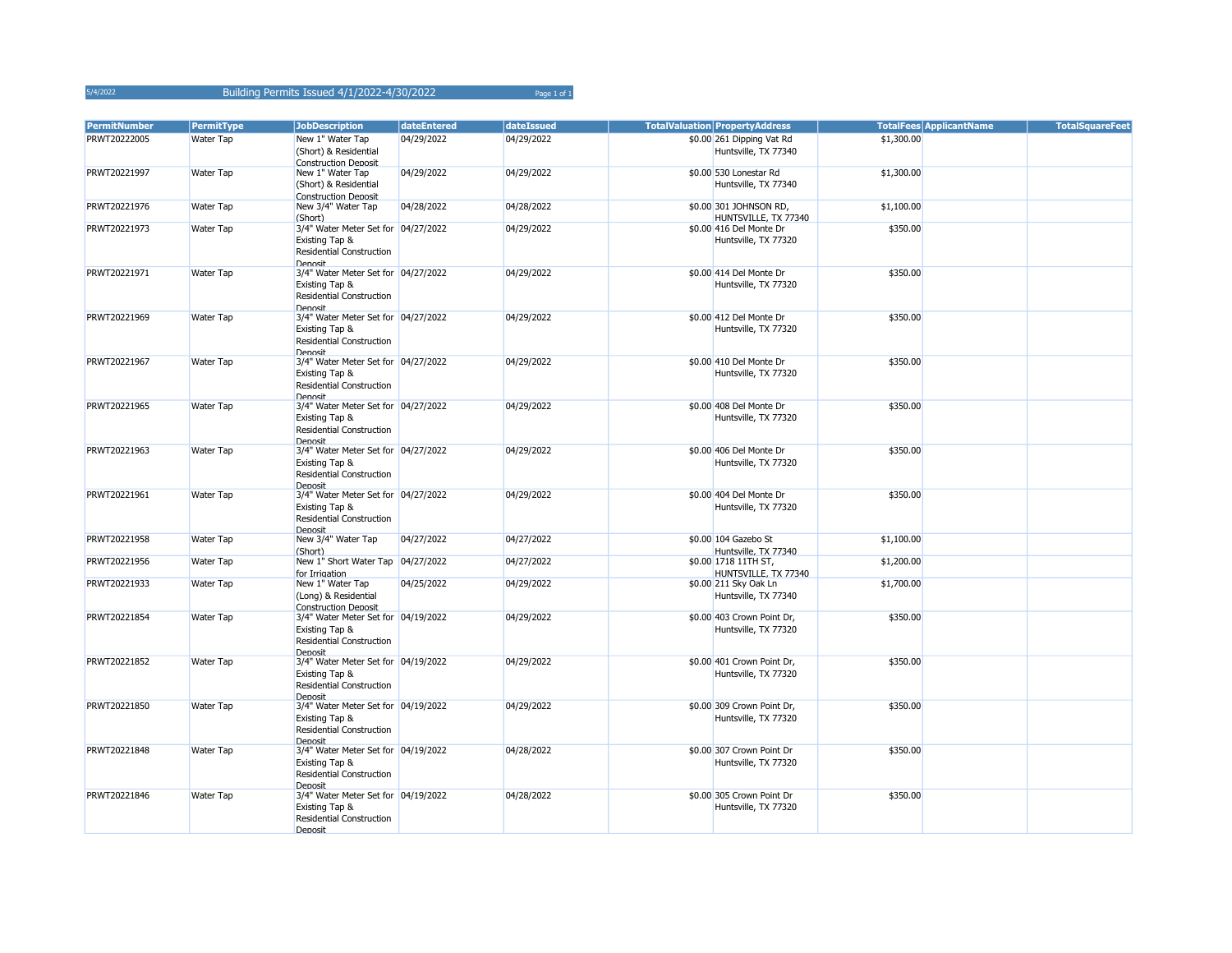| <b>PermitNumber</b> | PermitType       | <b>JobDescription</b>                                                                               | dateEntered | dateIssued | <b>TotalValuation PropertyAddress</b>              | TotalFees ApplicantName | <b>TotalSquareFeet</b> |
|---------------------|------------------|-----------------------------------------------------------------------------------------------------|-------------|------------|----------------------------------------------------|-------------------------|------------------------|
| PRWT20222005        | <b>Water Tap</b> | New 1" Water Tap<br>(Short) & Residential<br><b>Construction Deposit</b>                            | 04/29/2022  | 04/29/2022 | \$0.00 261 Dipping Vat Rd<br>Huntsville, TX 77340  | \$1,300.00              |                        |
| PRWT20221997        | Water Tap        | New 1" Water Tap<br>(Short) & Residential<br><b>Construction Deposit</b>                            | 04/29/2022  | 04/29/2022 | \$0.00 530 Lonestar Rd<br>Huntsville, TX 77340     | \$1,300.00              |                        |
| PRWT20221976        | Water Tap        | New 3/4" Water Tap<br>(Short)                                                                       | 04/28/2022  | 04/28/2022 | \$0.00 301 JOHNSON RD,<br>HUNTSVILLE, TX 77340     | \$1,100.00              |                        |
| PRWT20221973        | Water Tap        | 3/4" Water Meter Set for 04/27/2022<br>Existing Tap &<br><b>Residential Construction</b><br>Denosit |             | 04/29/2022 | \$0.00 416 Del Monte Dr<br>Huntsville, TX 77320    | \$350.00                |                        |
| PRWT20221971        | <b>Water Tap</b> | 3/4" Water Meter Set for 04/27/2022<br>Existing Tap &<br><b>Residential Construction</b><br>Denosit |             | 04/29/2022 | \$0.00 414 Del Monte Dr<br>Huntsville, TX 77320    | \$350.00                |                        |
| PRWT20221969        | Water Tap        | 3/4" Water Meter Set for 04/27/2022<br>Existing Tap &<br><b>Residential Construction</b><br>Dennsit |             | 04/29/2022 | \$0.00 412 Del Monte Dr<br>Huntsville, TX 77320    | \$350.00                |                        |
| PRWT20221967        | <b>Water Tap</b> | 3/4" Water Meter Set for 04/27/2022<br>Existing Tap &<br><b>Residential Construction</b><br>Denosit |             | 04/29/2022 | \$0.00 410 Del Monte Dr<br>Huntsville, TX 77320    | \$350.00                |                        |
| PRWT20221965        | Water Tap        | 3/4" Water Meter Set for 04/27/2022<br>Existing Tap &<br><b>Residential Construction</b><br>Denosit |             | 04/29/2022 | \$0.00 408 Del Monte Dr<br>Huntsville, TX 77320    | \$350.00                |                        |
| PRWT20221963        | <b>Water Tap</b> | 3/4" Water Meter Set for 04/27/2022<br>Existing Tap &<br><b>Residential Construction</b><br>Denosit |             | 04/29/2022 | \$0.00 406 Del Monte Dr<br>Huntsville, TX 77320    | \$350.00                |                        |
| PRWT20221961        | Water Tap        | 3/4" Water Meter Set for 04/27/2022<br>Existing Tap &<br><b>Residential Construction</b><br>Dennsit |             | 04/29/2022 | \$0.00 404 Del Monte Dr<br>Huntsville, TX 77320    | \$350.00                |                        |
| PRWT20221958        | Water Tap        | New 3/4" Water Tap<br>(Short)                                                                       | 04/27/2022  | 04/27/2022 | \$0.00 104 Gazebo St<br>Huntsville, TX 77340       | \$1,100.00              |                        |
| PRWT20221956        | Water Tap        | New 1" Short Water Tap 04/27/2022<br>for Irrigation                                                 |             | 04/27/2022 | \$0.00 1718 11TH ST,<br>HUNTSVILLE, TX 77340       | \$1,200.00              |                        |
| PRWT20221933        | <b>Water Tap</b> | New 1" Water Tap<br>(Long) & Residential<br><b>Construction Deposit</b>                             | 04/25/2022  | 04/29/2022 | \$0.00 211 Sky Oak Ln<br>Huntsville, TX 77340      | \$1,700.00              |                        |
| PRWT20221854        | Water Tap        | 3/4" Water Meter Set for 04/19/2022<br>Existing Tap &<br><b>Residential Construction</b><br>Denosit |             | 04/29/2022 | \$0.00 403 Crown Point Dr,<br>Huntsville, TX 77320 | \$350.00                |                        |
| PRWT20221852        | Water Tap        | 3/4" Water Meter Set for 04/19/2022<br>Existing Tap &<br><b>Residential Construction</b><br>Denosit |             | 04/29/2022 | \$0.00 401 Crown Point Dr,<br>Huntsville, TX 77320 | \$350.00                |                        |
| PRWT20221850        | Water Tap        | 3/4" Water Meter Set for 04/19/2022<br>Existing Tap &<br><b>Residential Construction</b><br>Denosit |             | 04/29/2022 | \$0.00 309 Crown Point Dr,<br>Huntsville, TX 77320 | \$350.00                |                        |
| PRWT20221848        | Water Tap        | 3/4" Water Meter Set for 04/19/2022<br>Existing Tap &<br><b>Residential Construction</b><br>Dennsit |             | 04/28/2022 | \$0.00 307 Crown Point Dr<br>Huntsville, TX 77320  | \$350.00                |                        |
| PRWT20221846        | Water Tap        | 3/4" Water Meter Set for 04/19/2022<br>Existing Tap &<br><b>Residential Construction</b><br>Denosit |             | 04/28/2022 | \$0.00 305 Crown Point Dr<br>Huntsville, TX 77320  | \$350.00                |                        |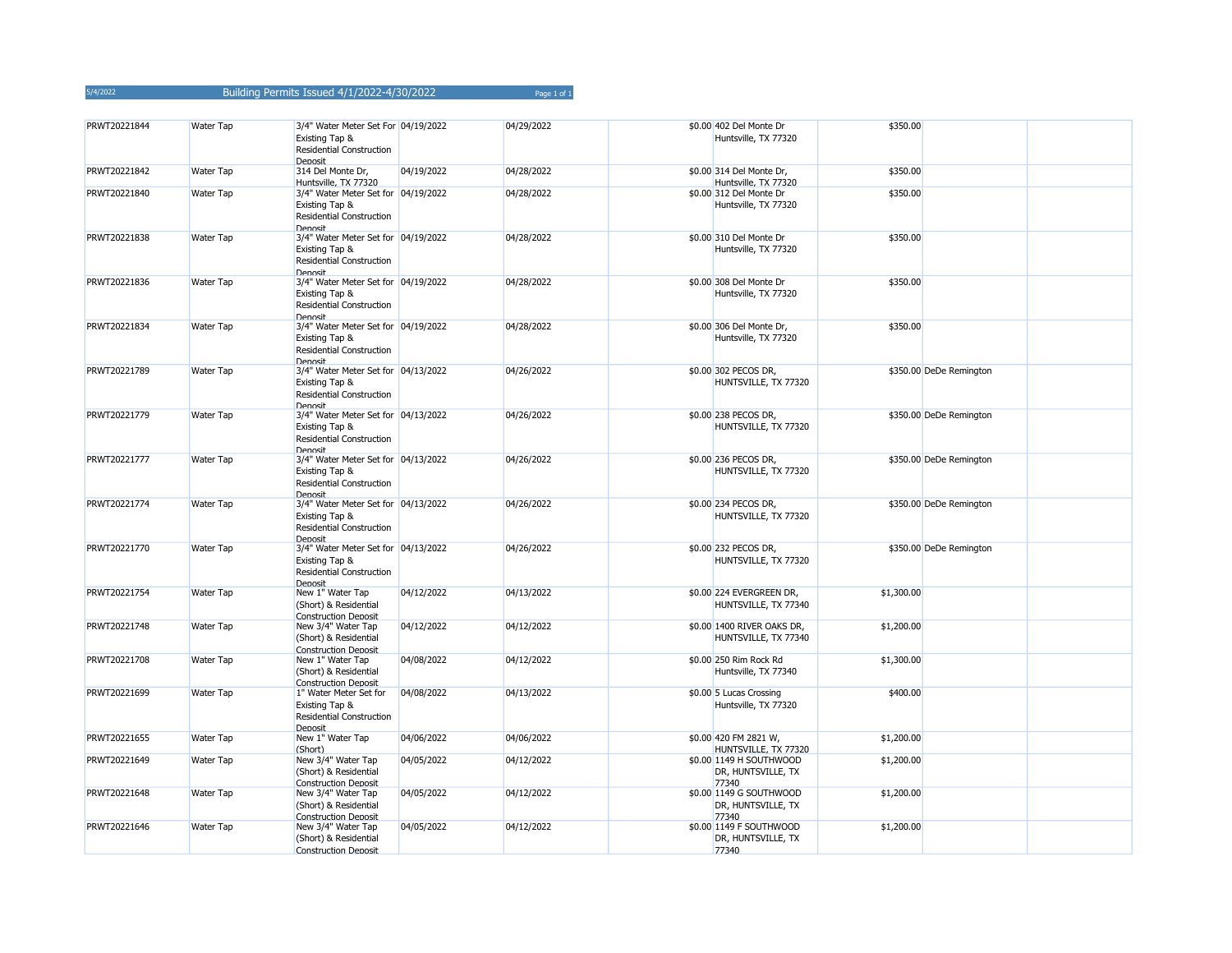| PRWT20221844 | Water Tap        | 3/4" Water Meter Set For 04/19/2022<br>Existing Tap &<br><b>Residential Construction</b><br>Denosit |            | 04/29/2022 | \$0.00 402 Del Monte Dr<br>Huntsville, TX 77320        | \$350.00   |                         |  |
|--------------|------------------|-----------------------------------------------------------------------------------------------------|------------|------------|--------------------------------------------------------|------------|-------------------------|--|
| PRWT20221842 | Water Tap        | 314 Del Monte Dr,<br>Huntsville. TX 77320                                                           | 04/19/2022 | 04/28/2022 | \$0.00 314 Del Monte Dr,<br>Huntsville, TX 77320       | \$350.00   |                         |  |
| PRWT20221840 | Water Tap        | 3/4" Water Meter Set for 04/19/2022<br>Existing Tap &<br><b>Residential Construction</b><br>Denosit |            | 04/28/2022 | \$0.00 312 Del Monte Dr<br>Huntsville, TX 77320        | \$350.00   |                         |  |
| PRWT20221838 | Water Tap        | 3/4" Water Meter Set for 04/19/2022<br>Existing Tap &<br><b>Residential Construction</b><br>Denosit |            | 04/28/2022 | \$0.00 310 Del Monte Dr<br>Huntsville, TX 77320        | \$350.00   |                         |  |
| PRWT20221836 | <b>Water Tap</b> | 3/4" Water Meter Set for 04/19/2022<br>Existing Tap &<br><b>Residential Construction</b><br>Denosit |            | 04/28/2022 | \$0.00 308 Del Monte Dr<br>Huntsville, TX 77320        | \$350.00   |                         |  |
| PRWT20221834 | Water Tap        | 3/4" Water Meter Set for 04/19/2022<br>Existing Tap &<br><b>Residential Construction</b><br>Denosit |            | 04/28/2022 | \$0.00 306 Del Monte Dr,<br>Huntsville, TX 77320       | \$350.00   |                         |  |
| PRWT20221789 | Water Tap        | 3/4" Water Meter Set for 04/13/2022<br>Existing Tap &<br><b>Residential Construction</b><br>Denosit |            | 04/26/2022 | \$0.00 302 PECOS DR,<br>HUNTSVILLE, TX 77320           |            | \$350.00 DeDe Remington |  |
| PRWT20221779 | Water Tap        | 3/4" Water Meter Set for 04/13/2022<br>Existing Tap &<br><b>Residential Construction</b><br>Denosit |            | 04/26/2022 | \$0.00 238 PECOS DR,<br>HUNTSVILLE, TX 77320           |            | \$350.00 DeDe Remington |  |
| PRWT20221777 | Water Tap        | 3/4" Water Meter Set for 04/13/2022<br>Existing Tap &<br><b>Residential Construction</b><br>Denosit |            | 04/26/2022 | \$0.00 236 PECOS DR,<br>HUNTSVILLE, TX 77320           |            | \$350.00 DeDe Remington |  |
| PRWT20221774 | Water Tap        | 3/4" Water Meter Set for 04/13/2022<br>Existing Tap &<br><b>Residential Construction</b><br>Denosit |            | 04/26/2022 | \$0.00 234 PECOS DR,<br>HUNTSVILLE, TX 77320           |            | \$350.00 DeDe Remington |  |
| PRWT20221770 | <b>Water Tap</b> | 3/4" Water Meter Set for 04/13/2022<br>Existing Tap &<br><b>Residential Construction</b><br>Denosit |            | 04/26/2022 | \$0.00 232 PECOS DR,<br>HUNTSVILLE, TX 77320           |            | \$350.00 DeDe Remington |  |
| PRWT20221754 | Water Tap        | New 1" Water Tap<br>(Short) & Residential<br><b>Construction Deposit</b>                            | 04/12/2022 | 04/13/2022 | \$0.00 224 EVERGREEN DR,<br>HUNTSVILLE, TX 77340       | \$1,300.00 |                         |  |
| PRWT20221748 | <b>Water Tap</b> | New 3/4" Water Tap<br>(Short) & Residential<br><b>Construction Denosit</b>                          | 04/12/2022 | 04/12/2022 | \$0.00 1400 RIVER OAKS DR,<br>HUNTSVILLE, TX 77340     | \$1,200.00 |                         |  |
| PRWT20221708 | Water Tap        | New 1" Water Tap<br>(Short) & Residential<br><b>Construction Denosit</b>                            | 04/08/2022 | 04/12/2022 | \$0.00 250 Rim Rock Rd<br>Huntsville, TX 77340         | \$1,300.00 |                         |  |
| PRWT20221699 | Water Tap        | 1" Water Meter Set for<br>Existing Tap &<br><b>Residential Construction</b><br>Denosit              | 04/08/2022 | 04/13/2022 | \$0.00 5 Lucas Crossing<br>Huntsville, TX 77320        | \$400.00   |                         |  |
| PRWT20221655 | Water Tap        | New 1" Water Tap<br>(Short)                                                                         | 04/06/2022 | 04/06/2022 | \$0.00 420 FM 2821 W,<br>HUNTSVILLE, TX 77320          | \$1,200.00 |                         |  |
| PRWT20221649 | Water Tap        | New 3/4" Water Tap<br>(Short) & Residential<br><b>Construction Deposit</b>                          | 04/05/2022 | 04/12/2022 | \$0.00 1149 H SOUTHWOOD<br>DR, HUNTSVILLE, TX<br>77340 | \$1,200.00 |                         |  |
| PRWT20221648 | Water Tap        | New 3/4" Water Tap<br>(Short) & Residential<br><b>Construction Denosit</b>                          | 04/05/2022 | 04/12/2022 | \$0.00 1149 G SOUTHWOOD<br>DR, HUNTSVILLE, TX<br>77340 | \$1,200.00 |                         |  |
| PRWT20221646 | <b>Water Tap</b> | New 3/4" Water Tap<br>(Short) & Residential<br><b>Construction Deposit</b>                          | 04/05/2022 | 04/12/2022 | \$0.00 1149 F SOUTHWOOD<br>DR, HUNTSVILLE, TX<br>77340 | \$1,200.00 |                         |  |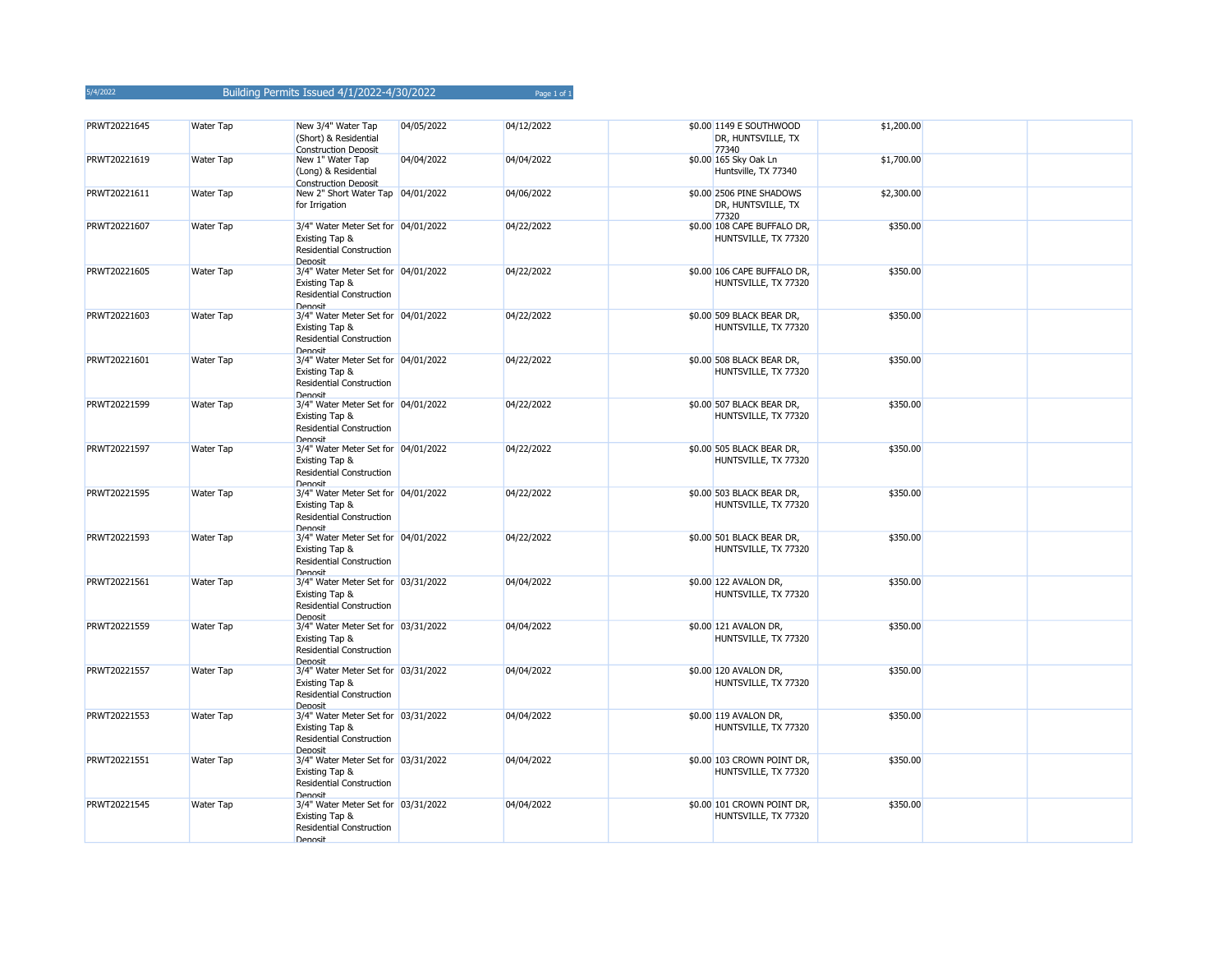| PRWT20221645 | <b>Water Tap</b> | New 3/4" Water Tap<br>(Short) & Residential<br><b>Construction Denosit</b>                          | 04/05/2022 | 04/12/2022 | \$0.00 1149 E SOUTHWOOD<br>DR, HUNTSVILLE, TX<br>77340  | \$1,200.00 |  |
|--------------|------------------|-----------------------------------------------------------------------------------------------------|------------|------------|---------------------------------------------------------|------------|--|
| PRWT20221619 | Water Tap        | New 1" Water Tap<br>(Long) & Residential<br><b>Construction Deposit</b>                             | 04/04/2022 | 04/04/2022 | \$0.00 165 Sky Oak Ln<br>Huntsville, TX 77340           | \$1,700.00 |  |
| PRWT20221611 | Water Tap        | New 2" Short Water Tap 04/01/2022<br>for Irrigation                                                 |            | 04/06/2022 | \$0.00 2506 PINE SHADOWS<br>DR, HUNTSVILLE, TX<br>77320 | \$2,300.00 |  |
| PRWT20221607 | Water Tap        | 3/4" Water Meter Set for 04/01/2022<br>Existing Tap &<br><b>Residential Construction</b><br>Denosit |            | 04/22/2022 | \$0.00 108 CAPE BUFFALO DR,<br>HUNTSVILLE, TX 77320     | \$350.00   |  |
| PRWT20221605 | Water Tap        | 3/4" Water Meter Set for 04/01/2022<br>Existing Tap &<br><b>Residential Construction</b><br>Denosit |            | 04/22/2022 | \$0.00 106 CAPE BUFFALO DR,<br>HUNTSVILLE, TX 77320     | \$350.00   |  |
| PRWT20221603 | Water Tap        | 3/4" Water Meter Set for 04/01/2022<br>Existing Tap &<br><b>Residential Construction</b><br>Denosit |            | 04/22/2022 | \$0.00 509 BLACK BEAR DR,<br>HUNTSVILLE, TX 77320       | \$350.00   |  |
| PRWT20221601 | Water Tap        | 3/4" Water Meter Set for 04/01/2022<br>Existing Tap &<br><b>Residential Construction</b><br>Denosit |            | 04/22/2022 | \$0.00 508 BLACK BEAR DR,<br>HUNTSVILLE, TX 77320       | \$350.00   |  |
| PRWT20221599 | Water Tap        | 3/4" Water Meter Set for 04/01/2022<br>Existing Tap &<br><b>Residential Construction</b><br>Denosit |            | 04/22/2022 | \$0.00 507 BLACK BEAR DR,<br>HUNTSVILLE, TX 77320       | \$350.00   |  |
| PRWT20221597 | Water Tap        | 3/4" Water Meter Set for 04/01/2022<br>Existing Tap &<br><b>Residential Construction</b><br>Denosit |            | 04/22/2022 | \$0.00 505 BLACK BEAR DR,<br>HUNTSVILLE, TX 77320       | \$350.00   |  |
| PRWT20221595 | Water Tap        | 3/4" Water Meter Set for 04/01/2022<br>Existing Tap &<br><b>Residential Construction</b><br>Denosit |            | 04/22/2022 | \$0.00 503 BLACK BEAR DR,<br>HUNTSVILLE, TX 77320       | \$350.00   |  |
| PRWT20221593 | Water Tap        | 3/4" Water Meter Set for 04/01/2022<br>Existing Tap &<br><b>Residential Construction</b><br>Denosit |            | 04/22/2022 | \$0.00 501 BLACK BEAR DR,<br>HUNTSVILLE, TX 77320       | \$350.00   |  |
| PRWT20221561 | Water Tap        | 3/4" Water Meter Set for 03/31/2022<br>Existing Tap &<br><b>Residential Construction</b><br>Denosit |            | 04/04/2022 | \$0.00 122 AVALON DR,<br>HUNTSVILLE, TX 77320           | \$350.00   |  |
| PRWT20221559 | Water Tap        | 3/4" Water Meter Set for 03/31/2022<br>Existing Tap &<br>Residential Construction<br>Denosit        |            | 04/04/2022 | \$0.00 121 AVALON DR,<br>HUNTSVILLE, TX 77320           | \$350.00   |  |
| PRWT20221557 | Water Tap        | 3/4" Water Meter Set for 03/31/2022<br>Existing Tap &<br><b>Residential Construction</b><br>Denosit |            | 04/04/2022 | \$0.00 120 AVALON DR,<br>HUNTSVILLE, TX 77320           | \$350.00   |  |
| PRWT20221553 | Water Tap        | 3/4" Water Meter Set for 03/31/2022<br>Existing Tap &<br>Residential Construction<br>Denosit        |            | 04/04/2022 | \$0.00 119 AVALON DR,<br>HUNTSVILLE, TX 77320           | \$350.00   |  |
| PRWT20221551 | Water Tap        | 3/4" Water Meter Set for 03/31/2022<br>Existing Tap &<br><b>Residential Construction</b><br>Denosit |            | 04/04/2022 | \$0.00 103 CROWN POINT DR,<br>HUNTSVILLE, TX 77320      | \$350.00   |  |
| PRWT20221545 | Water Tap        | 3/4" Water Meter Set for 03/31/2022<br>Existing Tap &<br><b>Residential Construction</b><br>Denosit |            | 04/04/2022 | \$0.00 101 CROWN POINT DR,<br>HUNTSVILLE, TX 77320      | \$350.00   |  |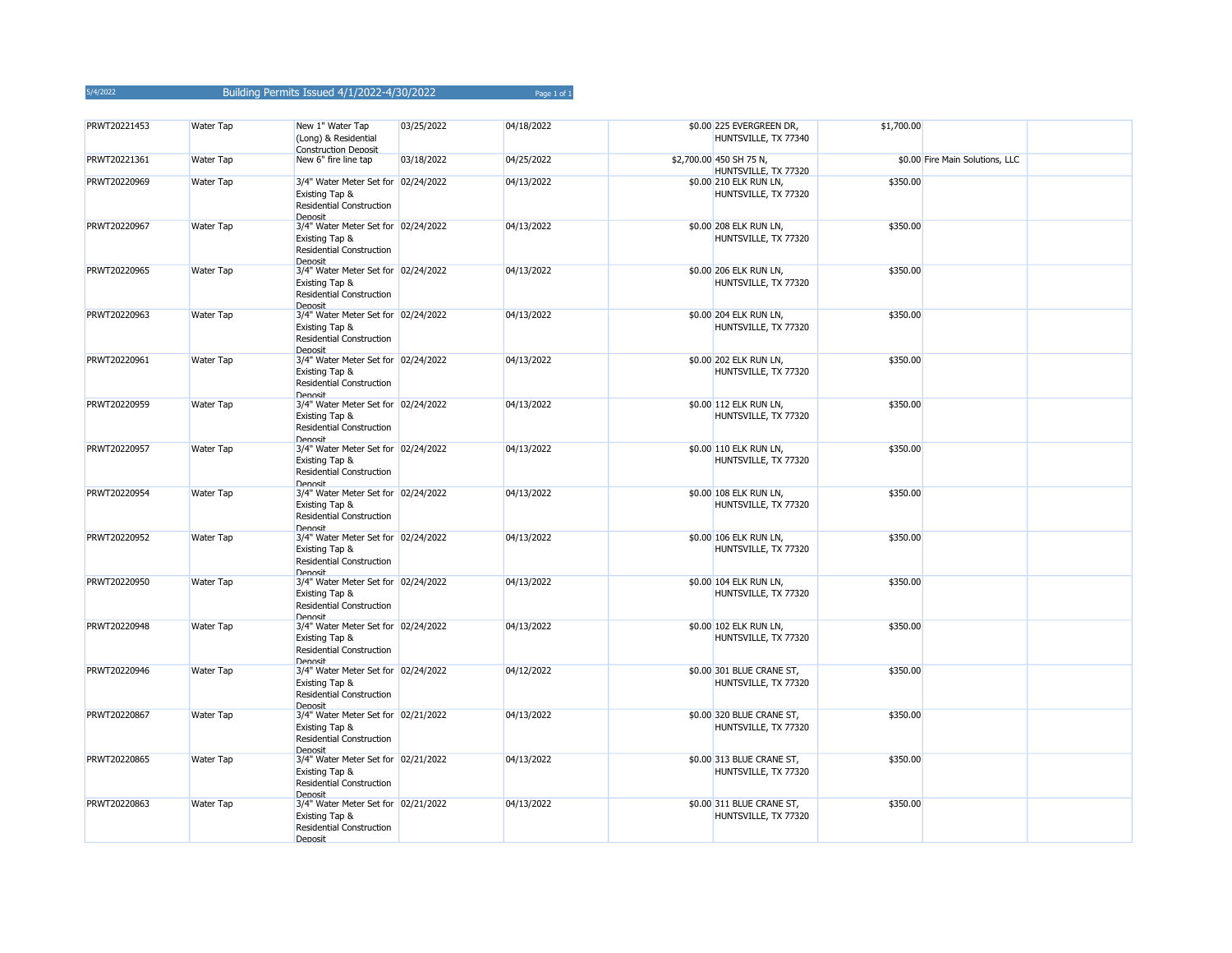| PRWT20221453 | Water Tap        | New 1" Water Tap<br>(Long) & Residential<br><b>Construction Denosit</b>                             | 03/25/2022 | 04/18/2022 | \$0.00 225 EVERGREEN DR,<br>HUNTSVILLE, TX 77340  | \$1,700.00 |                                 |  |
|--------------|------------------|-----------------------------------------------------------------------------------------------------|------------|------------|---------------------------------------------------|------------|---------------------------------|--|
| PRWT20221361 | Water Tap        | New 6" fire line tap                                                                                | 03/18/2022 | 04/25/2022 | \$2,700.00 450 SH 75 N,<br>HUNTSVILLE, TX 77320   |            | \$0.00 Fire Main Solutions, LLC |  |
| PRWT20220969 | <b>Water Tap</b> | 3/4" Water Meter Set for 02/24/2022<br>Existing Tap &<br><b>Residential Construction</b><br>Denosit |            | 04/13/2022 | \$0.00 210 ELK RUN LN,<br>HUNTSVILLE, TX 77320    | \$350.00   |                                 |  |
| PRWT20220967 | Water Tap        | 3/4" Water Meter Set for 02/24/2022<br>Existing Tap &<br><b>Residential Construction</b><br>Denosit |            | 04/13/2022 | \$0.00 208 ELK RUN LN,<br>HUNTSVILLE, TX 77320    | \$350.00   |                                 |  |
| PRWT20220965 | Water Tap        | 3/4" Water Meter Set for 02/24/2022<br>Existing Tap &<br>Residential Construction<br>Denosit        |            | 04/13/2022 | \$0.00 206 ELK RUN LN,<br>HUNTSVILLE, TX 77320    | \$350.00   |                                 |  |
| PRWT20220963 | Water Tap        | 3/4" Water Meter Set for 02/24/2022<br>Existing Tap &<br>Residential Construction<br><b>Denocit</b> |            | 04/13/2022 | \$0.00 204 ELK RUN LN,<br>HUNTSVILLE, TX 77320    | \$350.00   |                                 |  |
| PRWT20220961 | Water Tap        | 3/4" Water Meter Set for 02/24/2022<br>Existing Tap &<br><b>Residential Construction</b><br>Denosit |            | 04/13/2022 | \$0.00 202 ELK RUN LN,<br>HUNTSVILLE, TX 77320    | \$350.00   |                                 |  |
| PRWT20220959 | Water Tap        | 3/4" Water Meter Set for 02/24/2022<br>Existing Tap &<br>Residential Construction<br>Denosit        |            | 04/13/2022 | \$0.00 112 ELK RUN LN,<br>HUNTSVILLE, TX 77320    | \$350.00   |                                 |  |
| PRWT20220957 | Water Tap        | 3/4" Water Meter Set for 02/24/2022<br>Existing Tap &<br>Residential Construction<br>Denosit        |            | 04/13/2022 | \$0.00 110 ELK RUN LN,<br>HUNTSVILLE, TX 77320    | \$350.00   |                                 |  |
| PRWT20220954 | Water Tap        | 3/4" Water Meter Set for 02/24/2022<br>Existing Tap &<br>Residential Construction<br>Denosit        |            | 04/13/2022 | \$0.00 108 ELK RUN LN,<br>HUNTSVILLE, TX 77320    | \$350.00   |                                 |  |
| PRWT20220952 | Water Tap        | 3/4" Water Meter Set for 02/24/2022<br>Existing Tap &<br><b>Residential Construction</b><br>Denosit |            | 04/13/2022 | \$0.00 106 ELK RUN LN,<br>HUNTSVILLE, TX 77320    | \$350.00   |                                 |  |
| PRWT20220950 | Water Tap        | 3/4" Water Meter Set for 02/24/2022<br>Existing Tap &<br><b>Residential Construction</b><br>Denosit |            | 04/13/2022 | \$0.00 104 ELK RUN LN,<br>HUNTSVILLE, TX 77320    | \$350.00   |                                 |  |
| PRWT20220948 | Water Tap        | 3/4" Water Meter Set for 02/24/2022<br>Existing Tap &<br>Residential Construction<br>Denosit        |            | 04/13/2022 | \$0.00 102 ELK RUN LN,<br>HUNTSVILLE, TX 77320    | \$350.00   |                                 |  |
| PRWT20220946 | Water Tap        | 3/4" Water Meter Set for 02/24/2022<br>Existing Tap &<br>Residential Construction<br>Denosit        |            | 04/12/2022 | \$0.00 301 BLUE CRANE ST,<br>HUNTSVILLE, TX 77320 | \$350.00   |                                 |  |
| PRWT20220867 | Water Tap        | 3/4" Water Meter Set for 02/21/2022<br>Existing Tap &<br><b>Residential Construction</b><br>Denosit |            | 04/13/2022 | \$0.00 320 BLUE CRANE ST,<br>HUNTSVILLE, TX 77320 | \$350.00   |                                 |  |
| PRWT20220865 | Water Tap        | 3/4" Water Meter Set for 02/21/2022<br>Existing Tap &<br>Residential Construction<br>Denosit        |            | 04/13/2022 | \$0.00 313 BLUE CRANE ST,<br>HUNTSVILLE, TX 77320 | \$350.00   |                                 |  |
| PRWT20220863 | Water Tap        | 3/4" Water Meter Set for 02/21/2022<br>Existing Tap &<br>Residential Construction<br>Denosit        |            | 04/13/2022 | \$0.00 311 BLUE CRANE ST,<br>HUNTSVILLE, TX 77320 | \$350.00   |                                 |  |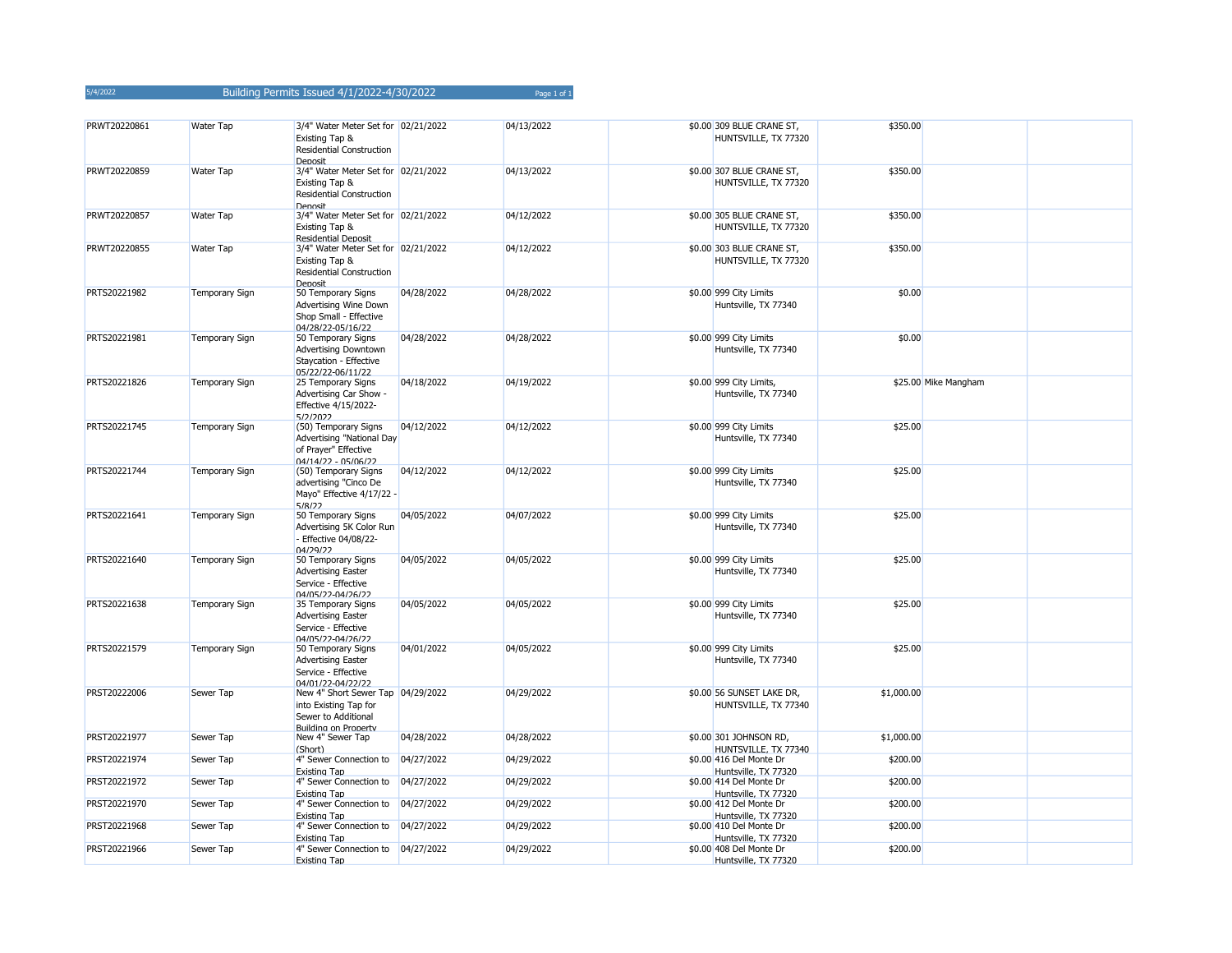| PRWT20220861 | Water Tap             | 3/4" Water Meter Set for 02/21/2022<br>Existing Tap &<br>Residential Construction<br>Denosit                     |            | 04/13/2022 | \$0.00 309 BLUE CRANE ST,<br>HUNTSVILLE, TX 77320                       | \$350.00   |                      |  |
|--------------|-----------------------|------------------------------------------------------------------------------------------------------------------|------------|------------|-------------------------------------------------------------------------|------------|----------------------|--|
| PRWT20220859 | <b>Water Tap</b>      | 3/4" Water Meter Set for 02/21/2022<br>Existing Tap &<br>Residential Construction<br>Denosit                     |            | 04/13/2022 | \$0.00 307 BLUE CRANE ST,<br>HUNTSVILLE, TX 77320                       | \$350.00   |                      |  |
| PRWT20220857 | <b>Water Tap</b>      | 3/4" Water Meter Set for 02/21/2022<br>Existing Tap &<br><b>Residential Deposit</b>                              |            | 04/12/2022 | \$0.00 305 BLUE CRANE ST,<br>HUNTSVILLE, TX 77320                       | \$350.00   |                      |  |
| PRWT20220855 | Water Tap             | 3/4" Water Meter Set for 02/21/2022<br>Existing Tap &<br>Residential Construction<br>Denosit                     |            | 04/12/2022 | \$0.00 303 BLUE CRANE ST,<br>HUNTSVILLE, TX 77320                       | \$350.00   |                      |  |
| PRTS20221982 | <b>Temporary Sign</b> | 50 Temporary Signs<br>Advertising Wine Down<br>Shop Small - Effective<br>04/28/22-05/16/22                       | 04/28/2022 | 04/28/2022 | \$0.00 999 City Limits<br>Huntsville, TX 77340                          | \$0.00     |                      |  |
| PRTS20221981 | <b>Temporary Sign</b> | 50 Temporary Signs<br><b>Advertising Downtown</b><br>Staycation - Effective<br>05/22/22-06/11/22                 | 04/28/2022 | 04/28/2022 | \$0.00 999 City Limits<br>Huntsville, TX 77340                          | \$0.00     |                      |  |
| PRTS20221826 | <b>Temporary Sign</b> | 25 Temporary Signs<br>Advertising Car Show -<br>Effective 4/15/2022-<br>5/2/2022                                 | 04/18/2022 | 04/19/2022 | \$0.00 999 City Limits,<br>Huntsville, TX 77340                         |            | \$25.00 Mike Mangham |  |
| PRTS20221745 | <b>Temporary Sign</b> | (50) Temporary Signs<br>Advertising "National Day<br>of Prayer" Effective<br>04/14/22 - 05/06/22                 | 04/12/2022 | 04/12/2022 | \$0.00 999 City Limits<br>Huntsville, TX 77340                          | \$25.00    |                      |  |
| PRTS20221744 | <b>Temporary Sign</b> | (50) Temporary Signs<br>advertising "Cinco De<br>Mayo" Effective 4/17/22 -<br>5/8/22                             | 04/12/2022 | 04/12/2022 | \$0.00 999 City Limits<br>Huntsville, TX 77340                          | \$25.00    |                      |  |
| PRTS20221641 | <b>Temporary Sign</b> | 50 Temporary Signs<br>Advertising 5K Color Run<br>- Effective 04/08/22-<br>04/29/22                              | 04/05/2022 | 04/07/2022 | \$0.00 999 City Limits<br>Huntsville, TX 77340                          | \$25.00    |                      |  |
| PRTS20221640 | <b>Temporary Sign</b> | 50 Temporary Signs<br><b>Advertising Easter</b><br>Service - Effective<br>04/05/22-04/26/22                      | 04/05/2022 | 04/05/2022 | \$0.00 999 City Limits<br>Huntsville, TX 77340                          | \$25.00    |                      |  |
| PRTS20221638 | <b>Temporary Sign</b> | 35 Temporary Signs<br><b>Advertising Easter</b><br>Service - Effective<br>04/05/22-04/26/22                      | 04/05/2022 | 04/05/2022 | \$0.00 999 City Limits<br>Huntsville, TX 77340                          | \$25.00    |                      |  |
| PRTS20221579 | <b>Temporary Sign</b> | 50 Temporary Signs<br><b>Advertising Easter</b><br>Service - Effective<br>04/01/22-04/22/22                      | 04/01/2022 | 04/05/2022 | \$0.00 999 City Limits<br>Huntsville, TX 77340                          | \$25.00    |                      |  |
| PRST20222006 | Sewer Tap             | New 4" Short Sewer Tap 04/29/2022<br>into Existing Tap for<br>Sewer to Additional<br><b>Building on Property</b> |            | 04/29/2022 | \$0.00 56 SUNSET LAKE DR,<br>HUNTSVILLE, TX 77340                       | \$1,000.00 |                      |  |
| PRST20221977 | Sewer Tap             | New 4" Sewer Tap<br>(Short)                                                                                      | 04/28/2022 | 04/28/2022 | \$0.00 301 JOHNSON RD,<br>HUNTSVILLE. TX 77340                          | \$1,000.00 |                      |  |
| PRST20221974 | Sewer Tap             | 4" Sewer Connection to<br>Existing Tap                                                                           | 04/27/2022 | 04/29/2022 | \$0.00 416 Del Monte Dr<br>Huntsville, TX 77320                         | \$200.00   |                      |  |
| PRST20221972 | Sewer Tap             | 4" Sewer Connection to<br><b>Existing Tap</b>                                                                    | 04/27/2022 | 04/29/2022 | \$0.00 414 Del Monte Dr<br>Huntsville, TX 77320                         | \$200.00   |                      |  |
| PRST20221970 | Sewer Tap             | 4" Sewer Connection to<br><b>Existing Tap</b>                                                                    | 04/27/2022 | 04/29/2022 | \$0.00 412 Del Monte Dr<br>Huntsville, TX 77320                         | \$200.00   |                      |  |
| PRST20221968 | Sewer Tap             | 4" Sewer Connection to<br><b>Existing Tap</b>                                                                    | 04/27/2022 | 04/29/2022 | \$0.00 410 Del Monte Dr                                                 | \$200.00   |                      |  |
| PRST20221966 | Sewer Tap             | 4" Sewer Connection to 04/27/2022<br><b>Existing Tap</b>                                                         |            | 04/29/2022 | Huntsville, TX 77320<br>\$0.00 408 Del Monte Dr<br>Huntsville, TX 77320 | \$200.00   |                      |  |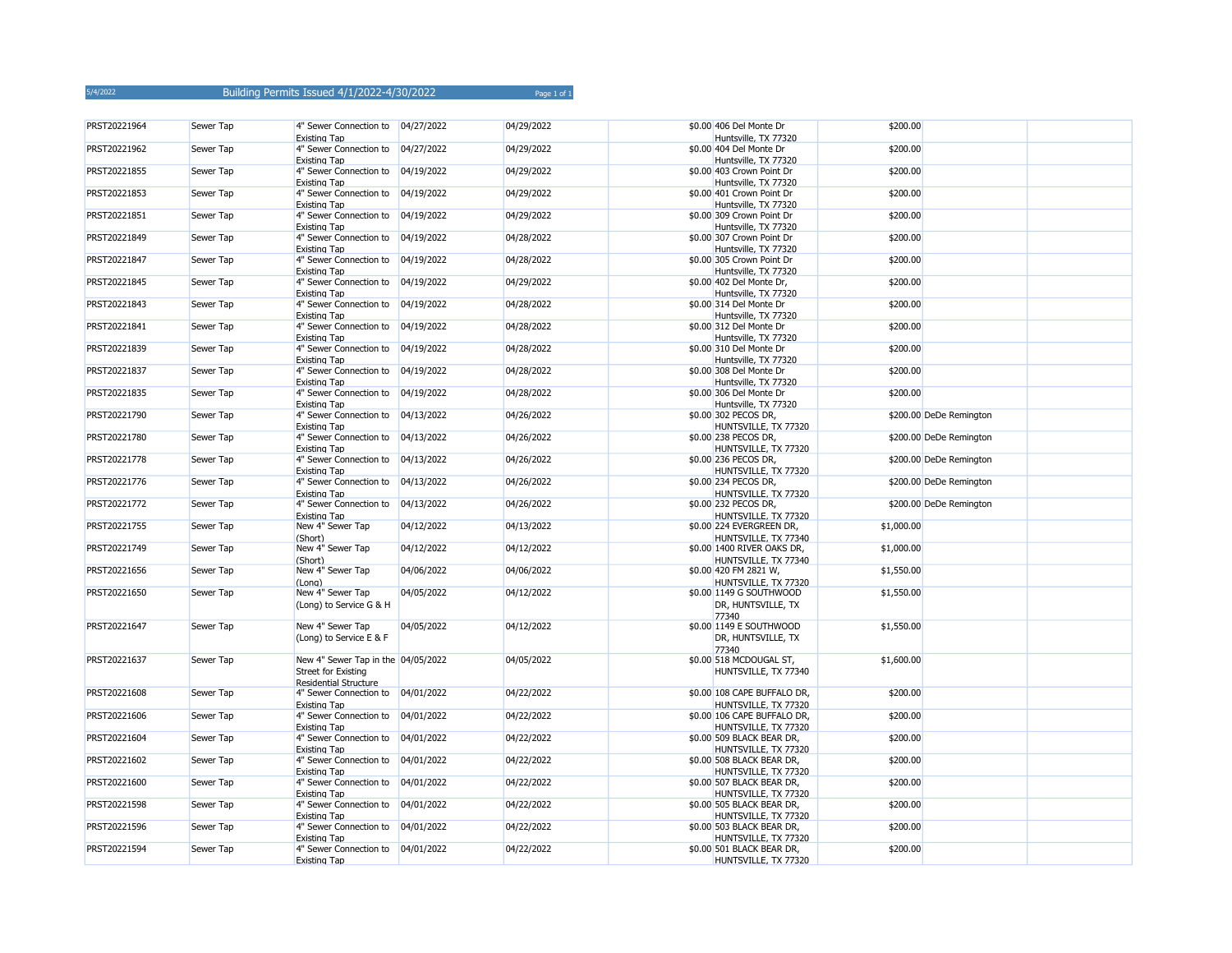| 5/4/2022 | Building Permits Issued 4/1/2022-4/30/2022 | Page 1 of 1 |
|----------|--------------------------------------------|-------------|
|----------|--------------------------------------------|-------------|

| PRST20221964 | Sewer Tap | 4" Sewer Connection to                            | 04/27/2022 | 04/29/2022 | \$0.00 406 Del Monte Dr                             | \$200.00   |                         |  |
|--------------|-----------|---------------------------------------------------|------------|------------|-----------------------------------------------------|------------|-------------------------|--|
| PRST20221962 | Sewer Tap | Existing Tap<br>4" Sewer Connection to            | 04/27/2022 | 04/29/2022 | Huntsville, TX 77320<br>\$0.00 404 Del Monte Dr     | \$200.00   |                         |  |
|              |           | Existing Tap                                      |            |            | Huntsville, TX 77320                                |            |                         |  |
| PRST20221855 | Sewer Tap | 4" Sewer Connection to<br>Existing Tap            | 04/19/2022 | 04/29/2022 | \$0.00 403 Crown Point Dr<br>Huntsville, TX 77320   | \$200.00   |                         |  |
| PRST20221853 | Sewer Tap | 4" Sewer Connection to 04/19/2022                 |            | 04/29/2022 | \$0.00 401 Crown Point Dr                           | \$200.00   |                         |  |
| PRST20221851 | Sewer Tap | Existing Tap<br>4" Sewer Connection to            | 04/19/2022 | 04/29/2022 | Huntsville, TX 77320<br>\$0.00 309 Crown Point Dr   | \$200.00   |                         |  |
| PRST20221849 | Sewer Tap | Existing Tan<br>4" Sewer Connection to            | 04/19/2022 | 04/28/2022 | Huntsville, TX 77320<br>\$0.00 307 Crown Point Dr   | \$200.00   |                         |  |
|              |           | Existing Tap                                      |            |            | Huntsville, TX 77320                                |            |                         |  |
| PRST20221847 | Sewer Tap | 4" Sewer Connection to<br>Existing Tap            | 04/19/2022 | 04/28/2022 | \$0.00 305 Crown Point Dr<br>Huntsville, TX 77320   | \$200.00   |                         |  |
| PRST20221845 | Sewer Tap | 4" Sewer Connection to<br>Existing Tap            | 04/19/2022 | 04/29/2022 | \$0.00 402 Del Monte Dr,<br>Huntsville, TX 77320    | \$200.00   |                         |  |
| PRST20221843 | Sewer Tap | 4" Sewer Connection to                            | 04/19/2022 | 04/28/2022 | \$0.00 314 Del Monte Dr                             | \$200.00   |                         |  |
| PRST20221841 | Sewer Tap | Existing Tap<br>4" Sewer Connection to            | 04/19/2022 | 04/28/2022 | Huntsville, TX 77320<br>\$0.00 312 Del Monte Dr     | \$200.00   |                         |  |
|              |           | Existing Tap                                      |            |            | Huntsville, TX 77320                                |            |                         |  |
| PRST20221839 | Sewer Tap | 4" Sewer Connection to                            | 04/19/2022 | 04/28/2022 | \$0.00 310 Del Monte Dr                             | \$200.00   |                         |  |
|              |           | Existing Tap                                      |            |            | Huntsville, TX 77320                                |            |                         |  |
| PRST20221837 | Sewer Tap | 4" Sewer Connection to 04/19/2022<br>Existing Tap |            | 04/28/2022 | \$0.00 308 Del Monte Dr<br>Huntsville, TX 77320     | \$200.00   |                         |  |
| PRST20221835 | Sewer Tap | 4" Sewer Connection to 04/19/2022                 |            | 04/28/2022 | \$0.00 306 Del Monte Dr                             | \$200.00   |                         |  |
|              |           | Existing Tap                                      |            |            | Huntsville, TX 77320                                |            |                         |  |
| PRST20221790 | Sewer Tap | 4" Sewer Connection to                            | 04/13/2022 | 04/26/2022 | \$0.00 302 PECOS DR,                                |            | \$200.00 DeDe Remington |  |
|              |           | Existing Tap                                      |            |            | HUNTSVILLE, TX 77320                                |            |                         |  |
| PRST20221780 | Sewer Tap | 4" Sewer Connection to<br>Existing Tap            | 04/13/2022 | 04/26/2022 | \$0.00 238 PECOS DR,<br>HUNTSVILLE, TX 77320        |            | \$200.00 DeDe Remington |  |
| PRST20221778 | Sewer Tap | 4" Sewer Connection to<br>Existing Tap            | 04/13/2022 | 04/26/2022 | \$0.00 236 PECOS DR,<br>HUNTSVILLE, TX 77320        |            | \$200.00 DeDe Remington |  |
| PRST20221776 | Sewer Tap | 4" Sewer Connection to 04/13/2022                 |            | 04/26/2022 | \$0.00 234 PECOS DR,                                |            | \$200.00 DeDe Remington |  |
| PRST20221772 | Sewer Tap | Existing Tap<br>4" Sewer Connection to            | 04/13/2022 | 04/26/2022 | HUNTSVILLE, TX 77320<br>\$0.00 232 PECOS DR,        |            | \$200.00 DeDe Remington |  |
|              |           | Existing Tap                                      |            |            | HUNTSVILLE, TX 77320                                |            |                         |  |
| PRST20221755 | Sewer Tap | New 4" Sewer Tap<br>(Short)                       | 04/12/2022 | 04/13/2022 | \$0.00 224 EVERGREEN DR,<br>HUNTSVILLE, TX 77340    | \$1,000.00 |                         |  |
| PRST20221749 | Sewer Tap | New 4" Sewer Tap<br>(Short)                       | 04/12/2022 | 04/12/2022 | \$0.00 1400 RIVER OAKS DR,<br>HUNTSVILLE, TX 77340  | \$1,000.00 |                         |  |
| PRST20221656 | Sewer Tap | New 4" Sewer Tap                                  | 04/06/2022 | 04/06/2022 | \$0.00 420 FM 2821 W,                               | \$1,550.00 |                         |  |
| PRST20221650 | Sewer Tap | (Long)<br>New 4" Sewer Tap                        | 04/05/2022 | 04/12/2022 | HUNTSVILLE, TX 77320<br>\$0.00 1149 G SOUTHWOOD     | \$1,550.00 |                         |  |
|              |           | (Long) to Service G & H                           |            |            | DR, HUNTSVILLE, TX                                  |            |                         |  |
| PRST20221647 | Sewer Tap | New 4" Sewer Tap                                  | 04/05/2022 | 04/12/2022 | 77340<br>\$0.00 1149 E SOUTHWOOD                    | \$1,550.00 |                         |  |
|              |           | (Long) to Service E & F                           |            |            | DR, HUNTSVILLE, TX<br>77340                         |            |                         |  |
| PRST20221637 | Sewer Tap | New 4" Sewer Tap in the 04/05/2022                |            | 04/05/2022 | \$0.00 518 MCDOUGAL ST,                             | \$1,600.00 |                         |  |
|              |           | Street for Existing<br>Residential Structure      |            |            | HUNTSVILLE, TX 77340                                |            |                         |  |
| PRST20221608 | Sewer Tap | 4" Sewer Connection to 04/01/2022                 |            | 04/22/2022 | \$0.00 108 CAPE BUFFALO DR,                         | \$200.00   |                         |  |
| PRST20221606 | Sewer Tap | Existing Tap<br>4" Sewer Connection to            | 04/01/2022 | 04/22/2022 | HUNTSVILLE, TX 77320<br>\$0.00 106 CAPE BUFFALO DR, | \$200.00   |                         |  |
| PRST20221604 | Sewer Tap | Existing Tap<br>4" Sewer Connection to            | 04/01/2022 | 04/22/2022 | HUNTSVILLE, TX 77320<br>\$0.00 509 BLACK BEAR DR,   | \$200.00   |                         |  |
|              |           | Existing Tap                                      |            |            | HUNTSVILLE, TX 77320                                |            |                         |  |
| PRST20221602 | Sewer Tap | 4" Sewer Connection to<br>Existing Tap            | 04/01/2022 | 04/22/2022 | \$0.00 508 BLACK BEAR DR,<br>HUNTSVILLE, TX 77320   | \$200.00   |                         |  |
| PRST20221600 | Sewer Tap | 4" Sewer Connection to 04/01/2022<br>Existing Tap |            | 04/22/2022 | \$0.00 507 BLACK BEAR DR,<br>HUNTSVILLE, TX 77320   | \$200.00   |                         |  |
| PRST20221598 | Sewer Tap | 4" Sewer Connection to 04/01/2022                 |            | 04/22/2022 | \$0.00 505 BLACK BEAR DR,                           | \$200.00   |                         |  |
| PRST20221596 | Sewer Tap | Existing Tap<br>4" Sewer Connection to            | 04/01/2022 | 04/22/2022 | HUNTSVILLE, TX 77320<br>\$0.00 503 BLACK BEAR DR,   | \$200.00   |                         |  |
|              |           | Existing Tap                                      |            |            | HUNTSVILLE, TX 77320                                |            |                         |  |
| PRST20221594 | Sewer Tap | 4" Sewer Connection to 04/01/2022                 |            | 04/22/2022 | \$0.00 501 BLACK BEAR DR,                           | \$200.00   |                         |  |
|              |           | Existing Tap                                      |            |            | HUNTSVILLE, TX 77320                                |            |                         |  |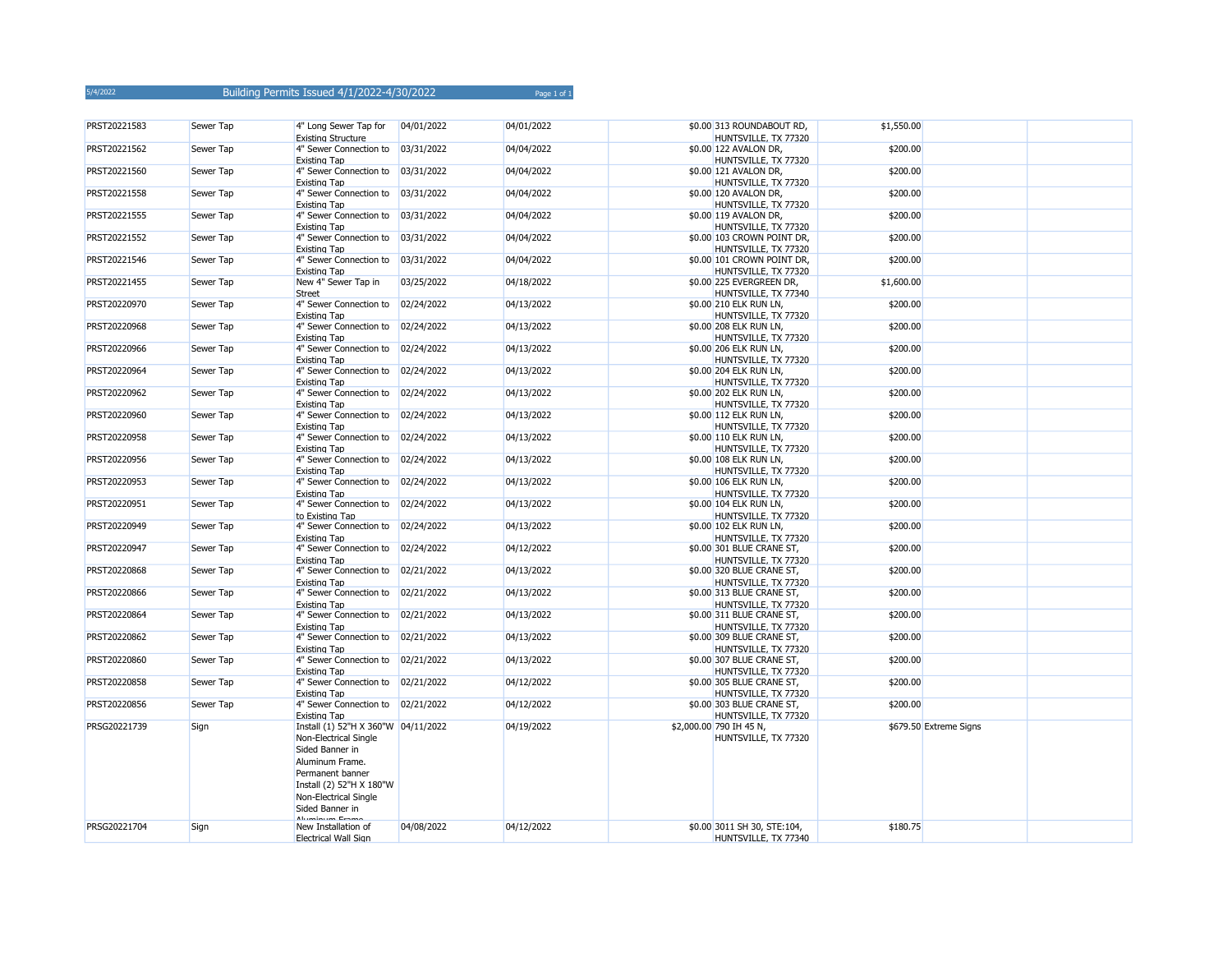| 5/4/2022 | <b>Building Permits Issued 4/1/2022-4/30/2022</b> | Page 1 of 1 |
|----------|---------------------------------------------------|-------------|
|          |                                                   |             |

| PRST20221583 | Sewer Tap | 4" Long Sewer Tap for<br><b>Existing Structure</b>                                                                                                                                             | 04/01/2022 | 04/01/2022 | \$0.00 313 ROUNDABOUT RD,<br>HUNTSVILLE, TX 77320                        | \$1,550.00             |  |
|--------------|-----------|------------------------------------------------------------------------------------------------------------------------------------------------------------------------------------------------|------------|------------|--------------------------------------------------------------------------|------------------------|--|
| PRST20221562 | Sewer Tap | 4" Sewer Connection to<br>Existing Tap                                                                                                                                                         | 03/31/2022 | 04/04/2022 | \$0.00 122 AVALON DR,<br>HUNTSVILLE, TX 77320                            | \$200.00               |  |
| PRST20221560 | Sewer Tap | 4" Sewer Connection to<br>Existing Tap                                                                                                                                                         | 03/31/2022 | 04/04/2022 | \$0.00 121 AVALON DR,<br>HUNTSVILLE, TX 77320                            | \$200.00               |  |
| PRST20221558 | Sewer Tap | 4" Sewer Connection to                                                                                                                                                                         | 03/31/2022 | 04/04/2022 | \$0.00 120 AVALON DR,                                                    | \$200.00               |  |
| PRST20221555 | Sewer Tap | Existing Tap<br>4" Sewer Connection to                                                                                                                                                         | 03/31/2022 | 04/04/2022 | HUNTSVILLE, TX 77320<br>\$0.00 119 AVALON DR,                            | \$200.00               |  |
| PRST20221552 | Sewer Tap | Existing Tap<br>4" Sewer Connection to                                                                                                                                                         | 03/31/2022 | 04/04/2022 | HUNTSVILLE, TX 77320<br>\$0.00 103 CROWN POINT DR,                       | \$200.00               |  |
| PRST20221546 | Sewer Tap | Existing Tap<br>4" Sewer Connection to                                                                                                                                                         | 03/31/2022 | 04/04/2022 | HUNTSVILLE, TX 77320<br>\$0.00 101 CROWN POINT DR,                       | \$200.00               |  |
| PRST20221455 | Sewer Tap | Existing Tap<br>New 4" Sewer Tap in<br><b>Street</b>                                                                                                                                           | 03/25/2022 | 04/18/2022 | HUNTSVILLE, TX 77320<br>\$0.00 225 EVERGREEN DR,<br>HUNTSVILLE, TX 77340 | \$1,600.00             |  |
| PRST20220970 | Sewer Tap | 4" Sewer Connection to                                                                                                                                                                         | 02/24/2022 | 04/13/2022 | \$0.00 210 ELK RUN LN,                                                   | \$200.00               |  |
| PRST20220968 | Sewer Tap | Existing Tap<br>4" Sewer Connection to                                                                                                                                                         | 02/24/2022 | 04/13/2022 | HUNTSVILLE, TX 77320<br>\$0.00 208 ELK RUN LN,                           | \$200.00               |  |
| PRST20220966 | Sewer Tap | <b>Existing Tap</b><br>4" Sewer Connection to<br><b>Existing Tap</b>                                                                                                                           | 02/24/2022 | 04/13/2022 | HUNTSVILLE, TX 77320<br>\$0.00 206 ELK RUN LN,                           | \$200.00               |  |
| PRST20220964 | Sewer Tap | 4" Sewer Connection to<br>Existing Tap                                                                                                                                                         | 02/24/2022 | 04/13/2022 | HUNTSVILLE, TX 77320<br>\$0.00 204 ELK RUN LN,<br>HUNTSVILLE, TX 77320   | \$200.00               |  |
| PRST20220962 | Sewer Tap | 4" Sewer Connection to<br>Existing Tap                                                                                                                                                         | 02/24/2022 | 04/13/2022 | \$0.00 202 ELK RUN LN,<br>HUNTSVILLE, TX 77320                           | \$200.00               |  |
| PRST20220960 | Sewer Tap | 4" Sewer Connection to<br>Existing Tap                                                                                                                                                         | 02/24/2022 | 04/13/2022 | \$0.00 112 ELK RUN LN,<br>HUNTSVILLE, TX 77320                           | \$200.00               |  |
| PRST20220958 | Sewer Tap | 4" Sewer Connection to<br>Existing Tap                                                                                                                                                         | 02/24/2022 | 04/13/2022 | \$0.00 110 ELK RUN LN,<br>HUNTSVILLE, TX 77320                           | \$200.00               |  |
| PRST20220956 | Sewer Tap | 4" Sewer Connection to<br>Existing Tap                                                                                                                                                         | 02/24/2022 | 04/13/2022 | \$0.00 108 ELK RUN LN,<br>HUNTSVILLE, TX 77320                           | \$200.00               |  |
| PRST20220953 | Sewer Tap | 4" Sewer Connection to<br>Existing Tap                                                                                                                                                         | 02/24/2022 | 04/13/2022 | \$0.00 106 ELK RUN LN,<br>HUNTSVILLE, TX 77320                           | \$200.00               |  |
| PRST20220951 | Sewer Tap | 4" Sewer Connection to<br>to Existing Tap                                                                                                                                                      | 02/24/2022 | 04/13/2022 | \$0.00 104 ELK RUN LN,<br>HUNTSVILLE, TX 77320                           | \$200.00               |  |
| PRST20220949 | Sewer Tap | 4" Sewer Connection to<br>Existing Tap                                                                                                                                                         | 02/24/2022 | 04/13/2022 | \$0.00 102 ELK RUN LN,<br>HUNTSVILLE, TX 77320                           | \$200.00               |  |
| PRST20220947 | Sewer Tap | 4" Sewer Connection to<br>Existing Tap                                                                                                                                                         | 02/24/2022 | 04/12/2022 | \$0.00 301 BLUE CRANE ST,<br>HUNTSVILLE, TX 77320                        | \$200.00               |  |
| PRST20220868 | Sewer Tap | 4" Sewer Connection to<br>Existing Tap                                                                                                                                                         | 02/21/2022 | 04/13/2022 | \$0.00 320 BLUE CRANE ST,<br>HUNTSVILLE, TX 77320                        | \$200.00               |  |
| PRST20220866 | Sewer Tap | 4" Sewer Connection to<br><b>Existing Tap</b>                                                                                                                                                  | 02/21/2022 | 04/13/2022 | \$0.00 313 BLUE CRANE ST,<br>HUNTSVILLE, TX 77320                        | \$200.00               |  |
| PRST20220864 | Sewer Tap | 4" Sewer Connection to<br><b>Existing Tap</b>                                                                                                                                                  | 02/21/2022 | 04/13/2022 | \$0.00 311 BLUE CRANE ST,<br>HUNTSVILLE, TX 77320                        | \$200.00               |  |
| PRST20220862 | Sewer Tap | 4" Sewer Connection to<br><b>Existing Tap</b>                                                                                                                                                  | 02/21/2022 | 04/13/2022 | \$0.00 309 BLUE CRANE ST,<br>HUNTSVILLE, TX 77320                        | \$200.00               |  |
| PRST20220860 | Sewer Tap | 4" Sewer Connection to<br>Existing Tap                                                                                                                                                         | 02/21/2022 | 04/13/2022 | \$0.00 307 BLUE CRANE ST,<br>HUNTSVILLE, TX 77320                        | \$200.00               |  |
| PRST20220858 | Sewer Tap | 4" Sewer Connection to<br>Existing Tap                                                                                                                                                         | 02/21/2022 | 04/12/2022 | \$0.00 305 BLUE CRANE ST,<br>HUNTSVILLE, TX 77320                        | \$200.00               |  |
| PRST20220856 | Sewer Tap | 4" Sewer Connection to<br>Existing Tap                                                                                                                                                         | 02/21/2022 | 04/12/2022 | \$0.00 303 BLUE CRANE ST,<br>HUNTSVILLE, TX 77320                        | \$200.00               |  |
| PRSG20221739 | Sign      | Install (1) 52"H X 360"W 04/11/2022<br>Non-Electrical Single<br>Sided Banner in<br>Aluminum Frame.<br>Permanent banner<br>Install (2) 52"H X 180"W<br>Non-Electrical Single<br>Sided Banner in |            | 04/19/2022 | \$2,000.00 790 IH 45 N,<br>HUNTSVILLE, TX 77320                          | \$679.50 Extreme Signs |  |
| PRSG20221704 | Sign      | New Installation of<br><b>Electrical Wall Sign</b>                                                                                                                                             | 04/08/2022 | 04/12/2022 | \$0.00 3011 SH 30, STE:104,<br>HUNTSVILLE, TX 77340                      | \$180.75               |  |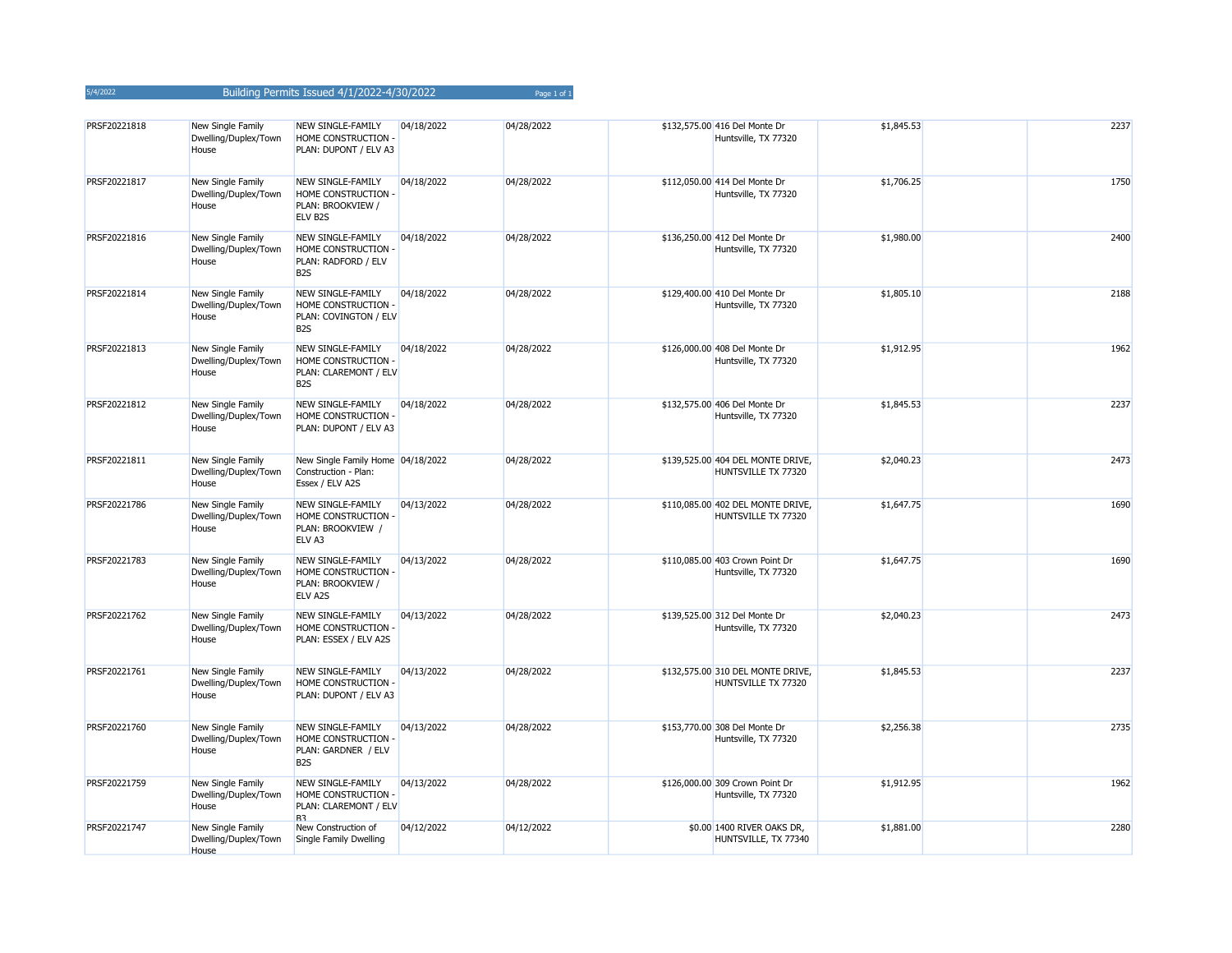| PRSF20221818 | New Single Family<br>Dwelling/Duplex/Town<br>House | NEW SINGLE-FAMILY<br>HOME CONSTRUCTION -<br>PLAN: DUPONT / ELV A3                            | 04/18/2022 | 04/28/2022 | \$132,575.00 416 Del Monte Dr<br>Huntsville, TX 77320    | \$1,845.53 | 2237 |
|--------------|----------------------------------------------------|----------------------------------------------------------------------------------------------|------------|------------|----------------------------------------------------------|------------|------|
| PRSF20221817 | New Single Family<br>Dwelling/Duplex/Town<br>House | NEW SINGLE-FAMILY<br>HOME CONSTRUCTION -<br>PLAN: BROOKVIEW /<br>ELV B2S                     | 04/18/2022 | 04/28/2022 | \$112,050.00 414 Del Monte Dr<br>Huntsville, TX 77320    | \$1,706.25 | 1750 |
| PRSF20221816 | New Single Family<br>Dwelling/Duplex/Town<br>House | NEW SINGLE-FAMILY<br>HOME CONSTRUCTION -<br>PLAN: RADFORD / ELV<br>B <sub>2</sub> S          | 04/18/2022 | 04/28/2022 | \$136,250.00 412 Del Monte Dr<br>Huntsville, TX 77320    | \$1,980.00 | 2400 |
| PRSF20221814 | New Single Family<br>Dwelling/Duplex/Town<br>House | <b>NEW SINGLE-FAMILY</b><br>HOME CONSTRUCTION -<br>PLAN: COVINGTON / ELV<br>B <sub>2</sub> S | 04/18/2022 | 04/28/2022 | \$129,400.00 410 Del Monte Dr<br>Huntsville, TX 77320    | \$1,805.10 | 2188 |
| PRSF20221813 | New Single Family<br>Dwelling/Duplex/Town<br>House | NEW SINGLE-FAMILY<br>HOME CONSTRUCTION -<br>PLAN: CLAREMONT / ELV<br>B <sub>2</sub> S        | 04/18/2022 | 04/28/2022 | \$126,000.00 408 Del Monte Dr<br>Huntsville, TX 77320    | \$1,912.95 | 1962 |
| PRSF20221812 | New Single Family<br>Dwelling/Duplex/Town<br>House | <b>NEW SINGLE-FAMILY</b><br>HOME CONSTRUCTION -<br>PLAN: DUPONT / ELV A3                     | 04/18/2022 | 04/28/2022 | \$132,575.00 406 Del Monte Dr<br>Huntsville, TX 77320    | \$1,845.53 | 2237 |
| PRSF20221811 | New Single Family<br>Dwelling/Duplex/Town<br>House | New Single Family Home 04/18/2022<br>Construction - Plan:<br>Essex / ELV A2S                 |            | 04/28/2022 | \$139,525.00 404 DEL MONTE DRIVE,<br>HUNTSVILLE TX 77320 | \$2,040.23 | 2473 |
| PRSF20221786 | New Single Family<br>Dwelling/Duplex/Town<br>House | NEW SINGLE-FAMILY<br>HOME CONSTRUCTION -<br>PLAN: BROOKVIEW /<br>ELV <sub>A3</sub>           | 04/13/2022 | 04/28/2022 | \$110,085.00 402 DEL MONTE DRIVE,<br>HUNTSVILLE TX 77320 | \$1,647.75 | 1690 |
| PRSF20221783 | New Single Family<br>Dwelling/Duplex/Town<br>House | NEW SINGLE-FAMILY<br><b>HOME CONSTRUCTION -</b><br>PLAN: BROOKVIEW /<br><b>ELV A2S</b>       | 04/13/2022 | 04/28/2022 | \$110,085.00 403 Crown Point Dr<br>Huntsville, TX 77320  | \$1,647.75 | 1690 |
| PRSF20221762 | New Single Family<br>Dwelling/Duplex/Town<br>House | NEW SINGLE-FAMILY<br>HOME CONSTRUCTION -<br>PLAN: ESSEX / ELV A2S                            | 04/13/2022 | 04/28/2022 | \$139,525.00 312 Del Monte Dr<br>Huntsville, TX 77320    | \$2,040.23 | 2473 |
| PRSF20221761 | New Single Family<br>Dwelling/Duplex/Town<br>House | <b>NEW SINGLE-FAMILY</b><br>HOME CONSTRUCTION -<br>PLAN: DUPONT / ELV A3                     | 04/13/2022 | 04/28/2022 | \$132,575.00 310 DEL MONTE DRIVE,<br>HUNTSVILLE TX 77320 | \$1,845.53 | 2237 |
| PRSF20221760 | New Single Family<br>Dwelling/Duplex/Town<br>House | NEW SINGLE-FAMILY<br>HOME CONSTRUCTION -<br>PLAN: GARDNER / ELV<br>B <sub>2</sub> S          | 04/13/2022 | 04/28/2022 | \$153,770.00 308 Del Monte Dr<br>Huntsville, TX 77320    | \$2,256.38 | 2735 |
| PRSF20221759 | New Single Family<br>Dwelling/Duplex/Town<br>House | NEW SINGLE-FAMILY<br>HOME CONSTRUCTION -<br>PLAN: CLAREMONT / ELV<br>R3                      | 04/13/2022 | 04/28/2022 | \$126,000.00 309 Crown Point Dr<br>Huntsville, TX 77320  | \$1,912.95 | 1962 |
| PRSF20221747 | New Single Family<br>Dwelling/Duplex/Town<br>House | New Construction of<br>Single Family Dwelling                                                | 04/12/2022 | 04/12/2022 | \$0.00 1400 RIVER OAKS DR,<br>HUNTSVILLE, TX 77340       | \$1,881.00 | 2280 |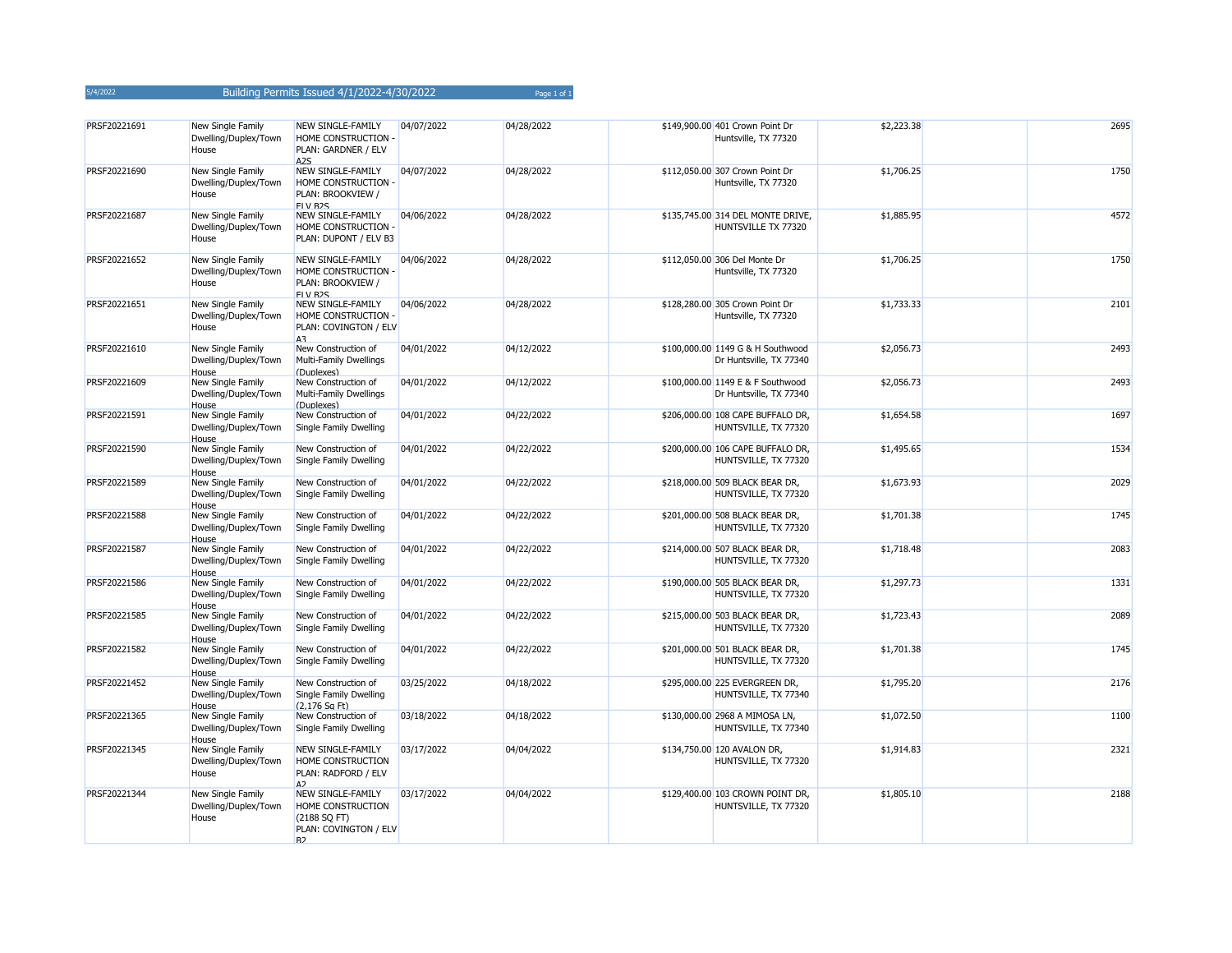| 5/4/2022 | Building Permits Issued 4/1/2022-4/30/2022 | Page 1 of 1 |
|----------|--------------------------------------------|-------------|
|----------|--------------------------------------------|-------------|

| PRSF20221691 | New Single Family<br>Dwelling/Duplex/Town<br>House        | NEW SINGLE-FAMILY<br>HOME CONSTRUCTION -<br>PLAN: GARDNER / ELV<br><b>A2S</b>                     | 04/07/2022 | 04/28/2022 | \$149,900.00 401 Crown Point Dr<br>Huntsville, TX 77320      | \$2,223.38 | 2695 |
|--------------|-----------------------------------------------------------|---------------------------------------------------------------------------------------------------|------------|------------|--------------------------------------------------------------|------------|------|
| PRSF20221690 | New Single Family<br>Dwelling/Duplex/Town<br>House        | NEW SINGLE-FAMILY<br>HOME CONSTRUCTION<br>PLAN: BROOKVIEW /<br>FIV R <sub>2S</sub>                | 04/07/2022 | 04/28/2022 | \$112,050.00 307 Crown Point Dr<br>Huntsville, TX 77320      | \$1,706.25 | 1750 |
| PRSF20221687 | New Single Family<br>Dwelling/Duplex/Town<br>House        | NEW SINGLE-FAMILY<br>HOME CONSTRUCTION -<br>PLAN: DUPONT / ELV B3                                 | 04/06/2022 | 04/28/2022 | \$135,745.00 314 DEL MONTE DRIVE,<br>HUNTSVILLE TX 77320     | \$1,885.95 | 4572 |
| PRSF20221652 | New Single Family<br>Dwelling/Duplex/Town<br>House        | <b>NEW SINGLE-FAMILY</b><br>HOME CONSTRUCTION -<br>PLAN: BROOKVIEW /<br><b>ELV B2S</b>            | 04/06/2022 | 04/28/2022 | \$112,050.00 306 Del Monte Dr<br>Huntsville, TX 77320        | \$1,706.25 | 1750 |
| PRSF20221651 | New Single Family<br>Dwelling/Duplex/Town<br>House        | NEW SINGLE-FAMILY<br>HOME CONSTRUCTION -<br>PLAN: COVINGTON / ELV<br>A3                           | 04/06/2022 | 04/28/2022 | \$128,280.00 305 Crown Point Dr<br>Huntsville, TX 77320      | \$1,733.33 | 2101 |
| PRSF20221610 | New Single Family<br>Dwelling/Duplex/Town<br><b>House</b> | New Construction of<br>Multi-Family Dwellings<br>(Duplexes)                                       | 04/01/2022 | 04/12/2022 | \$100,000.00 1149 G & H Southwood<br>Dr Huntsville, TX 77340 | \$2,056.73 | 2493 |
| PRSF20221609 | New Single Family<br>Dwelling/Duplex/Town<br>House        | New Construction of<br>Multi-Family Dwellings<br>(Duplexes)                                       | 04/01/2022 | 04/12/2022 | \$100,000.00 1149 E & F Southwood<br>Dr Huntsville, TX 77340 | \$2,056.73 | 2493 |
| PRSF20221591 | New Single Family<br>Dwelling/Duplex/Town<br>House        | New Construction of<br>Single Family Dwelling                                                     | 04/01/2022 | 04/22/2022 | \$206,000.00 108 CAPE BUFFALO DR,<br>HUNTSVILLE, TX 77320    | \$1,654.58 | 1697 |
| PRSF20221590 | New Single Family<br>Dwelling/Duplex/Town<br>House        | New Construction of<br>Single Family Dwelling                                                     | 04/01/2022 | 04/22/2022 | \$200,000.00 106 CAPE BUFFALO DR,<br>HUNTSVILLE, TX 77320    | \$1,495.65 | 1534 |
| PRSF20221589 | New Single Family<br>Dwelling/Duplex/Town<br>House        | New Construction of<br>Single Family Dwelling                                                     | 04/01/2022 | 04/22/2022 | \$218,000.00 509 BLACK BEAR DR,<br>HUNTSVILLE, TX 77320      | \$1,673.93 | 2029 |
| PRSF20221588 | New Single Family<br>Dwelling/Duplex/Town<br>House        | New Construction of<br>Single Family Dwelling                                                     | 04/01/2022 | 04/22/2022 | \$201,000.00 508 BLACK BEAR DR,<br>HUNTSVILLE, TX 77320      | \$1,701.38 | 1745 |
| PRSF20221587 | New Single Family<br>Dwelling/Duplex/Town<br>House        | New Construction of<br>Single Family Dwelling                                                     | 04/01/2022 | 04/22/2022 | \$214,000.00 507 BLACK BEAR DR,<br>HUNTSVILLE, TX 77320      | \$1,718.48 | 2083 |
| PRSF20221586 | New Single Family<br>Dwelling/Duplex/Town<br><b>House</b> | New Construction of<br>Single Family Dwelling                                                     | 04/01/2022 | 04/22/2022 | \$190,000.00 505 BLACK BEAR DR,<br>HUNTSVILLE, TX 77320      | \$1,297.73 | 1331 |
| PRSF20221585 | New Single Family<br>Dwelling/Duplex/Town<br>House        | New Construction of<br>Single Family Dwelling                                                     | 04/01/2022 | 04/22/2022 | \$215,000.00 503 BLACK BEAR DR,<br>HUNTSVILLE, TX 77320      | \$1,723.43 | 2089 |
| PRSF20221582 | New Single Family<br>Dwelling/Duplex/Town<br><b>House</b> | New Construction of<br>Single Family Dwelling                                                     | 04/01/2022 | 04/22/2022 | \$201,000.00 501 BLACK BEAR DR,<br>HUNTSVILLE, TX 77320      | \$1,701.38 | 1745 |
| PRSF20221452 | New Single Family<br>Dwelling/Duplex/Town<br>House        | New Construction of<br>Single Family Dwelling<br>(2.176 Sa Ft)                                    | 03/25/2022 | 04/18/2022 | \$295,000.00 225 EVERGREEN DR,<br>HUNTSVILLE, TX 77340       | \$1,795.20 | 2176 |
| PRSF20221365 | New Single Family<br>Dwelling/Duplex/Town<br><b>House</b> | New Construction of<br>Single Family Dwelling                                                     | 03/18/2022 | 04/18/2022 | \$130,000.00 2968 A MIMOSA LN,<br>HUNTSVILLE, TX 77340       | \$1,072.50 | 1100 |
| PRSF20221345 | New Single Family<br>Dwelling/Duplex/Town<br>House        | <b>NEW SINGLE-FAMILY</b><br>HOME CONSTRUCTION<br>PLAN: RADFORD / ELV<br>A <sub>2</sub>            | 03/17/2022 | 04/04/2022 | \$134,750.00 120 AVALON DR,<br>HUNTSVILLE, TX 77320          | \$1,914.83 | 2321 |
| PRSF20221344 | New Single Family<br>Dwelling/Duplex/Town<br>House        | NEW SINGLE-FAMILY<br>HOME CONSTRUCTION<br>(2188 SQ FT)<br>PLAN: COVINGTON / ELV<br>R <sub>2</sub> | 03/17/2022 | 04/04/2022 | \$129,400.00 103 CROWN POINT DR,<br>HUNTSVILLE, TX 77320     | \$1,805.10 | 2188 |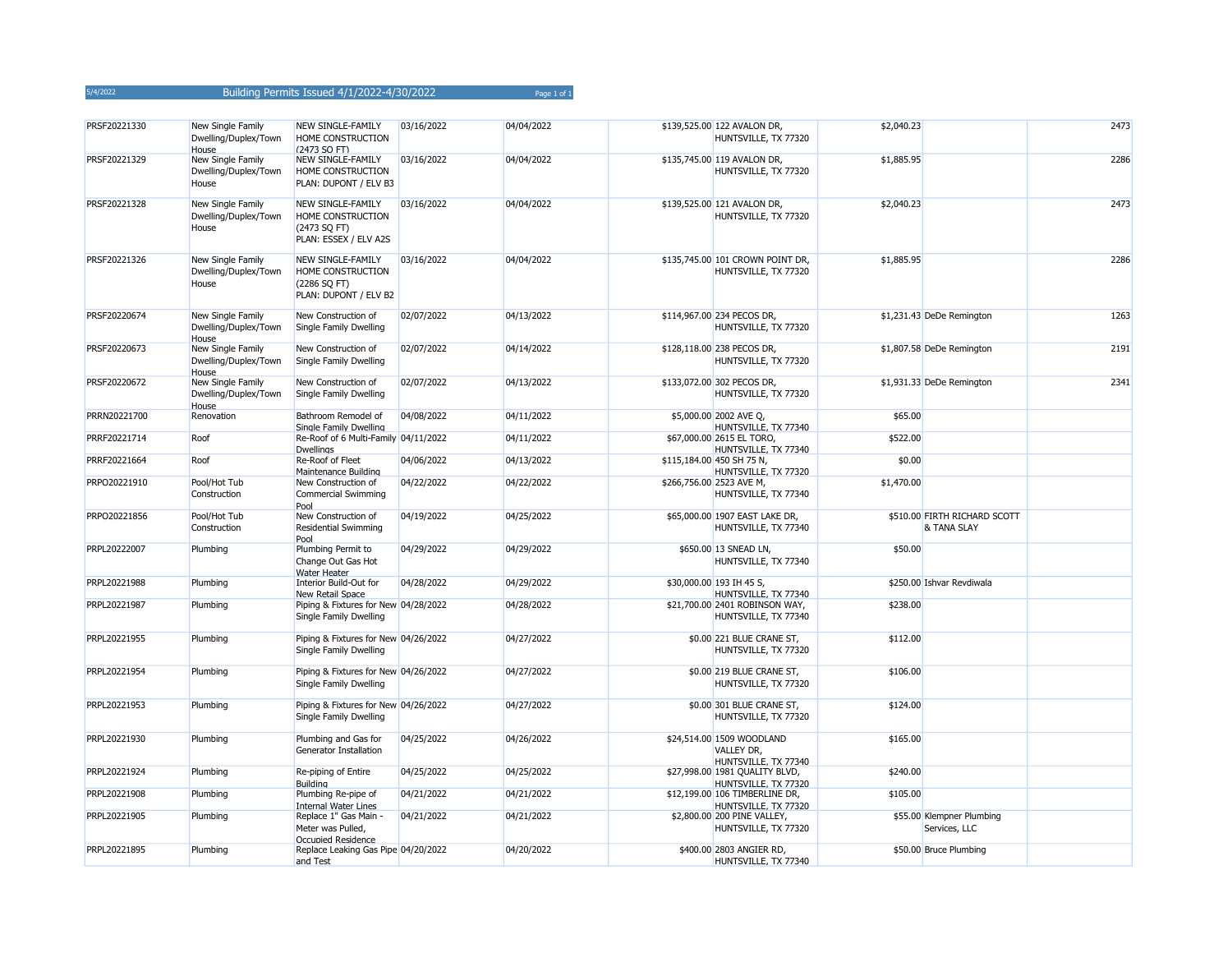| PRSF20221330 | New Single Family<br>Dwelling/Duplex/Town<br>House | NEW SINGLE-FAMILY<br>HOME CONSTRUCTION<br>(2473 SO FT)                          | 03/16/2022 | 04/04/2022 | \$139,525.00 122 AVALON DR,<br>HUNTSVILLE, TX 77320                    | \$2,040.23 |                                             | 2473 |
|--------------|----------------------------------------------------|---------------------------------------------------------------------------------|------------|------------|------------------------------------------------------------------------|------------|---------------------------------------------|------|
| PRSF20221329 | New Single Family<br>Dwelling/Duplex/Town<br>House | NEW SINGLE-FAMILY<br>HOME CONSTRUCTION<br>PLAN: DUPONT / ELV B3                 | 03/16/2022 | 04/04/2022 | \$135,745.00 119 AVALON DR,<br>HUNTSVILLE, TX 77320                    | \$1,885.95 |                                             | 2286 |
| PRSF20221328 | New Single Family<br>Dwelling/Duplex/Town<br>House | NEW SINGLE-FAMILY<br>HOME CONSTRUCTION<br>(2473 SQ FT)<br>PLAN: ESSEX / ELV A2S | 03/16/2022 | 04/04/2022 | \$139,525.00 121 AVALON DR,<br>HUNTSVILLE, TX 77320                    | \$2,040.23 |                                             | 2473 |
| PRSF20221326 | New Single Family<br>Dwelling/Duplex/Town<br>House | NEW SINGLE-FAMILY<br>HOME CONSTRUCTION<br>(2286 SQ FT)<br>PLAN: DUPONT / ELV B2 | 03/16/2022 | 04/04/2022 | \$135,745.00 101 CROWN POINT DR,<br>HUNTSVILLE, TX 77320               | \$1,885.95 |                                             | 2286 |
| PRSF20220674 | New Single Family<br>Dwelling/Duplex/Town<br>House | New Construction of<br>Single Family Dwelling                                   | 02/07/2022 | 04/13/2022 | \$114,967.00 234 PECOS DR,<br>HUNTSVILLE, TX 77320                     |            | \$1,231.43 DeDe Remington                   | 1263 |
| PRSF20220673 | New Single Family<br>Dwelling/Duplex/Town<br>House | New Construction of<br>Single Family Dwelling                                   | 02/07/2022 | 04/14/2022 | \$128,118.00 238 PECOS DR,<br>HUNTSVILLE, TX 77320                     |            | \$1,807.58 DeDe Remington                   | 2191 |
| PRSF20220672 | New Single Family<br>Dwelling/Duplex/Town<br>House | New Construction of<br>Single Family Dwelling                                   | 02/07/2022 | 04/13/2022 | \$133,072.00 302 PECOS DR,<br>HUNTSVILLE, TX 77320                     |            | \$1,931.33 DeDe Remington                   | 2341 |
| PRRN20221700 | Renovation                                         | Bathroom Remodel of<br>Single Family Dwelling                                   | 04/08/2022 | 04/11/2022 | \$5,000.00 2002 AVE Q,<br>HUNTSVILLE, TX 77340                         | \$65.00    |                                             |      |
| PRRF20221714 | Roof                                               | Re-Roof of 6 Multi-Family 04/11/2022<br><b>Dwellings</b>                        |            | 04/11/2022 | \$67,000.00 2615 EL TORO,<br>HUNTSVILLE, TX 77340                      | \$522.00   |                                             |      |
| PRRF20221664 | Roof                                               | Re-Roof of Fleet<br>Maintenance Building                                        | 04/06/2022 | 04/13/2022 | \$115,184.00 450 SH 75 N,<br>HUNTSVILLE. TX 77320                      | \$0.00     |                                             |      |
| PRPO20221910 | Pool/Hot Tub<br>Construction                       | New Construction of<br>Commercial Swimming<br>Pool                              | 04/22/2022 | 04/22/2022 | \$266,756.00 2523 AVE M,<br>HUNTSVILLE, TX 77340                       | \$1,470.00 |                                             |      |
| PRPO20221856 | Pool/Hot Tub<br>Construction                       | New Construction of<br><b>Residential Swimming</b><br>Pool                      | 04/19/2022 | 04/25/2022 | \$65,000.00 1907 EAST LAKE DR,<br>HUNTSVILLE, TX 77340                 |            | \$510.00 FIRTH RICHARD SCOTT<br>& TANA SLAY |      |
| PRPL20222007 | Plumbing                                           | Plumbing Permit to<br>Change Out Gas Hot<br><b>Water Heater</b>                 | 04/29/2022 | 04/29/2022 | \$650.00 13 SNEAD LN,<br>HUNTSVILLE, TX 77340                          | \$50.00    |                                             |      |
| PRPL20221988 | Plumbing                                           | Interior Build-Out for<br>New Retail Space                                      | 04/28/2022 | 04/29/2022 | \$30,000.00 193 IH 45 S,<br>HUNTSVILLE, TX 77340                       |            | \$250.00 Ishvar Revdiwala                   |      |
| PRPL20221987 | Plumbing                                           | Piping & Fixtures for New 04/28/2022<br>Single Family Dwelling                  |            | 04/28/2022 | \$21,700.00 2401 ROBINSON WAY,<br>HUNTSVILLE, TX 77340                 | \$238.00   |                                             |      |
| PRPL20221955 | Plumbing                                           | Piping & Fixtures for New 04/26/2022<br>Single Family Dwelling                  |            | 04/27/2022 | \$0.00 221 BLUE CRANE ST,<br>HUNTSVILLE, TX 77320                      | \$112.00   |                                             |      |
| PRPL20221954 | Plumbing                                           | Piping & Fixtures for New 04/26/2022<br>Single Family Dwelling                  |            | 04/27/2022 | \$0.00 219 BLUE CRANE ST,<br>HUNTSVILLE, TX 77320                      | \$106.00   |                                             |      |
| PRPL20221953 | Plumbing                                           | Piping & Fixtures for New 04/26/2022<br>Single Family Dwelling                  |            | 04/27/2022 | \$0.00 301 BLUE CRANE ST,<br>HUNTSVILLE, TX 77320                      | \$124.00   |                                             |      |
| PRPL20221930 | Plumbing                                           | Plumbing and Gas for<br>Generator Installation                                  | 04/25/2022 | 04/26/2022 | \$24,514.00 1509 WOODLAND<br><b>VALLEY DR,</b><br>HUNTSVILLE, TX 77340 | \$165.00   |                                             |      |
| PRPL20221924 | Plumbing                                           | Re-piping of Entire<br>Building                                                 | 04/25/2022 | 04/25/2022 | \$27,998.00 1981 QUALITY BLVD,<br>HUNTSVILLE, TX 77320                 | \$240.00   |                                             |      |
| PRPL20221908 | Plumbing                                           | Plumbing Re-pipe of<br><b>Internal Water Lines</b>                              | 04/21/2022 | 04/21/2022 | \$12,199.00 106 TIMBERLINE DR,<br>HUNTSVILLE, TX 77320                 | \$105.00   |                                             |      |
| PRPL20221905 | Plumbing                                           | Replace 1" Gas Main -<br>Meter was Pulled,                                      | 04/21/2022 | 04/21/2022 | \$2,800.00 200 PINE VALLEY,<br>HUNTSVILLE, TX 77320                    |            | \$55.00 Klempner Plumbing<br>Services, LLC  |      |
| PRPL20221895 | Plumbing                                           | <b>Occupied Residence</b><br>Replace Leaking Gas Pipe 04/20/2022<br>and Test    |            | 04/20/2022 | \$400.00 2803 ANGIER RD,<br>HUNTSVILLE, TX 77340                       |            | \$50.00 Bruce Plumbing                      |      |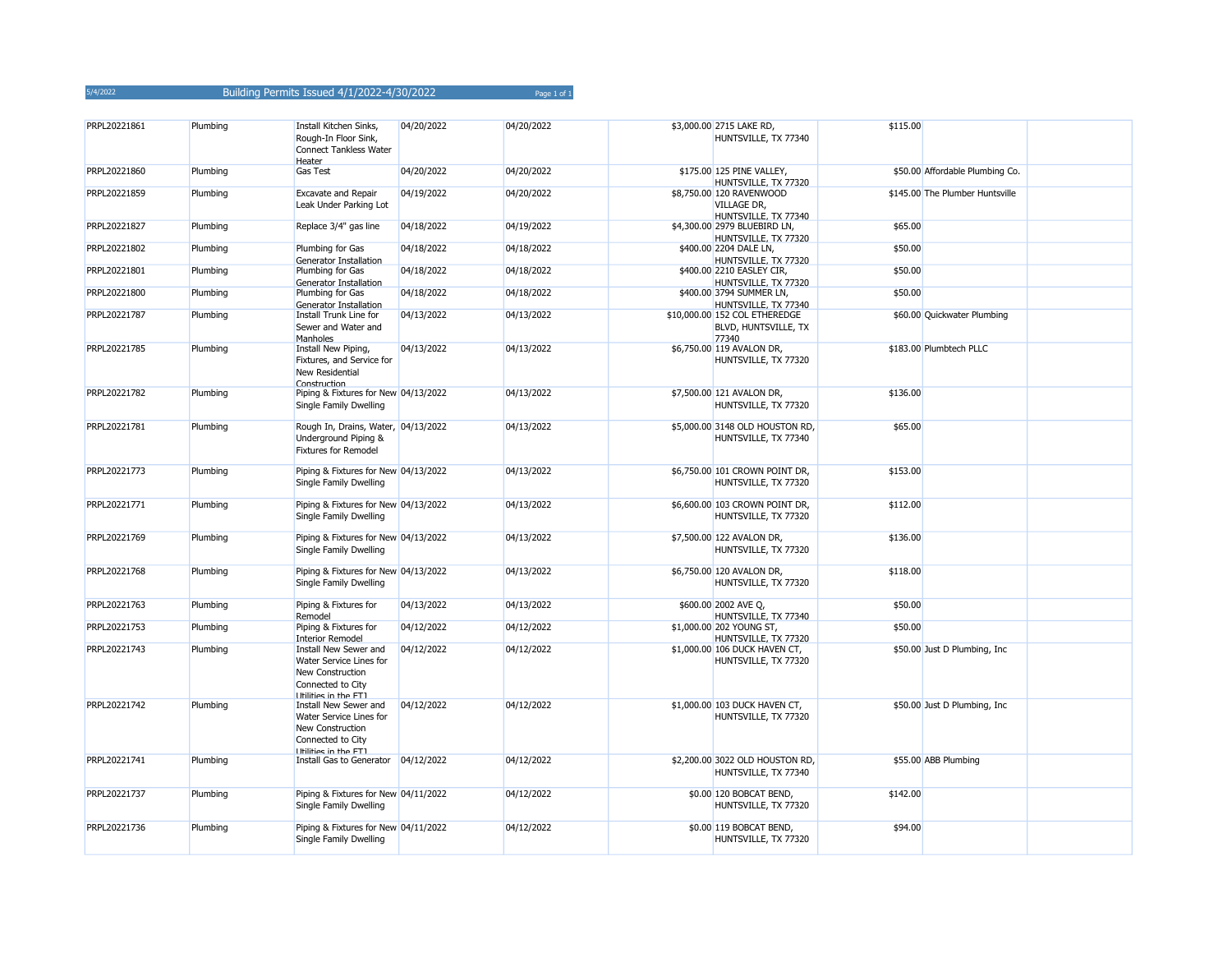| 5/4/2022 | Building Permits Issued 4/1/2022-4/30/2022 | Page 1 of 1 |
|----------|--------------------------------------------|-------------|
|----------|--------------------------------------------|-------------|

| PRPL20221861 | Plumbing | Install Kitchen Sinks,<br>Rough-In Floor Sink,<br><b>Connect Tankless Water</b><br>Heater                                       | 04/20/2022 | 04/20/2022 | \$3,000.00 2715 LAKE RD,<br>HUNTSVILLE, TX 77340                       | \$115.00 |                                 |  |
|--------------|----------|---------------------------------------------------------------------------------------------------------------------------------|------------|------------|------------------------------------------------------------------------|----------|---------------------------------|--|
| PRPL20221860 | Plumbing | Gas Test                                                                                                                        | 04/20/2022 | 04/20/2022 | \$175.00 125 PINE VALLEY,<br>HUNTSVILLE, TX 77320                      |          | \$50.00 Affordable Plumbing Co. |  |
| PRPL20221859 | Plumbing | <b>Excavate and Repair</b><br>Leak Under Parking Lot                                                                            | 04/19/2022 | 04/20/2022 | \$8,750.00 120 RAVENWOOD<br><b>VILLAGE DR,</b><br>HUNTSVILLE. TX 77340 |          | \$145.00 The Plumber Huntsville |  |
| PRPL20221827 | Plumbing | Replace 3/4" gas line                                                                                                           | 04/18/2022 | 04/19/2022 | \$4,300.00 2979 BLUEBIRD LN,<br>HUNTSVILLE, TX 77320                   | \$65.00  |                                 |  |
| PRPL20221802 | Plumbing | Plumbing for Gas<br>Generator Installation                                                                                      | 04/18/2022 | 04/18/2022 | \$400.00 2204 DALE LN,<br>HUNTSVILLE, TX 77320                         | \$50.00  |                                 |  |
| PRPL20221801 | Plumbing | Plumbing for Gas<br>Generator Installation                                                                                      | 04/18/2022 | 04/18/2022 | \$400.00 2210 EASLEY CIR,<br>HUNTSVILLE, TX 77320                      | \$50.00  |                                 |  |
| PRPL20221800 | Plumbing | Plumbing for Gas<br>Generator Installation                                                                                      | 04/18/2022 | 04/18/2022 | \$400.00 3794 SUMMER LN,<br>HUNTSVILLE, TX 77340                       | \$50.00  |                                 |  |
| PRPL20221787 | Plumbing | Install Trunk Line for<br>Sewer and Water and<br>Manholes                                                                       | 04/13/2022 | 04/13/2022 | \$10,000.00 152 COL ETHEREDGE<br>BLVD, HUNTSVILLE, TX<br>77340         |          | \$60.00 Quickwater Plumbing     |  |
| PRPL20221785 | Plumbing | Install New Piping,<br>Fixtures, and Service for<br><b>New Residential</b><br>Construction                                      | 04/13/2022 | 04/13/2022 | \$6,750.00 119 AVALON DR,<br>HUNTSVILLE, TX 77320                      |          | \$183.00 Plumbtech PLLC         |  |
| PRPL20221782 | Plumbing | Piping & Fixtures for New 04/13/2022<br>Single Family Dwelling                                                                  |            | 04/13/2022 | \$7,500.00 121 AVALON DR,<br>HUNTSVILLE, TX 77320                      | \$136.00 |                                 |  |
| PRPL20221781 | Plumbing | Rough In, Drains, Water, 04/13/2022<br>Underground Piping &<br><b>Fixtures for Remodel</b>                                      |            | 04/13/2022 | \$5,000.00 3148 OLD HOUSTON RD,<br>HUNTSVILLE, TX 77340                | \$65.00  |                                 |  |
| PRPL20221773 | Plumbing | Piping & Fixtures for New 04/13/2022<br>Single Family Dwelling                                                                  |            | 04/13/2022 | \$6,750.00 101 CROWN POINT DR,<br>HUNTSVILLE, TX 77320                 | \$153.00 |                                 |  |
| PRPL20221771 | Plumbing | Piping & Fixtures for New 04/13/2022<br><b>Single Family Dwelling</b>                                                           |            | 04/13/2022 | \$6,600.00 103 CROWN POINT DR,<br>HUNTSVILLE, TX 77320                 | \$112.00 |                                 |  |
| PRPL20221769 | Plumbing | Piping & Fixtures for New 04/13/2022<br>Single Family Dwelling                                                                  |            | 04/13/2022 | \$7,500.00 122 AVALON DR.<br>HUNTSVILLE, TX 77320                      | \$136.00 |                                 |  |
| PRPL20221768 | Plumbing | Piping & Fixtures for New 04/13/2022<br>Single Family Dwelling                                                                  |            | 04/13/2022 | \$6,750.00 120 AVALON DR,<br>HUNTSVILLE, TX 77320                      | \$118.00 |                                 |  |
| PRPL20221763 | Plumbing | Piping & Fixtures for<br>Remodel                                                                                                | 04/13/2022 | 04/13/2022 | \$600.00 2002 AVE Q,<br>HUNTSVILLE, TX 77340                           | \$50.00  |                                 |  |
| PRPL20221753 | Plumbing | Piping & Fixtures for<br><b>Interior Remodel</b>                                                                                | 04/12/2022 | 04/12/2022 | \$1,000.00 202 YOUNG ST,<br>HUNTSVILLE, TX 77320                       | \$50.00  |                                 |  |
| PRPL20221743 | Plumbing | Install New Sewer and<br>Water Service Lines for<br>New Construction<br>Connected to City<br>Hilities in the FT1                | 04/12/2022 | 04/12/2022 | \$1,000.00 106 DUCK HAVEN CT,<br>HUNTSVILLE, TX 77320                  |          | \$50.00 Just D Plumbing, Inc.   |  |
| PRPL20221742 | Plumbing | Install New Sewer and<br><b>Water Service Lines for</b><br>New Construction<br>Connected to City<br><b>Utilities in the FT1</b> | 04/12/2022 | 04/12/2022 | \$1,000.00 103 DUCK HAVEN CT,<br>HUNTSVILLE, TX 77320                  |          | \$50.00 Just D Plumbing, Inc    |  |
| PRPL20221741 | Plumbing | Install Gas to Generator 04/12/2022                                                                                             |            | 04/12/2022 | \$2,200.00 3022 OLD HOUSTON RD,<br>HUNTSVILLE, TX 77340                |          | \$55.00 ABB Plumbing            |  |
| PRPL20221737 | Plumbing | Piping & Fixtures for New 04/11/2022<br>Single Family Dwelling                                                                  |            | 04/12/2022 | \$0.00 120 BOBCAT BEND,<br>HUNTSVILLE, TX 77320                        | \$142.00 |                                 |  |
| PRPL20221736 | Plumbing | Piping & Fixtures for New 04/11/2022<br>Single Family Dwelling                                                                  |            | 04/12/2022 | \$0.00 119 BOBCAT BEND,<br>HUNTSVILLE, TX 77320                        | \$94.00  |                                 |  |
|              |          |                                                                                                                                 |            |            |                                                                        |          |                                 |  |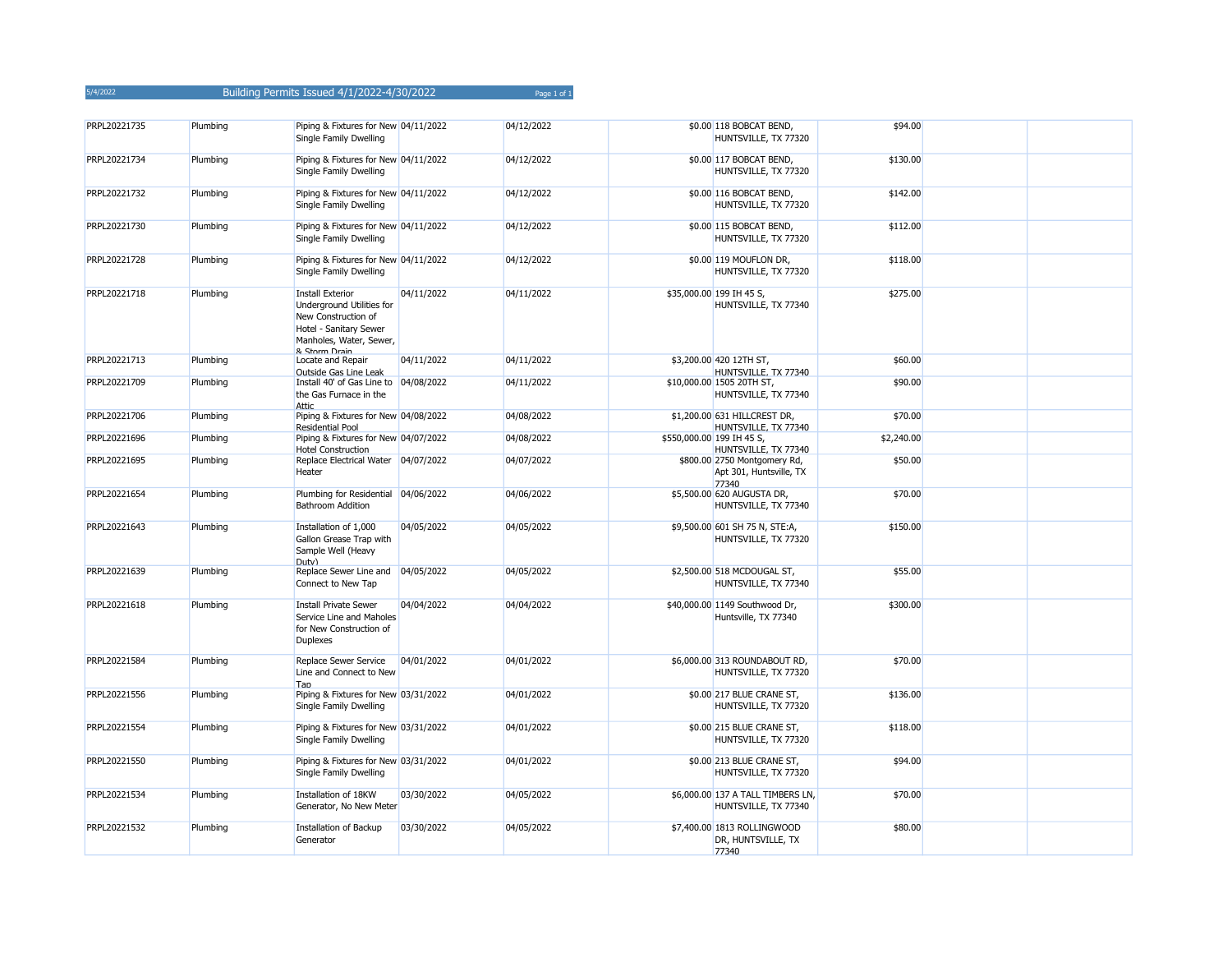| Plumbing | Single Family Dwelling                                                                                                    |                                                                                                                         | 04/12/2022                                                                                                                                                                                                                                                                                                                                                                                                                                                                                                                                                                                                                                                                 | HUNTSVILLE, TX 77320        | \$94.00                                                                                                                                                                                                                                                                                                                                                                                                                                                                                                                                                                                                                                                                                                                           |  |
|----------|---------------------------------------------------------------------------------------------------------------------------|-------------------------------------------------------------------------------------------------------------------------|----------------------------------------------------------------------------------------------------------------------------------------------------------------------------------------------------------------------------------------------------------------------------------------------------------------------------------------------------------------------------------------------------------------------------------------------------------------------------------------------------------------------------------------------------------------------------------------------------------------------------------------------------------------------------|-----------------------------|-----------------------------------------------------------------------------------------------------------------------------------------------------------------------------------------------------------------------------------------------------------------------------------------------------------------------------------------------------------------------------------------------------------------------------------------------------------------------------------------------------------------------------------------------------------------------------------------------------------------------------------------------------------------------------------------------------------------------------------|--|
| Plumbing | Single Family Dwelling                                                                                                    |                                                                                                                         | 04/12/2022                                                                                                                                                                                                                                                                                                                                                                                                                                                                                                                                                                                                                                                                 | HUNTSVILLE, TX 77320        | \$130.00                                                                                                                                                                                                                                                                                                                                                                                                                                                                                                                                                                                                                                                                                                                          |  |
| Plumbing | Single Family Dwelling                                                                                                    |                                                                                                                         | 04/12/2022                                                                                                                                                                                                                                                                                                                                                                                                                                                                                                                                                                                                                                                                 | HUNTSVILLE, TX 77320        | \$142.00                                                                                                                                                                                                                                                                                                                                                                                                                                                                                                                                                                                                                                                                                                                          |  |
| Plumbing | Single Family Dwelling                                                                                                    |                                                                                                                         | 04/12/2022                                                                                                                                                                                                                                                                                                                                                                                                                                                                                                                                                                                                                                                                 | HUNTSVILLE, TX 77320        | \$112.00                                                                                                                                                                                                                                                                                                                                                                                                                                                                                                                                                                                                                                                                                                                          |  |
| Plumbing | Single Family Dwelling                                                                                                    |                                                                                                                         | 04/12/2022                                                                                                                                                                                                                                                                                                                                                                                                                                                                                                                                                                                                                                                                 | HUNTSVILLE, TX 77320        | \$118.00                                                                                                                                                                                                                                                                                                                                                                                                                                                                                                                                                                                                                                                                                                                          |  |
| Plumbing | Install Exterior<br>Underground Utilities for<br>New Construction of<br>Hotel - Sanitary Sewer<br>Manholes, Water, Sewer, |                                                                                                                         | 04/11/2022                                                                                                                                                                                                                                                                                                                                                                                                                                                                                                                                                                                                                                                                 | HUNTSVILLE, TX 77340        | \$275.00                                                                                                                                                                                                                                                                                                                                                                                                                                                                                                                                                                                                                                                                                                                          |  |
| Plumbing | Locate and Repair                                                                                                         |                                                                                                                         | 04/11/2022                                                                                                                                                                                                                                                                                                                                                                                                                                                                                                                                                                                                                                                                 |                             | \$60.00                                                                                                                                                                                                                                                                                                                                                                                                                                                                                                                                                                                                                                                                                                                           |  |
| Plumbing | the Gas Furnace in the                                                                                                    |                                                                                                                         | 04/11/2022                                                                                                                                                                                                                                                                                                                                                                                                                                                                                                                                                                                                                                                                 | HUNTSVILLE, TX 77340        | \$90.00                                                                                                                                                                                                                                                                                                                                                                                                                                                                                                                                                                                                                                                                                                                           |  |
| Plumbing |                                                                                                                           |                                                                                                                         | 04/08/2022                                                                                                                                                                                                                                                                                                                                                                                                                                                                                                                                                                                                                                                                 |                             | \$70.00                                                                                                                                                                                                                                                                                                                                                                                                                                                                                                                                                                                                                                                                                                                           |  |
| Plumbing |                                                                                                                           |                                                                                                                         | 04/08/2022                                                                                                                                                                                                                                                                                                                                                                                                                                                                                                                                                                                                                                                                 |                             | \$2,240.00                                                                                                                                                                                                                                                                                                                                                                                                                                                                                                                                                                                                                                                                                                                        |  |
| Plumbing | Heater                                                                                                                    |                                                                                                                         | 04/07/2022                                                                                                                                                                                                                                                                                                                                                                                                                                                                                                                                                                                                                                                                 | Apt 301, Huntsville, TX     | \$50.00                                                                                                                                                                                                                                                                                                                                                                                                                                                                                                                                                                                                                                                                                                                           |  |
| Plumbing | <b>Bathroom Addition</b>                                                                                                  |                                                                                                                         | 04/06/2022                                                                                                                                                                                                                                                                                                                                                                                                                                                                                                                                                                                                                                                                 | HUNTSVILLE, TX 77340        | \$70.00                                                                                                                                                                                                                                                                                                                                                                                                                                                                                                                                                                                                                                                                                                                           |  |
| Plumbing | Installation of 1,000<br>Gallon Grease Trap with<br>Sample Well (Heavy                                                    |                                                                                                                         | 04/05/2022                                                                                                                                                                                                                                                                                                                                                                                                                                                                                                                                                                                                                                                                 | HUNTSVILLE, TX 77320        | \$150.00                                                                                                                                                                                                                                                                                                                                                                                                                                                                                                                                                                                                                                                                                                                          |  |
| Plumbing | Connect to New Tap                                                                                                        |                                                                                                                         | 04/05/2022                                                                                                                                                                                                                                                                                                                                                                                                                                                                                                                                                                                                                                                                 | HUNTSVILLE, TX 77340        | \$55.00                                                                                                                                                                                                                                                                                                                                                                                                                                                                                                                                                                                                                                                                                                                           |  |
| Plumbing | <b>Install Private Sewer</b><br>Service Line and Maholes<br>for New Construction of<br><b>Duplexes</b>                    |                                                                                                                         | 04/04/2022                                                                                                                                                                                                                                                                                                                                                                                                                                                                                                                                                                                                                                                                 | Huntsville, TX 77340        | \$300.00                                                                                                                                                                                                                                                                                                                                                                                                                                                                                                                                                                                                                                                                                                                          |  |
| Plumbing | Replace Sewer Service<br>Line and Connect to New                                                                          |                                                                                                                         | 04/01/2022                                                                                                                                                                                                                                                                                                                                                                                                                                                                                                                                                                                                                                                                 | HUNTSVILLE, TX 77320        | \$70.00                                                                                                                                                                                                                                                                                                                                                                                                                                                                                                                                                                                                                                                                                                                           |  |
| Plumbing | Single Family Dwelling                                                                                                    |                                                                                                                         | 04/01/2022                                                                                                                                                                                                                                                                                                                                                                                                                                                                                                                                                                                                                                                                 | HUNTSVILLE, TX 77320        | \$136.00                                                                                                                                                                                                                                                                                                                                                                                                                                                                                                                                                                                                                                                                                                                          |  |
| Plumbing | Single Family Dwelling                                                                                                    |                                                                                                                         | 04/01/2022                                                                                                                                                                                                                                                                                                                                                                                                                                                                                                                                                                                                                                                                 | HUNTSVILLE, TX 77320        | \$118.00                                                                                                                                                                                                                                                                                                                                                                                                                                                                                                                                                                                                                                                                                                                          |  |
| Plumbing | Single Family Dwelling                                                                                                    |                                                                                                                         | 04/01/2022                                                                                                                                                                                                                                                                                                                                                                                                                                                                                                                                                                                                                                                                 | HUNTSVILLE, TX 77320        | \$94.00                                                                                                                                                                                                                                                                                                                                                                                                                                                                                                                                                                                                                                                                                                                           |  |
| Plumbing | Installation of 18KW<br>Generator, No New Meter                                                                           |                                                                                                                         | 04/05/2022                                                                                                                                                                                                                                                                                                                                                                                                                                                                                                                                                                                                                                                                 | HUNTSVILLE, TX 77340        | \$70.00                                                                                                                                                                                                                                                                                                                                                                                                                                                                                                                                                                                                                                                                                                                           |  |
| Plumbing | Installation of Backup<br>Generator                                                                                       |                                                                                                                         | 04/05/2022                                                                                                                                                                                                                                                                                                                                                                                                                                                                                                                                                                                                                                                                 | DR, HUNTSVILLE, TX<br>77340 | \$80.00                                                                                                                                                                                                                                                                                                                                                                                                                                                                                                                                                                                                                                                                                                                           |  |
|          |                                                                                                                           | & Storm Drain<br>Outside Gas Line Leak<br><b>Attic</b><br>Residential Pool<br><b>Hotel Construction</b><br>Dutv)<br>Tan | Piping & Fixtures for New 04/11/2022<br>Piping & Fixtures for New 04/11/2022<br>Piping & Fixtures for New 04/11/2022<br>Piping & Fixtures for New 04/11/2022<br>Piping & Fixtures for New 04/11/2022<br>04/11/2022<br>04/11/2022<br>Install 40' of Gas Line to 04/08/2022<br>Piping & Fixtures for New 04/08/2022<br>Piping & Fixtures for New 04/07/2022<br>Replace Electrical Water 04/07/2022<br>Plumbing for Residential 04/06/2022<br>04/05/2022<br>Replace Sewer Line and 04/05/2022<br>04/04/2022<br>04/01/2022<br>Piping & Fixtures for New 03/31/2022<br>Piping & Fixtures for New 03/31/2022<br>Piping & Fixtures for New 03/31/2022<br>03/30/2022<br>03/30/2022 |                             | \$0.00 118 BOBCAT BEND,<br>\$0.00 117 BOBCAT BEND,<br>\$0.00 116 BOBCAT BEND,<br>\$0.00 115 BOBCAT BEND,<br>\$0.00 119 MOUFLON DR,<br>\$35,000.00 199 IH 45 S,<br>\$3,200.00 420 12TH ST,<br>HUNTSVILLE, TX 77340<br>\$10,000.00 1505 20TH ST,<br>\$1,200.00 631 HILLCREST DR,<br>HUNTSVILLE, TX 77340<br>\$550,000.00 199 IH 45 S,<br>HUNTSVILLE, TX 77340<br>\$800.00 2750 Montgomery Rd,<br>77340<br>\$5,500.00 620 AUGUSTA DR,<br>\$9,500.00 601 SH 75 N, STE:A,<br>\$2,500.00 518 MCDOUGAL ST,<br>\$40,000.00 1149 Southwood Dr,<br>\$6,000.00 313 ROUNDABOUT RD,<br>\$0.00 217 BLUE CRANE ST,<br>\$0.00 215 BLUE CRANE ST,<br>\$0.00 213 BLUE CRANE ST,<br>\$6,000.00 137 A TALL TIMBERS LN,<br>\$7,400.00 1813 ROLLINGWOOD |  |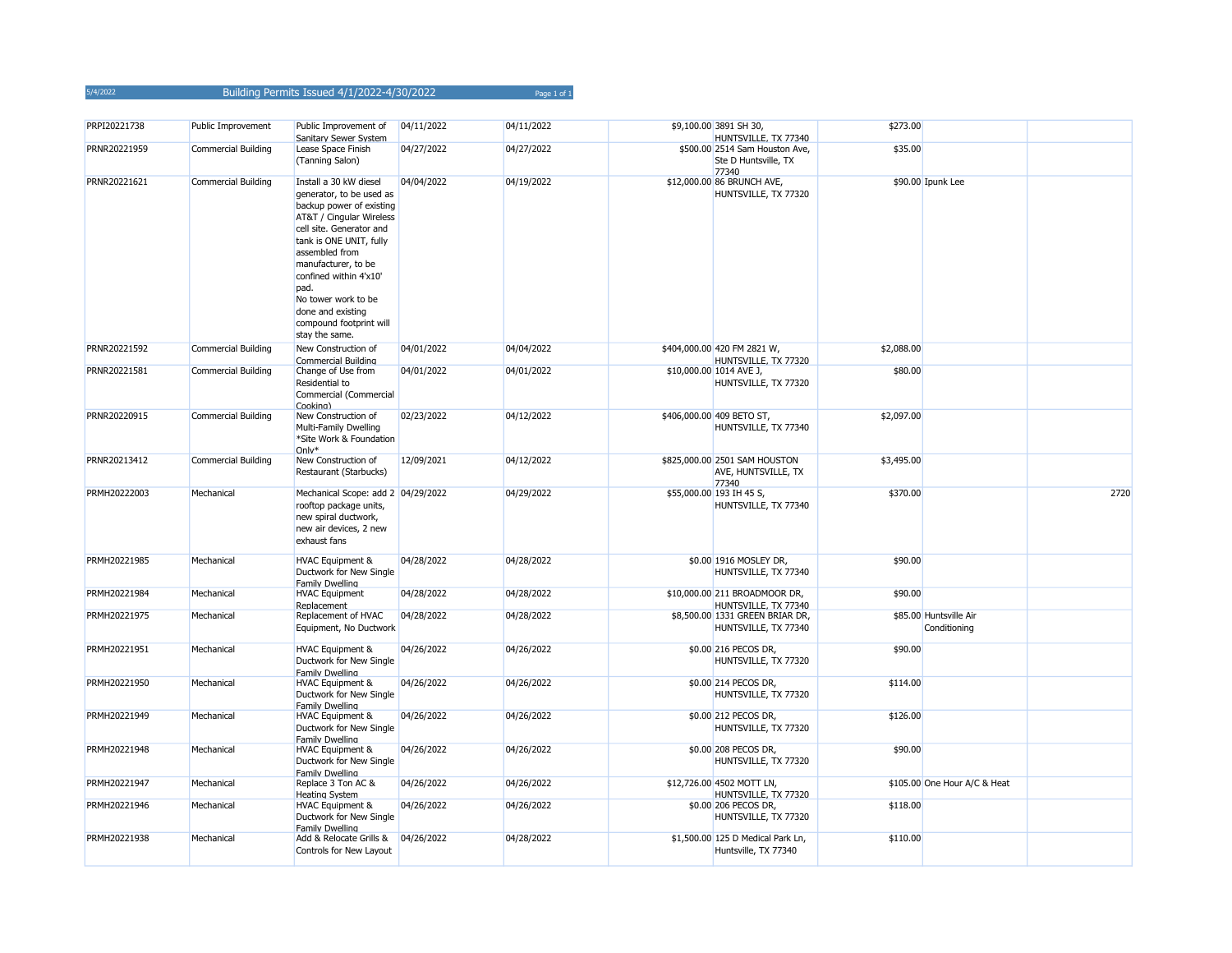| PRPI20221738 | Public Improvement  | Public Improvement of<br>Sanitary Sewer System                                                                                                                                                                                                                                                                                        | 04/11/2022 | 04/11/2022 | \$9,100.00 3891 SH 30,<br>HUNTSVILLE, TX 77340                  | \$273.00   |                                        |      |
|--------------|---------------------|---------------------------------------------------------------------------------------------------------------------------------------------------------------------------------------------------------------------------------------------------------------------------------------------------------------------------------------|------------|------------|-----------------------------------------------------------------|------------|----------------------------------------|------|
| PRNR20221959 | Commercial Building | Lease Space Finish<br>(Tanning Salon)                                                                                                                                                                                                                                                                                                 | 04/27/2022 | 04/27/2022 | \$500.00 2514 Sam Houston Ave,<br>Ste D Huntsville, TX<br>77340 | \$35.00    |                                        |      |
| PRNR20221621 | Commercial Building | Install a 30 kW diesel<br>generator, to be used as<br>backup power of existing<br>AT&T / Cingular Wireless<br>cell site. Generator and<br>tank is ONE UNIT, fully<br>assembled from<br>manufacturer, to be<br>confined within 4'x10'<br>pad.<br>No tower work to be<br>done and existing<br>compound footprint will<br>stay the same. | 04/04/2022 | 04/19/2022 | \$12,000.00 86 BRUNCH AVE,<br>HUNTSVILLE, TX 77320              |            | \$90.00 Ipunk Lee                      |      |
| PRNR20221592 | Commercial Building | New Construction of<br>Commercial Building                                                                                                                                                                                                                                                                                            | 04/01/2022 | 04/04/2022 | \$404,000.00 420 FM 2821 W,<br>HUNTSVILLE, TX 77320             | \$2,088.00 |                                        |      |
| PRNR20221581 | Commercial Building | Change of Use from<br>Residential to<br>Commercial (Commercial<br>Cooking)                                                                                                                                                                                                                                                            | 04/01/2022 | 04/01/2022 | \$10,000.00 1014 AVE J,<br>HUNTSVILLE, TX 77320                 | \$80.00    |                                        |      |
| PRNR20220915 | Commercial Building | New Construction of<br><b>Multi-Family Dwelling</b><br>*Site Work & Foundation<br>$Onlv*$                                                                                                                                                                                                                                             | 02/23/2022 | 04/12/2022 | \$406,000.00 409 BETO ST,<br>HUNTSVILLE, TX 77340               | \$2,097.00 |                                        |      |
| PRNR20213412 | Commercial Building | New Construction of<br>Restaurant (Starbucks)                                                                                                                                                                                                                                                                                         | 12/09/2021 | 04/12/2022 | \$825,000.00 2501 SAM HOUSTON<br>AVE, HUNTSVILLE, TX<br>77340   | \$3,495.00 |                                        |      |
| PRMH20222003 | Mechanical          | Mechanical Scope: add 2 04/29/2022<br>rooftop package units,<br>new spiral ductwork,<br>new air devices, 2 new<br>exhaust fans                                                                                                                                                                                                        |            | 04/29/2022 | \$55,000.00 193 IH 45 S,<br>HUNTSVILLE, TX 77340                | \$370.00   |                                        | 2720 |
| PRMH20221985 | Mechanical          | <b>HVAC Equipment &amp;</b><br>Ductwork for New Single<br><b>Family Dwelling</b>                                                                                                                                                                                                                                                      | 04/28/2022 | 04/28/2022 | \$0.00 1916 MOSLEY DR,<br>HUNTSVILLE, TX 77340                  | \$90.00    |                                        |      |
| PRMH20221984 | Mechanical          | <b>HVAC Equipment</b><br>Replacement                                                                                                                                                                                                                                                                                                  | 04/28/2022 | 04/28/2022 | \$10,000.00 211 BROADMOOR DR,<br>HUNTSVILLE, TX 77340           | \$90.00    |                                        |      |
| PRMH20221975 | Mechanical          | Replacement of HVAC<br>Equipment, No Ductwork                                                                                                                                                                                                                                                                                         | 04/28/2022 | 04/28/2022 | \$8,500.00 1331 GREEN BRIAR DR,<br>HUNTSVILLE, TX 77340         |            | \$85.00 Huntsville Air<br>Conditioning |      |
| PRMH20221951 | Mechanical          | HVAC Equipment &<br>Ductwork for New Single<br>Family Dwelling                                                                                                                                                                                                                                                                        | 04/26/2022 | 04/26/2022 | \$0.00 216 PECOS DR,<br>HUNTSVILLE, TX 77320                    | \$90.00    |                                        |      |
| PRMH20221950 | Mechanical          | <b>HVAC Equipment &amp;</b><br>Ductwork for New Single<br><b>Family Dwelling</b>                                                                                                                                                                                                                                                      | 04/26/2022 | 04/26/2022 | \$0.00 214 PECOS DR,<br>HUNTSVILLE, TX 77320                    | \$114.00   |                                        |      |
| PRMH20221949 | Mechanical          | <b>HVAC Equipment &amp;</b><br>Ductwork for New Single<br>Family Dwelling                                                                                                                                                                                                                                                             | 04/26/2022 | 04/26/2022 | \$0.00 212 PECOS DR,<br>HUNTSVILLE, TX 77320                    | \$126.00   |                                        |      |
| PRMH20221948 | Mechanical          | HVAC Equipment &<br>Ductwork for New Single<br>Family Dwelling                                                                                                                                                                                                                                                                        | 04/26/2022 | 04/26/2022 | \$0.00 208 PECOS DR,<br>HUNTSVILLE, TX 77320                    | \$90.00    |                                        |      |
| PRMH20221947 | Mechanical          | Replace 3 Ton AC &<br>Heating System                                                                                                                                                                                                                                                                                                  | 04/26/2022 | 04/26/2022 | \$12,726.00 4502 MOTT LN,<br>HUNTSVILLE, TX 77320               |            | \$105.00 One Hour A/C & Heat           |      |
| PRMH20221946 | Mechanical          | <b>HVAC Equipment &amp;</b><br>Ductwork for New Single<br>Family Dwelling                                                                                                                                                                                                                                                             | 04/26/2022 | 04/26/2022 | \$0.00 206 PECOS DR,<br>HUNTSVILLE, TX 77320                    | \$118.00   |                                        |      |
| PRMH20221938 | Mechanical          | Add & Relocate Grills &<br>Controls for New Layout                                                                                                                                                                                                                                                                                    | 04/26/2022 | 04/28/2022 | \$1,500.00 125 D Medical Park Ln,<br>Huntsville, TX 77340       | \$110.00   |                                        |      |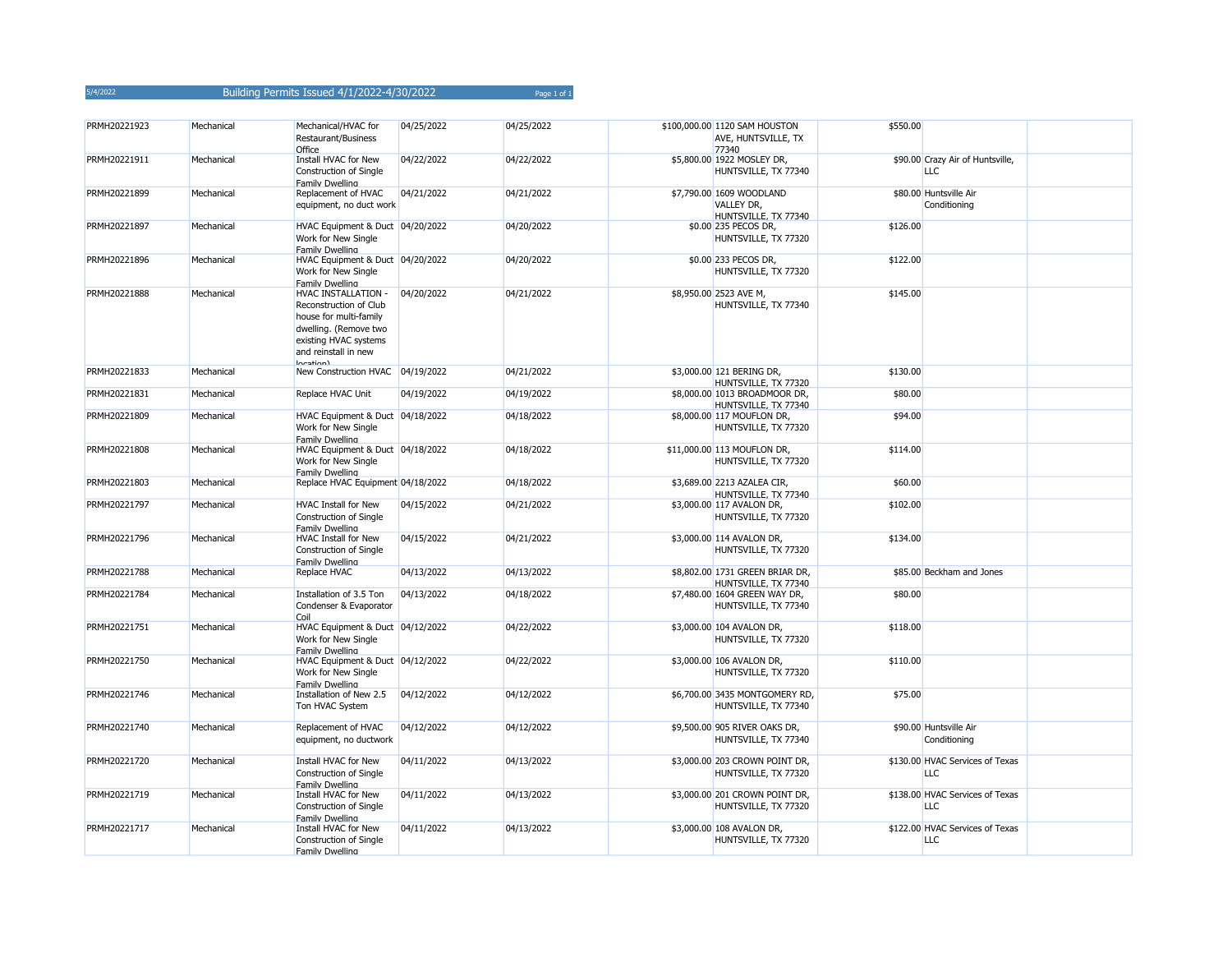| PRMH20221923 | Mechanical | Mechanical/HVAC for<br>Restaurant/Business<br>Office                                                                                                          | 04/25/2022 | 04/25/2022 | \$100,000.00 1120 SAM HOUSTON<br>AVE, HUNTSVILLE, TX<br>77340  | \$550.00 |                                                |  |
|--------------|------------|---------------------------------------------------------------------------------------------------------------------------------------------------------------|------------|------------|----------------------------------------------------------------|----------|------------------------------------------------|--|
| PRMH20221911 | Mechanical | Install HVAC for New<br>Construction of Single<br><b>Family Dwelling</b>                                                                                      | 04/22/2022 | 04/22/2022 | \$5,800.00 1922 MOSLEY DR,<br>HUNTSVILLE, TX 77340             |          | \$90.00 Crazy Air of Huntsville,<br><b>LLC</b> |  |
| PRMH20221899 | Mechanical | Replacement of HVAC<br>equipment, no duct work                                                                                                                | 04/21/2022 | 04/21/2022 | \$7,790.00 1609 WOODLAND<br>VALLEY DR,<br>HUNTSVILLE, TX 77340 |          | \$80.00 Huntsville Air<br>Conditioning         |  |
| PRMH20221897 | Mechanical | HVAC Equipment & Duct 04/20/2022<br>Work for New Single<br>Family Dwelling                                                                                    |            | 04/20/2022 | \$0.00 235 PECOS DR,<br>HUNTSVILLE, TX 77320                   | \$126.00 |                                                |  |
| PRMH20221896 | Mechanical | HVAC Equipment & Duct 04/20/2022<br>Work for New Single<br>Family Dwelling                                                                                    |            | 04/20/2022 | \$0.00 233 PECOS DR,<br>HUNTSVILLE, TX 77320                   | \$122.00 |                                                |  |
| PRMH20221888 | Mechanical | HVAC INSTALLATION -<br>Reconstruction of Club<br>house for multi-family<br>dwelling. (Remove two<br>existing HVAC systems<br>and reinstall in new<br>horation | 04/20/2022 | 04/21/2022 | \$8,950.00 2523 AVE M,<br>HUNTSVILLE, TX 77340                 | \$145.00 |                                                |  |
| PRMH20221833 | Mechanical | New Construction HVAC 04/19/2022                                                                                                                              |            | 04/21/2022 | \$3,000.00 121 BERING DR,<br>HUNTSVILLE, TX 77320              | \$130.00 |                                                |  |
| PRMH20221831 | Mechanical | Replace HVAC Unit                                                                                                                                             | 04/19/2022 | 04/19/2022 | \$8,000.00 1013 BROADMOOR DR,<br>HUNTSVILLE, TX 77340          | \$80.00  |                                                |  |
| PRMH20221809 | Mechanical | HVAC Equipment & Duct 04/18/2022<br>Work for New Single<br>Family Dwelling                                                                                    |            | 04/18/2022 | \$8,000.00 117 MOUFLON DR,<br>HUNTSVILLE, TX 77320             | \$94.00  |                                                |  |
| PRMH20221808 | Mechanical | HVAC Equipment & Duct 04/18/2022<br>Work for New Single<br>Family Dwelling                                                                                    |            | 04/18/2022 | \$11,000.00 113 MOUFLON DR,<br>HUNTSVILLE, TX 77320            | \$114.00 |                                                |  |
| PRMH20221803 | Mechanical | Replace HVAC Equipment 04/18/2022                                                                                                                             |            | 04/18/2022 | \$3,689.00 2213 AZALEA CIR,<br>HUNTSVILLE, TX 77340            | \$60.00  |                                                |  |
| PRMH20221797 | Mechanical | <b>HVAC Install for New</b><br>Construction of Single<br>Family Dwelling                                                                                      | 04/15/2022 | 04/21/2022 | \$3,000.00 117 AVALON DR,<br>HUNTSVILLE, TX 77320              | \$102.00 |                                                |  |
| PRMH20221796 | Mechanical | HVAC Install for New<br>Construction of Single<br>Family Dwelling                                                                                             | 04/15/2022 | 04/21/2022 | \$3,000.00 114 AVALON DR,<br>HUNTSVILLE, TX 77320              | \$134.00 |                                                |  |
| PRMH20221788 | Mechanical | Replace HVAC                                                                                                                                                  | 04/13/2022 | 04/13/2022 | \$8,802.00 1731 GREEN BRIAR DR,<br>HUNTSVILLE, TX 77340        |          | \$85.00 Beckham and Jones                      |  |
| PRMH20221784 | Mechanical | Installation of 3.5 Ton<br>Condenser & Evaporator<br>Coil                                                                                                     | 04/13/2022 | 04/18/2022 | \$7,480.00 1604 GREEN WAY DR,<br>HUNTSVILLE, TX 77340          | \$80.00  |                                                |  |
| PRMH20221751 | Mechanical | HVAC Equipment & Duct 04/12/2022<br>Work for New Single<br>Family Dwelling                                                                                    |            | 04/22/2022 | \$3,000.00 104 AVALON DR,<br>HUNTSVILLE, TX 77320              | \$118.00 |                                                |  |
| PRMH20221750 | Mechanical | HVAC Equipment & Duct 04/12/2022<br>Work for New Single<br>Family Dwelling                                                                                    |            | 04/22/2022 | \$3,000.00 106 AVALON DR,<br>HUNTSVILLE, TX 77320              | \$110.00 |                                                |  |
| PRMH20221746 | Mechanical | Installation of New 2.5<br>Ton HVAC System                                                                                                                    | 04/12/2022 | 04/12/2022 | \$6,700.00 3435 MONTGOMERY RD,<br>HUNTSVILLE, TX 77340         | \$75.00  |                                                |  |
| PRMH20221740 | Mechanical | Replacement of HVAC<br>equipment, no ductwork                                                                                                                 | 04/12/2022 | 04/12/2022 | \$9,500.00 905 RIVER OAKS DR,<br>HUNTSVILLE, TX 77340          |          | \$90.00 Huntsville Air<br>Conditioning         |  |
| PRMH20221720 | Mechanical | Install HVAC for New<br><b>Construction of Single</b><br>Family Dwelling                                                                                      | 04/11/2022 | 04/13/2022 | \$3,000.00 203 CROWN POINT DR,<br>HUNTSVILLE, TX 77320         |          | \$130.00 HVAC Services of Texas<br>LLC         |  |
| PRMH20221719 | Mechanical | Install HVAC for New<br>Construction of Single<br><b>Family Dwelling</b>                                                                                      | 04/11/2022 | 04/13/2022 | \$3,000.00 201 CROWN POINT DR,<br>HUNTSVILLE, TX 77320         |          | \$138.00 HVAC Services of Texas<br><b>LLC</b>  |  |
| PRMH20221717 | Mechanical | Install HVAC for New<br><b>Construction of Single</b><br>Family Dwelling                                                                                      | 04/11/2022 | 04/13/2022 | \$3,000.00 108 AVALON DR,<br>HUNTSVILLE, TX 77320              |          | \$122.00 HVAC Services of Texas<br>LLC         |  |
|              |            |                                                                                                                                                               |            |            |                                                                |          |                                                |  |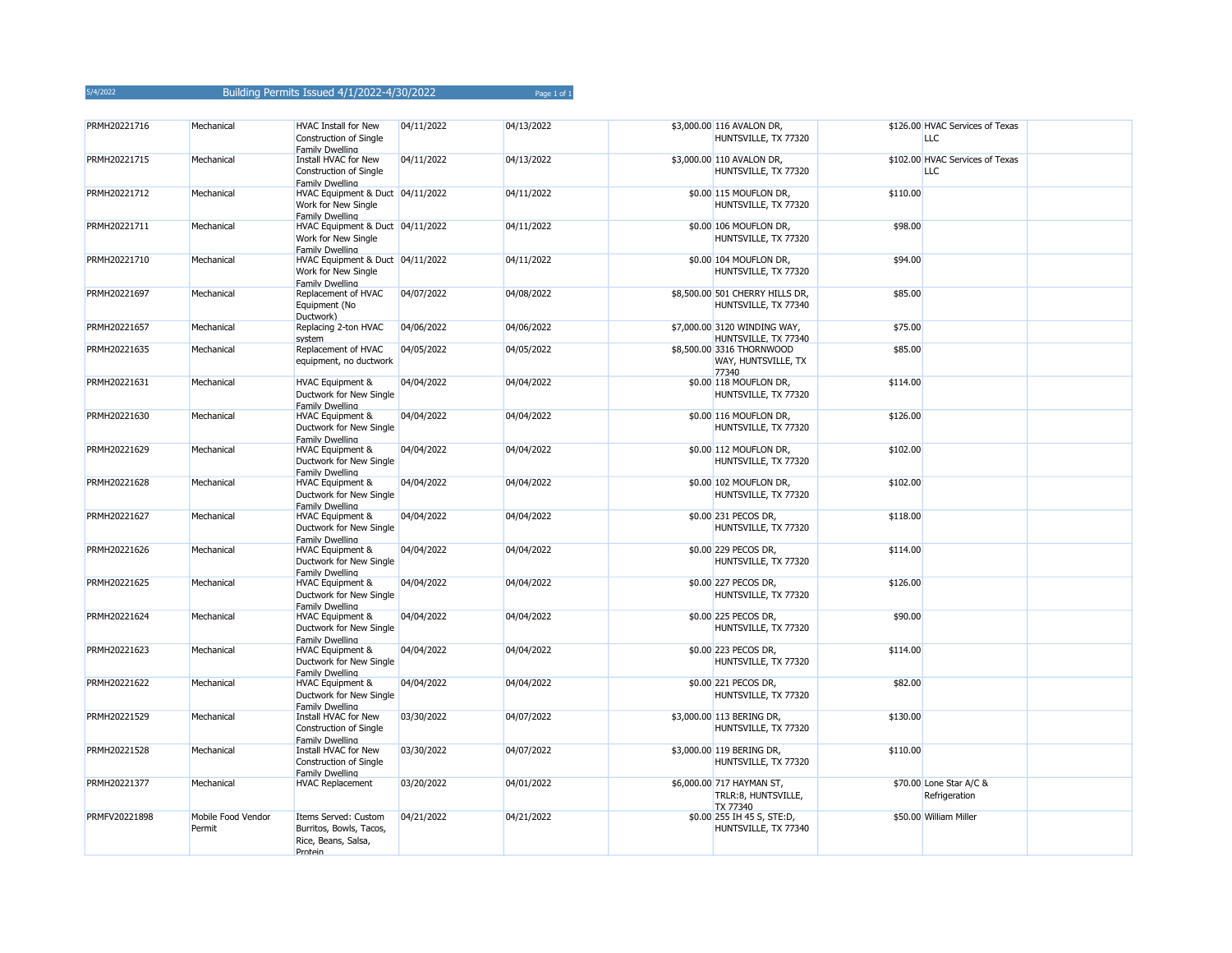| PRMH20221716         | Mechanical                   | <b>HVAC Install for New</b><br>Construction of Single                                | 04/11/2022 | 04/13/2022 | \$3,000.00 116 AVALON DR,<br>HUNTSVILLE, TX 77320            |          | \$126.00 HVAC Services of Texas<br>LLC.  |  |
|----------------------|------------------------------|--------------------------------------------------------------------------------------|------------|------------|--------------------------------------------------------------|----------|------------------------------------------|--|
| PRMH20221715         | Mechanical                   | Family Dwelling<br>Install HVAC for New<br>Construction of Single<br>Family Dwelling | 04/11/2022 | 04/13/2022 | \$3,000.00 110 AVALON DR,<br>HUNTSVILLE, TX 77320            |          | \$102.00 HVAC Services of Texas<br>LLC   |  |
| PRMH20221712         | Mechanical                   | HVAC Equipment & Duct 04/11/2022<br>Work for New Single<br>Family Dwelling           |            | 04/11/2022 | \$0.00 115 MOUFLON DR,<br>HUNTSVILLE, TX 77320               | \$110.00 |                                          |  |
| PRMH20221711         | Mechanical                   | HVAC Equipment & Duct 04/11/2022<br>Work for New Single<br>Family Dwelling           |            | 04/11/2022 | \$0.00 106 MOUFLON DR,<br>HUNTSVILLE, TX 77320               | \$98.00  |                                          |  |
| PRMH20221710         | Mechanical                   | HVAC Equipment & Duct 04/11/2022<br>Work for New Single<br>Family Dwelling           |            | 04/11/2022 | \$0.00 104 MOUFLON DR,<br>HUNTSVILLE, TX 77320               | \$94.00  |                                          |  |
| PRMH20221697         | Mechanical                   | Replacement of HVAC<br>Equipment (No<br>Ductwork)                                    | 04/07/2022 | 04/08/2022 | \$8,500.00 501 CHERRY HILLS DR,<br>HUNTSVILLE, TX 77340      | \$85.00  |                                          |  |
| PRMH20221657         | Mechanical                   | Replacing 2-ton HVAC<br>system                                                       | 04/06/2022 | 04/06/2022 | \$7,000.00 3120 WINDING WAY,<br>HUNTSVILLE, TX 77340         | \$75.00  |                                          |  |
| PRMH20221635         | Mechanical                   | Replacement of HVAC<br>equipment, no ductwork                                        | 04/05/2022 | 04/05/2022 | \$8,500.00 3316 THORNWOOD<br>WAY, HUNTSVILLE, TX<br>77340    | \$85.00  |                                          |  |
| PRMH20221631         | Mechanical                   | <b>HVAC Equipment &amp;</b><br>Ductwork for New Single<br>Family Dwelling            | 04/04/2022 | 04/04/2022 | \$0.00 118 MOUFLON DR,<br>HUNTSVILLE, TX 77320               | \$114.00 |                                          |  |
| PRMH20221630         | Mechanical                   | <b>HVAC Equipment &amp;</b><br>Ductwork for New Single<br>Family Dwelling            | 04/04/2022 | 04/04/2022 | \$0.00 116 MOUFLON DR,<br>HUNTSVILLE, TX 77320               | \$126.00 |                                          |  |
| PRMH20221629         | Mechanical                   | <b>HVAC Equipment &amp;</b><br>Ductwork for New Single<br>Family Dwelling            | 04/04/2022 | 04/04/2022 | \$0.00 112 MOUFLON DR,<br>HUNTSVILLE, TX 77320               | \$102.00 |                                          |  |
| PRMH20221628         | Mechanical                   | <b>HVAC Equipment &amp;</b><br>Ductwork for New Single<br>Family Dwelling            | 04/04/2022 | 04/04/2022 | \$0.00 102 MOUFLON DR,<br>HUNTSVILLE, TX 77320               | \$102.00 |                                          |  |
| PRMH20221627         | Mechanical                   | <b>HVAC Equipment &amp;</b><br>Ductwork for New Single<br>Family Dwelling            | 04/04/2022 | 04/04/2022 | \$0.00 231 PECOS DR,<br>HUNTSVILLE, TX 77320                 | \$118.00 |                                          |  |
| PRMH20221626         | Mechanical                   | <b>HVAC Equipment &amp;</b><br>Ductwork for New Single<br>Family Dwelling            | 04/04/2022 | 04/04/2022 | \$0.00 229 PECOS DR,<br>HUNTSVILLE, TX 77320                 | \$114.00 |                                          |  |
| PRMH20221625         | Mechanical                   | <b>HVAC Equipment &amp;</b><br>Ductwork for New Single<br>Family Dwelling            | 04/04/2022 | 04/04/2022 | \$0.00 227 PECOS DR,<br>HUNTSVILLE, TX 77320                 | \$126.00 |                                          |  |
| PRMH20221624         | Mechanical                   | <b>HVAC Equipment &amp;</b><br>Ductwork for New Single<br>Family Dwelling            | 04/04/2022 | 04/04/2022 | \$0.00 225 PECOS DR,<br>HUNTSVILLE, TX 77320                 | \$90.00  |                                          |  |
| PRMH20221623         | Mechanical                   | <b>HVAC Equipment &amp;</b><br>Ductwork for New Single<br>Family Dwelling            | 04/04/2022 | 04/04/2022 | \$0.00 223 PECOS DR,<br>HUNTSVILLE, TX 77320                 | \$114.00 |                                          |  |
| PRMH20221622         | Mechanical                   | <b>HVAC Equipment &amp;</b><br>Ductwork for New Single<br>Family Dwelling            | 04/04/2022 | 04/04/2022 | \$0.00 221 PECOS DR,<br>HUNTSVILLE, TX 77320                 | \$82.00  |                                          |  |
| PRMH20221529         | Mechanical                   | Install HVAC for New<br><b>Construction of Single</b><br>Family Dwelling             | 03/30/2022 | 04/07/2022 | \$3,000.00 113 BERING DR,<br>HUNTSVILLE, TX 77320            | \$130.00 |                                          |  |
| PRMH20221528         | Mechanical                   | Install HVAC for New<br>Construction of Single<br>Family Dwelling                    | 03/30/2022 | 04/07/2022 | \$3,000.00 119 BERING DR,<br>HUNTSVILLE, TX 77320            | \$110.00 |                                          |  |
| PRMH20221377         | Mechanical                   | <b>HVAC Replacement</b>                                                              | 03/20/2022 | 04/01/2022 | \$6,000.00 717 HAYMAN ST,<br>TRLR:8, HUNTSVILLE,<br>TX 77340 |          | \$70.00 Lone Star A/C &<br>Refrigeration |  |
| <b>PRMFV20221898</b> | Mobile Food Vendor<br>Permit | Items Served: Custom<br>Burritos, Bowls, Tacos,<br>Rice, Beans, Salsa,<br>Protein    | 04/21/2022 | 04/21/2022 | \$0.00 255 IH 45 S, STE:D,<br>HUNTSVILLE, TX 77340           |          | \$50.00 William Miller                   |  |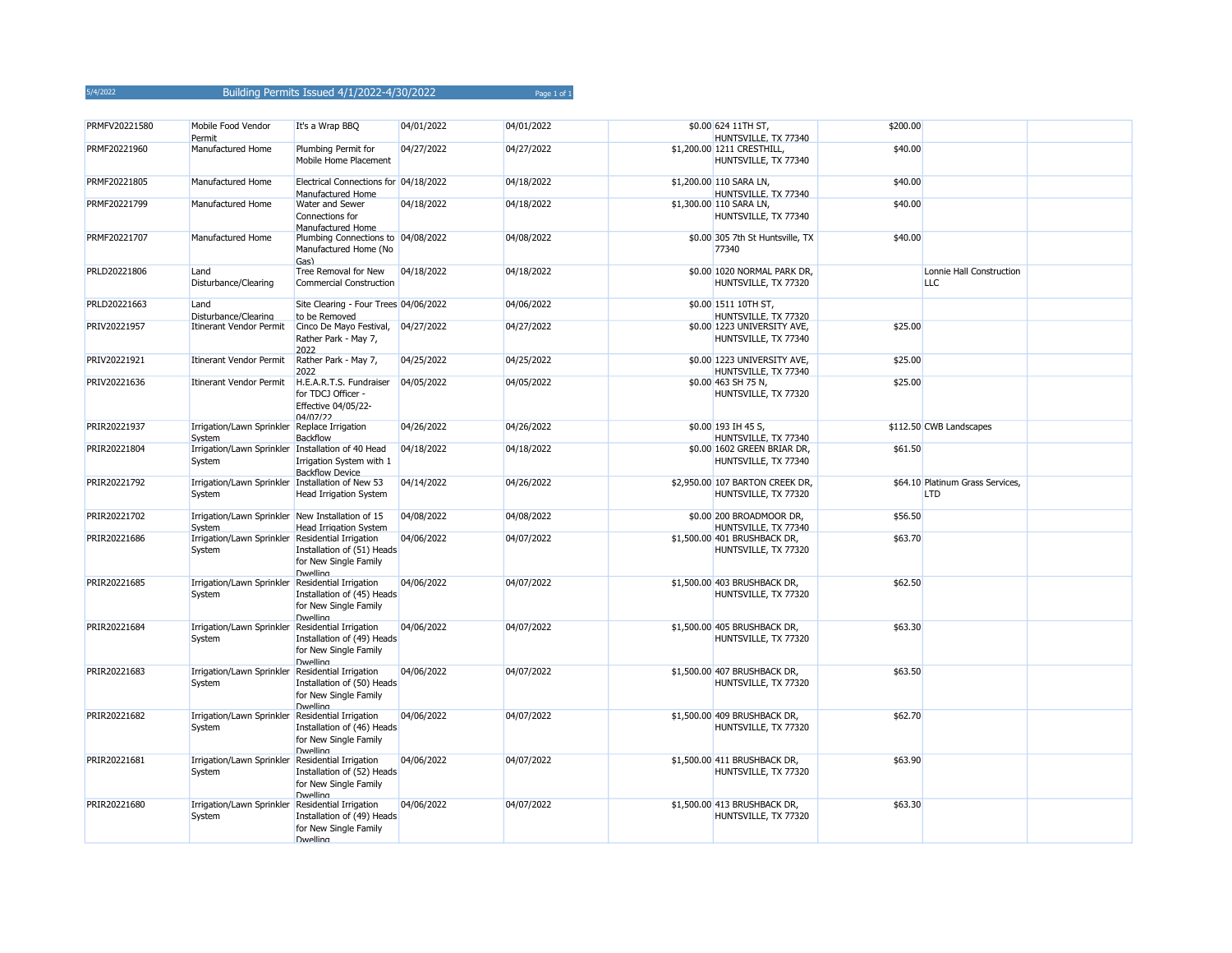| PRMFV20221580 | Mobile Food Vendor<br>Permit                                | It's a Wrap BBQ                                                                           | 04/01/2022 | 04/01/2022 | \$0.00 624 11TH ST,<br>HUNTSVILLE, TX 77340             | \$200.00 |                                                |  |
|---------------|-------------------------------------------------------------|-------------------------------------------------------------------------------------------|------------|------------|---------------------------------------------------------|----------|------------------------------------------------|--|
| PRMF20221960  | Manufactured Home                                           | Plumbing Permit for<br>Mobile Home Placement                                              | 04/27/2022 | 04/27/2022 | \$1,200.00 1211 CRESTHILL,<br>HUNTSVILLE, TX 77340      | \$40.00  |                                                |  |
| PRMF20221805  | Manufactured Home                                           | Electrical Connections for 04/18/2022<br>Manufactured Home                                |            | 04/18/2022 | \$1,200.00 110 SARA LN,<br>HUNTSVILLE, TX 77340         | \$40.00  |                                                |  |
| PRMF20221799  | Manufactured Home                                           | Water and Sewer<br>Connections for<br>Manufactured Home                                   | 04/18/2022 | 04/18/2022 | \$1,300.00 110 SARA LN,<br>HUNTSVILLE, TX 77340         | \$40.00  |                                                |  |
| PRMF20221707  | Manufactured Home                                           | Plumbing Connections to 04/08/2022<br>Manufactured Home (No<br>Gas)                       |            | 04/08/2022 | \$0.00 305 7th St Huntsville, TX<br>77340               | \$40.00  |                                                |  |
| PRLD20221806  | Land<br>Disturbance/Clearing                                | Tree Removal for New<br><b>Commercial Construction</b>                                    | 04/18/2022 | 04/18/2022 | \$0.00 1020 NORMAL PARK DR,<br>HUNTSVILLE, TX 77320     |          | Lonnie Hall Construction<br>LLC                |  |
| PRLD20221663  | Land<br>Disturbance/Clearing                                | Site Clearing - Four Trees 04/06/2022<br>to be Removed                                    |            | 04/06/2022 | \$0.00 1511 10TH ST,<br>HUNTSVILLE, TX 77320            |          |                                                |  |
| PRIV20221957  | Itinerant Vendor Permit                                     | Cinco De Mayo Festival,<br>Rather Park - May 7,<br>2022                                   | 04/27/2022 | 04/27/2022 | \$0.00 1223 UNIVERSITY AVE,<br>HUNTSVILLE, TX 77340     | \$25.00  |                                                |  |
| PRIV20221921  | Itinerant Vendor Permit                                     | Rather Park - May 7,<br>2022                                                              | 04/25/2022 | 04/25/2022 | \$0.00 1223 UNIVERSITY AVE,<br>HUNTSVILLE, TX 77340     | \$25.00  |                                                |  |
| PRIV20221636  | Itinerant Vendor Permit                                     | H.E.A.R.T.S. Fundraiser<br>for TDCJ Officer -<br>Effective 04/05/22-<br>04/07/22          | 04/05/2022 | 04/05/2022 | \$0.00 463 SH 75 N,<br>HUNTSVILLE, TX 77320             | \$25.00  |                                                |  |
| PRIR20221937  | Irrigation/Lawn Sprinkler Replace Irrigation<br>System      | Backflow                                                                                  | 04/26/2022 | 04/26/2022 | \$0.00 193 IH 45 S,<br>HUNTSVILLE, TX 77340             |          | \$112.50 CWB Landscapes                        |  |
| PRIR20221804  | Irrigation/Lawn Sprinkler Installation of 40 Head<br>System | Irrigation System with 1<br><b>Backflow Device</b>                                        | 04/18/2022 | 04/18/2022 | \$0.00 1602 GREEN BRIAR DR,<br>HUNTSVILLE, TX 77340     | \$61.50  |                                                |  |
| PRIR20221792  | Irrigation/Lawn Sprinkler Installation of New 53<br>System  | Head Irrigation System                                                                    | 04/14/2022 | 04/26/2022 | \$2,950.00 107 BARTON CREEK DR,<br>HUNTSVILLE, TX 77320 |          | \$64.10 Platinum Grass Services,<br><b>LTD</b> |  |
| PRIR20221702  | Irrigation/Lawn Sprinkler New Installation of 15<br>System  | <b>Head Irrigation System</b>                                                             | 04/08/2022 | 04/08/2022 | \$0.00 200 BROADMOOR DR,<br>HUNTSVILLE, TX 77340        | \$56.50  |                                                |  |
| PRIR20221686  | Irrigation/Lawn Sprinkler Residential Irrigation<br>System  | Installation of (51) Heads<br>for New Single Family<br>Dwelling                           | 04/06/2022 | 04/07/2022 | \$1,500.00 401 BRUSHBACK DR,<br>HUNTSVILLE, TX 77320    | \$63.70  |                                                |  |
| PRIR20221685  | Irrigation/Lawn Sprinkler Residential Irrigation<br>System  | Installation of (45) Heads<br>for New Single Family<br><b>Dwelling</b>                    | 04/06/2022 | 04/07/2022 | \$1,500.00 403 BRUSHBACK DR,<br>HUNTSVILLE, TX 77320    | \$62.50  |                                                |  |
| PRIR20221684  | Irrigation/Lawn Sprinkler Residential Irrigation<br>System  | Installation of (49) Heads<br>for New Single Family<br><b>Dwelling</b>                    | 04/06/2022 | 04/07/2022 | \$1,500.00 405 BRUSHBACK DR,<br>HUNTSVILLE, TX 77320    | \$63.30  |                                                |  |
| PRIR20221683  | Irrigation/Lawn Sprinkler Residential Irrigation<br>System  | Installation of (50) Heads<br>for New Single Family<br><b>Dwelling</b>                    | 04/06/2022 | 04/07/2022 | \$1,500.00 407 BRUSHBACK DR,<br>HUNTSVILLE, TX 77320    | \$63.50  |                                                |  |
| PRIR20221682  | Irrigation/Lawn Sprinkler Residential Irrigation<br>System  | Installation of (46) Heads<br>for New Single Family<br><b>Dwelling</b>                    | 04/06/2022 | 04/07/2022 | \$1,500.00 409 BRUSHBACK DR,<br>HUNTSVILLE, TX 77320    | \$62.70  |                                                |  |
| PRIR20221681  | Irrigation/Lawn Sprinkler Residential Irrigation<br>System  | Installation of (52) Heads<br>for New Single Family<br><b>Dwelling</b>                    | 04/06/2022 | 04/07/2022 | \$1,500.00 411 BRUSHBACK DR,<br>HUNTSVILLE, TX 77320    | \$63.90  |                                                |  |
| PRIR20221680  | Irrigation/Lawn Sprinkler<br>System                         | Residential Irrigation<br>Installation of (49) Heads<br>for New Single Family<br>Dwelling | 04/06/2022 | 04/07/2022 | \$1,500.00 413 BRUSHBACK DR,<br>HUNTSVILLE, TX 77320    | \$63.30  |                                                |  |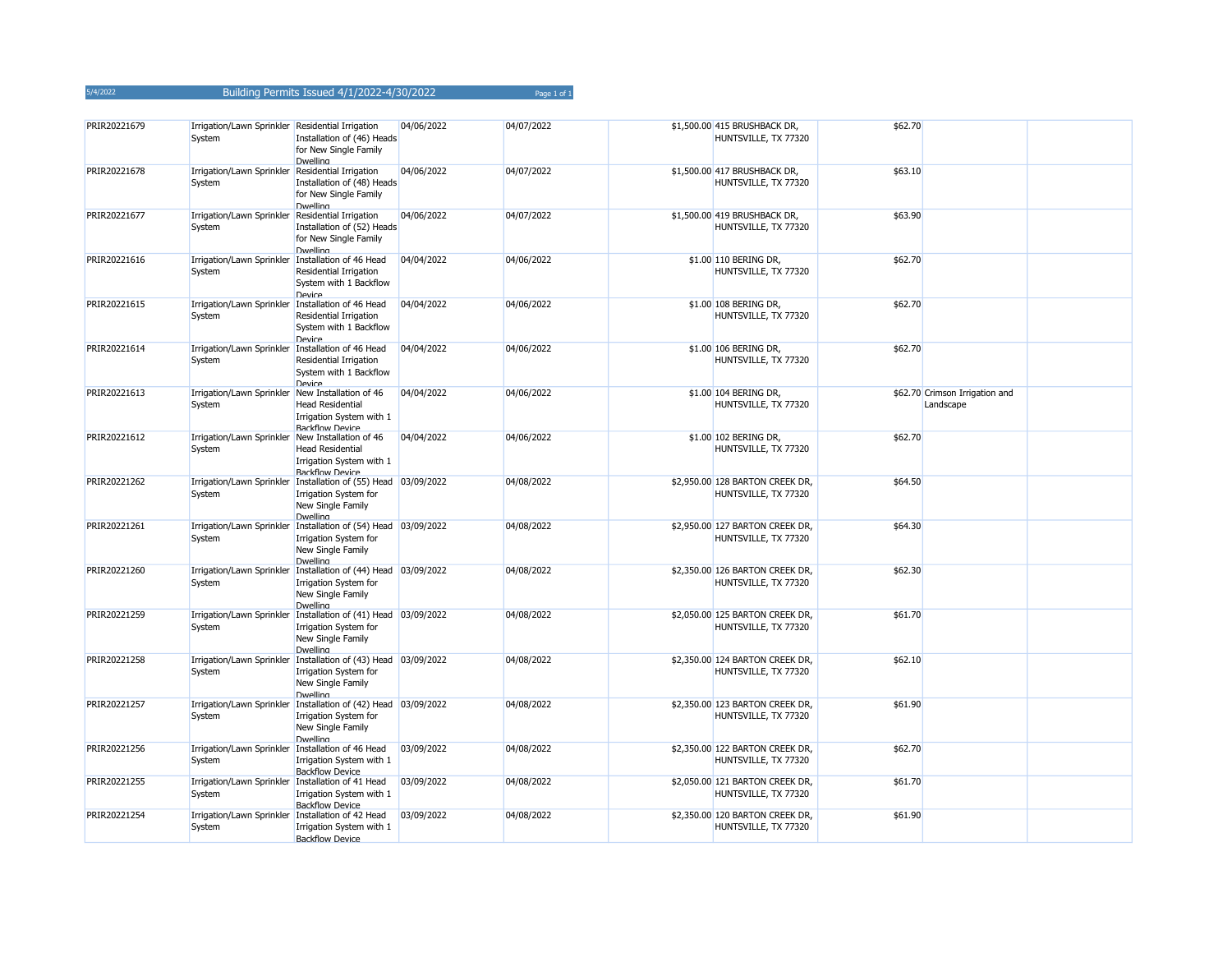| 5/4/2022 | Building Permits Issued 4/1/2022-4/30/2022 | Page 1 of 1 |
|----------|--------------------------------------------|-------------|
|----------|--------------------------------------------|-------------|

| PRIR20221679 | Irrigation/Lawn Sprinkler Residential Irrigation<br>System  | Installation of (46) Heads<br>for New Single Family<br><b>Dwelling</b>                                                                   | 04/06/2022 | 04/07/2022 | \$1,500.00 415 BRUSHBACK DR,<br>HUNTSVILLE, TX 77320    | \$62.70 |                                             |  |
|--------------|-------------------------------------------------------------|------------------------------------------------------------------------------------------------------------------------------------------|------------|------------|---------------------------------------------------------|---------|---------------------------------------------|--|
| PRIR20221678 | Irrigation/Lawn Sprinkler Residential Irrigation<br>System  | Installation of (48) Heads<br>for New Single Family<br><b>Dwelling</b>                                                                   | 04/06/2022 | 04/07/2022 | \$1,500.00 417 BRUSHBACK DR,<br>HUNTSVILLE, TX 77320    | \$63.10 |                                             |  |
| PRIR20221677 | Irrigation/Lawn Sprinkler Residential Irrigation<br>System  | Installation of (52) Heads<br>for New Single Family<br><b>Dwelling</b>                                                                   | 04/06/2022 | 04/07/2022 | \$1,500.00 419 BRUSHBACK DR,<br>HUNTSVILLE, TX 77320    | \$63.90 |                                             |  |
| PRIR20221616 | Irrigation/Lawn Sprinkler Installation of 46 Head<br>System | Residential Irrigation<br>System with 1 Backflow<br>Device                                                                               | 04/04/2022 | 04/06/2022 | \$1.00 110 BERING DR,<br>HUNTSVILLE, TX 77320           | \$62.70 |                                             |  |
| PRIR20221615 | Irrigation/Lawn Sprinkler Installation of 46 Head<br>System | Residential Irrigation<br>System with 1 Backflow<br>Device                                                                               | 04/04/2022 | 04/06/2022 | \$1.00 108 BERING DR,<br>HUNTSVILLE, TX 77320           | \$62.70 |                                             |  |
| PRIR20221614 | Irrigation/Lawn Sprinkler Installation of 46 Head<br>System | Residential Irrigation<br>System with 1 Backflow<br>Device                                                                               | 04/04/2022 | 04/06/2022 | \$1.00 106 BERING DR,<br>HUNTSVILLE, TX 77320           | \$62.70 |                                             |  |
| PRIR20221613 | Irrigation/Lawn Sprinkler New Installation of 46<br>System  | <b>Head Residential</b><br>Irrigation System with 1<br><b>Rackflow Device</b>                                                            | 04/04/2022 | 04/06/2022 | \$1.00 104 BERING DR,<br>HUNTSVILLE, TX 77320           |         | \$62.70 Crimson Irrigation and<br>Landscape |  |
| PRIR20221612 | Irrigation/Lawn Sprinkler New Installation of 46<br>System  | Head Residential<br>Irrigation System with 1<br><b>Backflow Device</b>                                                                   | 04/04/2022 | 04/06/2022 | \$1.00 102 BERING DR,<br>HUNTSVILLE, TX 77320           | \$62.70 |                                             |  |
| PRIR20221262 | System                                                      | Irrigation/Lawn Sprinkler Installation of (55) Head 03/09/2022<br><b>Irrigation System for</b><br>New Single Family<br><b>Dwelling</b>   |            | 04/08/2022 | \$2,950.00 128 BARTON CREEK DR,<br>HUNTSVILLE, TX 77320 | \$64.50 |                                             |  |
| PRIR20221261 | System                                                      | Irrigation/Lawn Sprinkler Installation of (54) Head 03/09/2022<br>Irrigation System for<br>New Single Family<br><b>Dwelling</b>          |            | 04/08/2022 | \$2,950.00 127 BARTON CREEK DR,<br>HUNTSVILLE, TX 77320 | \$64.30 |                                             |  |
| PRIR20221260 | System                                                      | Irrigation/Lawn Sprinkler Installation of (44) Head 03/09/2022<br>Irrigation System for<br>New Single Family<br><b>Dwelling</b>          |            | 04/08/2022 | \$2,350.00 126 BARTON CREEK DR,<br>HUNTSVILLE, TX 77320 | \$62.30 |                                             |  |
| PRIR20221259 | System                                                      | Irrigation/Lawn Sprinkler Installation of (41) Head 03/09/2022<br><b>Irrigation System for</b><br>New Single Family<br><b>Dwelling</b>   |            | 04/08/2022 | \$2,050.00 125 BARTON CREEK DR,<br>HUNTSVILLE, TX 77320 | \$61.70 |                                             |  |
| PRIR20221258 | System                                                      | Irrigation/Lawn Sprinkler   Installation of (43) Head 03/09/2022<br><b>Irrigation System for</b><br>New Single Family<br><b>Dwelling</b> |            | 04/08/2022 | \$2,350.00 124 BARTON CREEK DR,<br>HUNTSVILLE, TX 77320 | \$62.10 |                                             |  |
| PRIR20221257 | System                                                      | Irrigation/Lawn Sprinkler   Installation of (42) Head   03/09/2022<br>Irrigation System for<br>New Single Family<br><b>Dwelling</b>      |            | 04/08/2022 | \$2,350.00 123 BARTON CREEK DR,<br>HUNTSVILLE, TX 77320 | \$61.90 |                                             |  |
| PRIR20221256 | Irrigation/Lawn Sprinkler Installation of 46 Head<br>System | Irrigation System with 1                                                                                                                 | 03/09/2022 | 04/08/2022 | \$2,350.00 122 BARTON CREEK DR,<br>HUNTSVILLE, TX 77320 | \$62.70 |                                             |  |
| PRIR20221255 | Irrigation/Lawn Sprinkler Installation of 41 Head<br>System | <b>Backflow Device</b><br>Irrigation System with 1                                                                                       | 03/09/2022 | 04/08/2022 | \$2,050.00 121 BARTON CREEK DR,<br>HUNTSVILLE, TX 77320 | \$61.70 |                                             |  |
| PRIR20221254 | Irrigation/Lawn Sprinkler Installation of 42 Head<br>System | <b>Backflow Device</b><br>Irrigation System with 1<br><b>Backflow Device</b>                                                             | 03/09/2022 | 04/08/2022 | \$2,350.00 120 BARTON CREEK DR,<br>HUNTSVILLE, TX 77320 | \$61.90 |                                             |  |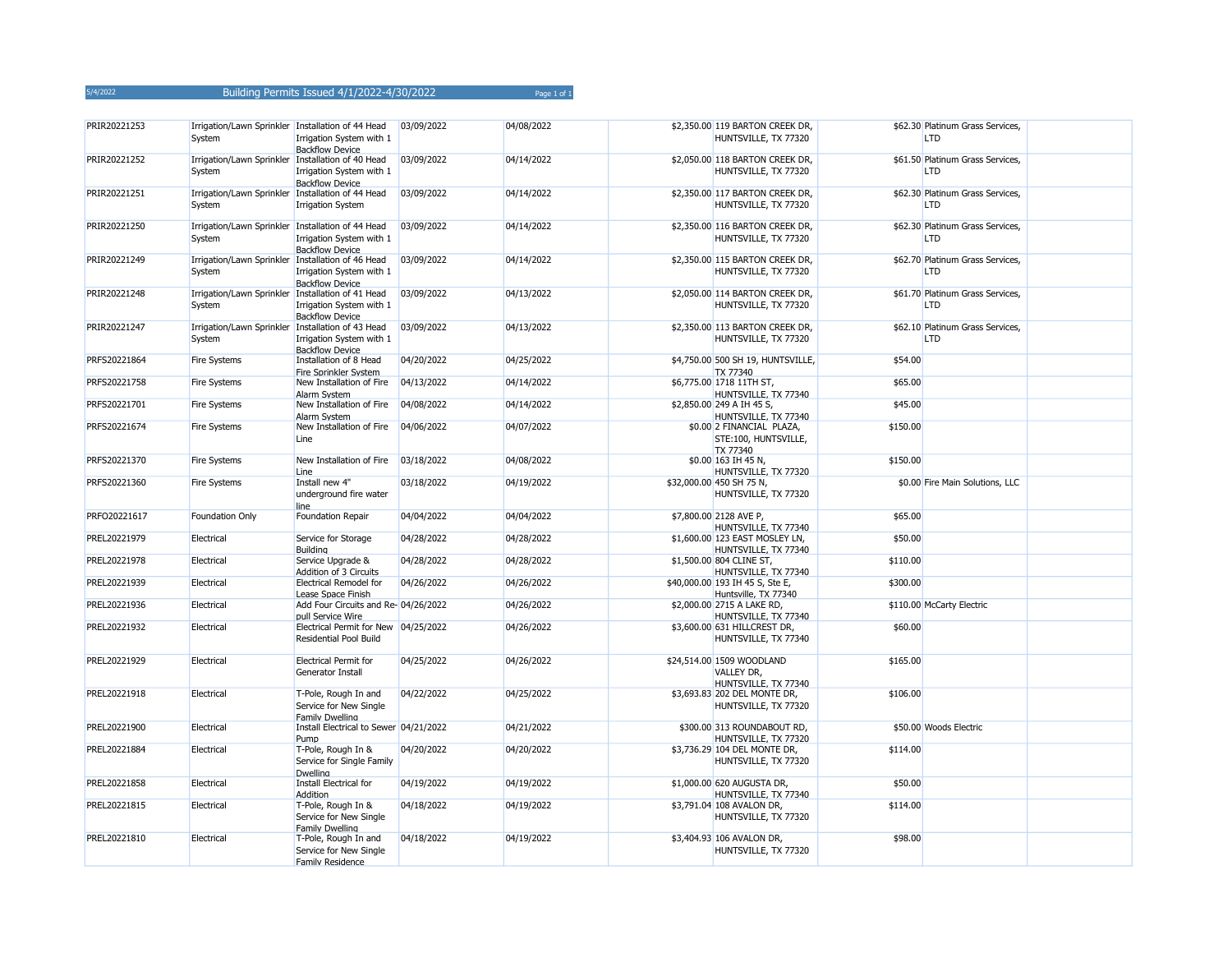| 5/4/2022 | Building Permits Issued 4/1/2022-4/30/2022 | Page 1 of 1 |
|----------|--------------------------------------------|-------------|
|----------|--------------------------------------------|-------------|

| PRIR20221253 | Irrigation/Lawn Sprinkler Installation of 44 Head<br>System | Irrigation System with 1<br><b>Backflow Device</b>                    | 03/09/2022 | 04/08/2022 | \$2,350.00 119 BARTON CREEK DR,<br>HUNTSVILLE, TX 77320         |          | \$62.30 Platinum Grass Services,<br><b>LTD</b> |  |
|--------------|-------------------------------------------------------------|-----------------------------------------------------------------------|------------|------------|-----------------------------------------------------------------|----------|------------------------------------------------|--|
| PRIR20221252 | Irrigation/Lawn Sprinkler Installation of 40 Head<br>System | Irrigation System with 1<br><b>Backflow Device</b>                    | 03/09/2022 | 04/14/2022 | \$2,050.00 118 BARTON CREEK DR,<br>HUNTSVILLE, TX 77320         |          | \$61.50 Platinum Grass Services,<br><b>LTD</b> |  |
| PRIR20221251 | Irrigation/Lawn Sprinkler Installation of 44 Head<br>System | <b>Irrigation System</b>                                              | 03/09/2022 | 04/14/2022 | \$2,350.00 117 BARTON CREEK DR,<br>HUNTSVILLE, TX 77320         |          | \$62.30 Platinum Grass Services,<br><b>LTD</b> |  |
| PRIR20221250 | Irrigation/Lawn Sprinkler Installation of 44 Head<br>System | Irrigation System with 1<br><b>Backflow Device</b>                    | 03/09/2022 | 04/14/2022 | \$2,350.00 116 BARTON CREEK DR,<br>HUNTSVILLE, TX 77320         |          | \$62.30 Platinum Grass Services,<br><b>LTD</b> |  |
| PRIR20221249 | Irrigation/Lawn Sprinkler Installation of 46 Head<br>System | Irrigation System with 1<br><b>Backflow Device</b>                    | 03/09/2022 | 04/14/2022 | \$2,350.00 115 BARTON CREEK DR,<br>HUNTSVILLE, TX 77320         |          | \$62.70 Platinum Grass Services,<br>LTD        |  |
| PRIR20221248 | Irrigation/Lawn Sprinkler Installation of 41 Head<br>System | Irrigation System with 1<br><b>Backflow Device</b>                    | 03/09/2022 | 04/13/2022 | \$2,050.00 114 BARTON CREEK DR,<br>HUNTSVILLE, TX 77320         |          | \$61.70 Platinum Grass Services,<br><b>LTD</b> |  |
| PRIR20221247 | Irrigation/Lawn Sprinkler Installation of 43 Head<br>System | Irrigation System with 1<br><b>Backflow Device</b>                    | 03/09/2022 | 04/13/2022 | \$2,350.00 113 BARTON CREEK DR,<br>HUNTSVILLE, TX 77320         |          | \$62.10 Platinum Grass Services,<br>LTD        |  |
| PRFS20221864 | Fire Systems                                                | Installation of 8 Head<br>Fire Sprinkler System                       | 04/20/2022 | 04/25/2022 | \$4,750.00 500 SH 19, HUNTSVILLE,<br>TX 77340                   | \$54.00  |                                                |  |
| PRFS20221758 | <b>Fire Systems</b>                                         | New Installation of Fire<br><b>Alarm System</b>                       | 04/13/2022 | 04/14/2022 | \$6,775.00 1718 11TH ST,<br>HUNTSVILLE, TX 77340                | \$65.00  |                                                |  |
| PRFS20221701 | <b>Fire Systems</b>                                         | New Installation of Fire<br>Alarm System                              | 04/08/2022 | 04/14/2022 | \$2,850.00 249 A IH 45 S,<br>HUNTSVILLE, TX 77340               | \$45.00  |                                                |  |
| PRFS20221674 | Fire Systems                                                | New Installation of Fire<br>Line                                      | 04/06/2022 | 04/07/2022 | \$0.00 2 FINANCIAL PLAZA,<br>STE:100, HUNTSVILLE,<br>TX 77340   | \$150.00 |                                                |  |
| PRFS20221370 | Fire Systems                                                | New Installation of Fire<br>Line                                      | 03/18/2022 | 04/08/2022 | \$0.00 163 IH 45 N,<br>HUNTSVILLE, TX 77320                     | \$150.00 |                                                |  |
| PRFS20221360 | <b>Fire Systems</b>                                         | Install new 4"<br>underground fire water<br>line                      | 03/18/2022 | 04/19/2022 | \$32,000.00 450 SH 75 N,<br>HUNTSVILLE, TX 77320                |          | \$0.00 Fire Main Solutions, LLC                |  |
| PRFO20221617 | Foundation Only                                             | <b>Foundation Repair</b>                                              | 04/04/2022 | 04/04/2022 | \$7,800.00 2128 AVE P,<br>HUNTSVILLE, TX 77340                  | \$65.00  |                                                |  |
| PREL20221979 | Electrical                                                  | Service for Storage<br><b>Building</b>                                | 04/28/2022 | 04/28/2022 | \$1,600.00 123 EAST MOSLEY LN,<br>HUNTSVILLE, TX 77340          | \$50.00  |                                                |  |
| PREL20221978 | Electrical                                                  | Service Upgrade &<br>Addition of 3 Circuits                           | 04/28/2022 | 04/28/2022 | \$1,500.00 804 CLINE ST,<br>HUNTSVILLE, TX 77340                | \$110.00 |                                                |  |
| PREL20221939 | Electrical                                                  | <b>Electrical Remodel for</b><br>Lease Space Finish                   | 04/26/2022 | 04/26/2022 | \$40,000.00 193 IH 45 S, Ste E,<br>Huntsville, TX 77340         | \$300.00 |                                                |  |
| PREL20221936 | Electrical                                                  | Add Four Circuits and Re- 04/26/2022<br>pull Service Wire             |            | 04/26/2022 | \$2,000.00 2715 A LAKE RD,<br>HUNTSVILLE, TX 77340              |          | \$110.00 McCarty Electric                      |  |
| PREL20221932 | Electrical                                                  | Electrical Permit for New 04/25/2022<br><b>Residential Pool Build</b> |            | 04/26/2022 | \$3,600.00 631 HILLCREST DR,<br>HUNTSVILLE, TX 77340            | \$60.00  |                                                |  |
| PREL20221929 | Electrical                                                  | <b>Electrical Permit for</b><br>Generator Install                     | 04/25/2022 | 04/26/2022 | \$24,514.00 1509 WOODLAND<br>VALLEY DR,<br>HUNTSVILLE, TX 77340 | \$165.00 |                                                |  |
| PREL20221918 | Electrical                                                  | T-Pole, Rough In and<br>Service for New Single<br>Family Dwelling     | 04/22/2022 | 04/25/2022 | \$3,693.83 202 DEL MONTE DR,<br>HUNTSVILLE, TX 77320            | \$106.00 |                                                |  |
| PREL20221900 | Electrical                                                  | Install Electrical to Sewer 04/21/2022<br>Pump                        |            | 04/21/2022 | \$300.00 313 ROUNDABOUT RD,<br>HUNTSVILLE, TX 77320             |          | \$50.00 Woods Electric                         |  |
| PREL20221884 | Electrical                                                  | T-Pole, Rough In &<br>Service for Single Family<br><b>Dwelling</b>    | 04/20/2022 | 04/20/2022 | \$3,736.29 104 DEL MONTE DR,<br>HUNTSVILLE, TX 77320            | \$114.00 |                                                |  |
| PREL20221858 | Electrical                                                  | Install Electrical for<br>Addition                                    | 04/19/2022 | 04/19/2022 | \$1,000.00 620 AUGUSTA DR,<br>HUNTSVILLE, TX 77340              | \$50.00  |                                                |  |
| PREL20221815 | Electrical                                                  | T-Pole, Rough In &<br>Service for New Single<br>Family Dwelling       | 04/18/2022 | 04/19/2022 | \$3,791.04 108 AVALON DR,<br>HUNTSVILLE, TX 77320               | \$114.00 |                                                |  |
| PREL20221810 | Electrical                                                  | T-Pole, Rough In and<br>Service for New Single<br>Family Residence    | 04/18/2022 | 04/19/2022 | \$3,404.93 106 AVALON DR,<br>HUNTSVILLE, TX 77320               | \$98.00  |                                                |  |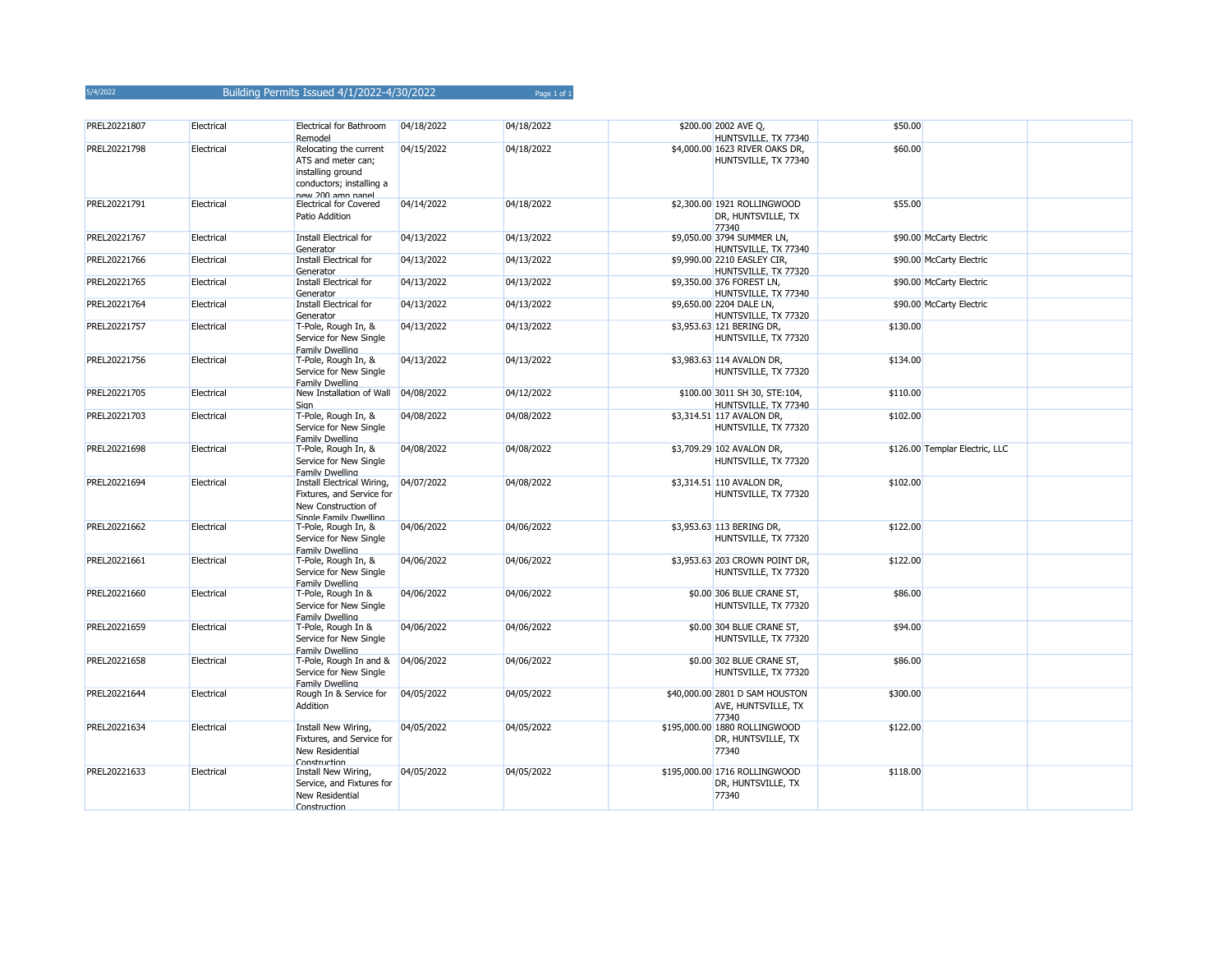| PREL20221807 | Electrical | Electrical for Bathroom<br>Remodel                                                                                 | 04/18/2022 | 04/18/2022 | \$200.00 2002 AVE Q,<br>HUNTSVILLE, TX 77340                   | \$50.00  |                                |  |
|--------------|------------|--------------------------------------------------------------------------------------------------------------------|------------|------------|----------------------------------------------------------------|----------|--------------------------------|--|
| PREL20221798 | Electrical | Relocating the current<br>ATS and meter can;<br>installing ground<br>conductors; installing a<br>new 200 amn nanel | 04/15/2022 | 04/18/2022 | \$4,000.00 1623 RIVER OAKS DR,<br>HUNTSVILLE, TX 77340         | \$60.00  |                                |  |
| PREL20221791 | Electrical | <b>Electrical for Covered</b><br>Patio Addition                                                                    | 04/14/2022 | 04/18/2022 | \$2,300.00 1921 ROLLINGWOOD<br>DR, HUNTSVILLE, TX<br>77340     | \$55.00  |                                |  |
| PREL20221767 | Electrical | <b>Install Electrical for</b><br>Generator                                                                         | 04/13/2022 | 04/13/2022 | \$9,050.00 3794 SUMMER LN,<br>HUNTSVILLE, TX 77340             |          | \$90.00 McCarty Electric       |  |
| PREL20221766 | Electrical | Install Electrical for<br>Generator                                                                                | 04/13/2022 | 04/13/2022 | \$9,990.00 2210 EASLEY CIR,<br>HUNTSVILLE, TX 77320            |          | \$90.00 McCarty Electric       |  |
| PREL20221765 | Electrical | <b>Install Electrical for</b><br>Generator                                                                         | 04/13/2022 | 04/13/2022 | \$9,350.00 376 FOREST LN,<br>HUNTSVILLE, TX 77340              |          | \$90.00 McCarty Electric       |  |
| PREL20221764 | Electrical | Install Electrical for<br>Generator                                                                                | 04/13/2022 | 04/13/2022 | \$9,650.00 2204 DALE LN,<br>HUNTSVILLE, TX 77320               |          | \$90.00 McCarty Electric       |  |
| PREL20221757 | Electrical | T-Pole, Rough In, &<br>Service for New Single<br>Family Dwelling                                                   | 04/13/2022 | 04/13/2022 | \$3,953.63 121 BERING DR,<br>HUNTSVILLE, TX 77320              | \$130.00 |                                |  |
| PREL20221756 | Electrical | T-Pole, Rough In, &<br>Service for New Single<br><b>Family Dwelling</b>                                            | 04/13/2022 | 04/13/2022 | \$3,983.63 114 AVALON DR,<br>HUNTSVILLE, TX 77320              | \$134.00 |                                |  |
| PREL20221705 | Electrical | New Installation of Wall<br>Sign                                                                                   | 04/08/2022 | 04/12/2022 | \$100.00 3011 SH 30, STE:104,<br>HUNTSVILLE, TX 77340          | \$110.00 |                                |  |
| PREL20221703 | Electrical | T-Pole, Rough In, &<br>Service for New Single<br>Family Dwelling                                                   | 04/08/2022 | 04/08/2022 | \$3,314.51 117 AVALON DR,<br>HUNTSVILLE, TX 77320              | \$102.00 |                                |  |
| PREL20221698 | Electrical | T-Pole, Rough In, &<br>Service for New Single<br><b>Family Dwelling</b>                                            | 04/08/2022 | 04/08/2022 | \$3,709.29 102 AVALON DR,<br>HUNTSVILLE, TX 77320              |          | \$126.00 Templar Electric, LLC |  |
| PREL20221694 | Electrical | Install Electrical Wiring,<br>Fixtures, and Service for<br>New Construction of<br>Single Family Dwelling           | 04/07/2022 | 04/08/2022 | \$3,314.51 110 AVALON DR,<br>HUNTSVILLE, TX 77320              | \$102.00 |                                |  |
| PREL20221662 | Electrical | T-Pole, Rough In, &<br>Service for New Single<br><b>Family Dwelling</b>                                            | 04/06/2022 | 04/06/2022 | \$3,953.63 113 BERING DR,<br>HUNTSVILLE, TX 77320              | \$122.00 |                                |  |
| PREL20221661 | Electrical | T-Pole, Rough In, &<br>Service for New Single<br>Family Dwelling                                                   | 04/06/2022 | 04/06/2022 | \$3,953.63 203 CROWN POINT DR,<br>HUNTSVILLE, TX 77320         | \$122.00 |                                |  |
| PREL20221660 | Electrical | T-Pole, Rough In &<br>Service for New Single<br><b>Family Dwelling</b>                                             | 04/06/2022 | 04/06/2022 | \$0.00 306 BLUE CRANE ST,<br>HUNTSVILLE, TX 77320              | \$86.00  |                                |  |
| PREL20221659 | Electrical | T-Pole, Rough In &<br>Service for New Single<br>Family Dwelling                                                    | 04/06/2022 | 04/06/2022 | \$0.00 304 BLUE CRANE ST,<br>HUNTSVILLE, TX 77320              | \$94.00  |                                |  |
| PREL20221658 | Electrical | T-Pole, Rough In and &<br>Service for New Single<br>Family Dwelling                                                | 04/06/2022 | 04/06/2022 | \$0.00 302 BLUE CRANE ST,<br>HUNTSVILLE, TX 77320              | \$86.00  |                                |  |
| PREL20221644 | Electrical | Rough In & Service for<br>Addition                                                                                 | 04/05/2022 | 04/05/2022 | \$40,000.00 2801 D SAM HOUSTON<br>AVE, HUNTSVILLE, TX<br>77340 | \$300.00 |                                |  |
| PREL20221634 | Electrical | Install New Wiring,<br>Fixtures, and Service for<br>New Residential<br>Construction                                | 04/05/2022 | 04/05/2022 | \$195,000.00 1880 ROLLINGWOOD<br>DR, HUNTSVILLE, TX<br>77340   | \$122.00 |                                |  |
| PREL20221633 | Electrical | Install New Wiring,<br>Service, and Fixtures for<br>New Residential<br>Construction                                | 04/05/2022 | 04/05/2022 | \$195,000.00 1716 ROLLINGWOOD<br>DR, HUNTSVILLE, TX<br>77340   | \$118.00 |                                |  |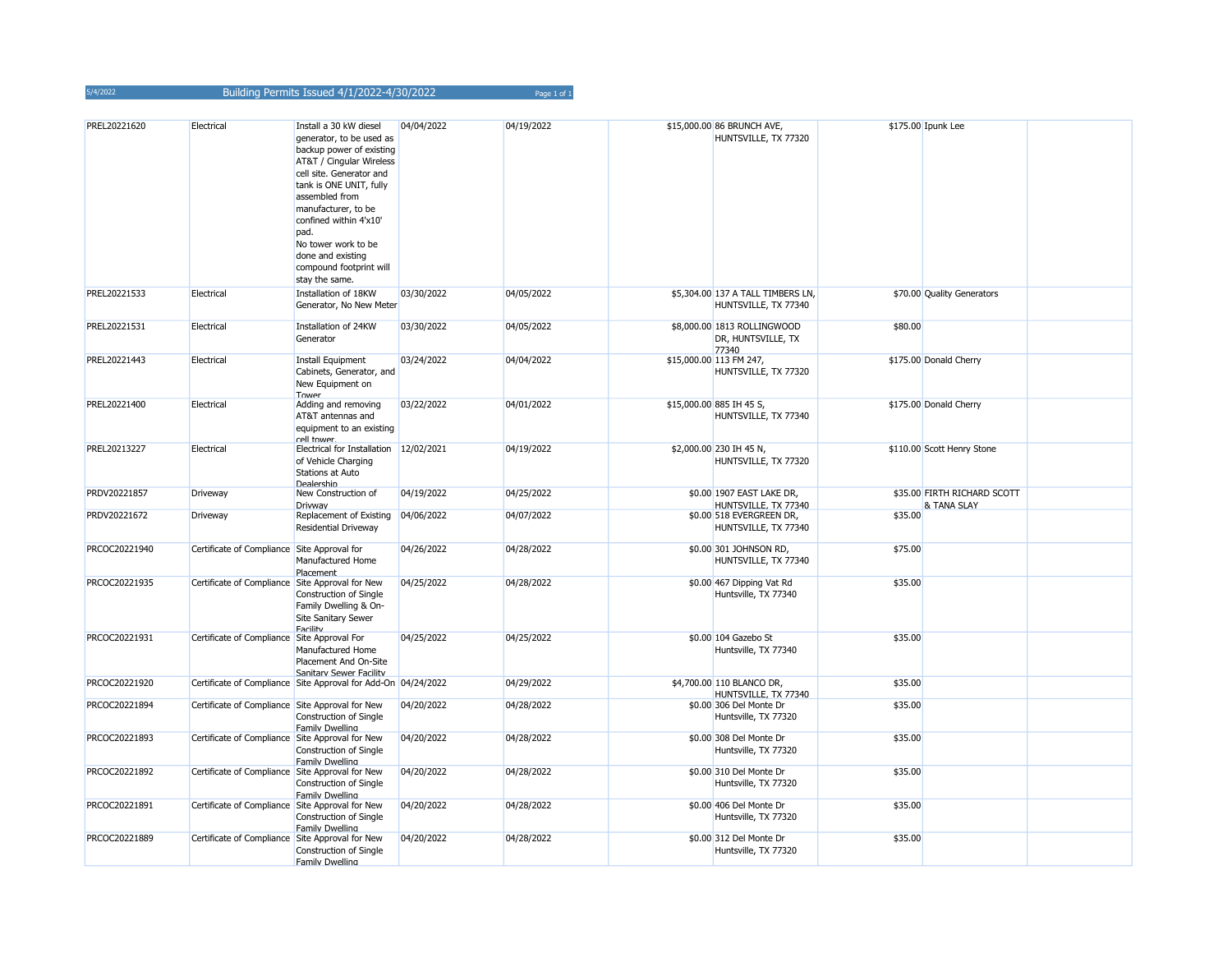| 5/4/2022 | <b>Building Permits Issued 4/1/2022-4/30/2022</b> | Page 1 of 1 |
|----------|---------------------------------------------------|-------------|
|          |                                                   |             |

| PREL20221620  | Electrical                                      | Install a 30 kW diesel<br>generator, to be used as<br>backup power of existing<br>AT&T / Cingular Wireless<br>cell site. Generator and<br>tank is ONE UNIT, fully<br>assembled from<br>manufacturer, to be<br>confined within 4'x10'<br>pad.<br>No tower work to be<br>done and existing<br>compound footprint will<br>stay the same. | 04/04/2022 | 04/19/2022 | \$15,000.00 86 BRUNCH AVE,<br>HUNTSVILLE, TX 77320         |         | \$175.00 Ipunk Lee                         |  |
|---------------|-------------------------------------------------|---------------------------------------------------------------------------------------------------------------------------------------------------------------------------------------------------------------------------------------------------------------------------------------------------------------------------------------|------------|------------|------------------------------------------------------------|---------|--------------------------------------------|--|
| PREL20221533  | Electrical                                      | Installation of 18KW<br>Generator, No New Meter                                                                                                                                                                                                                                                                                       | 03/30/2022 | 04/05/2022 | \$5,304.00 137 A TALL TIMBERS LN,<br>HUNTSVILLE, TX 77340  |         | \$70.00 Quality Generators                 |  |
| PREL20221531  | Electrical                                      | Installation of 24KW<br>Generator                                                                                                                                                                                                                                                                                                     | 03/30/2022 | 04/05/2022 | \$8,000.00 1813 ROLLINGWOOD<br>DR, HUNTSVILLE, TX<br>77340 | \$80.00 |                                            |  |
| PREL20221443  | Electrical                                      | Install Equipment<br>Cabinets, Generator, and<br>New Equipment on<br>Tower                                                                                                                                                                                                                                                            | 03/24/2022 | 04/04/2022 | \$15,000.00 113 FM 247,<br>HUNTSVILLE, TX 77320            |         | \$175.00 Donald Cherry                     |  |
| PREL20221400  | Electrical                                      | Adding and removing<br>AT&T antennas and<br>equipment to an existing<br>cell tower                                                                                                                                                                                                                                                    | 03/22/2022 | 04/01/2022 | \$15,000.00 885 IH 45 S,<br>HUNTSVILLE, TX 77340           |         | \$175.00 Donald Cherry                     |  |
| PREL20213227  | Electrical                                      | Electrical for Installation 12/02/2021<br>of Vehicle Charging<br>Stations at Auto<br>Dealershin                                                                                                                                                                                                                                       |            | 04/19/2022 | \$2,000.00 230 IH 45 N,<br>HUNTSVILLE, TX 77320            |         | \$110.00 Scott Henry Stone                 |  |
| PRDV20221857  | Driveway                                        | New Construction of<br>Drivway                                                                                                                                                                                                                                                                                                        | 04/19/2022 | 04/25/2022 | \$0.00 1907 EAST LAKE DR,<br>HUNTSVILLE, TX 77340          |         | \$35.00 FIRTH RICHARD SCOTT<br>& TANA SLAY |  |
| PRDV20221672  | Driveway                                        | Replacement of Existing<br><b>Residential Driveway</b>                                                                                                                                                                                                                                                                                | 04/06/2022 | 04/07/2022 | \$0.00 518 EVERGREEN DR,<br>HUNTSVILLE, TX 77340           | \$35.00 |                                            |  |
| PRCOC20221940 | Certificate of Compliance Site Approval for     | Manufactured Home<br>Placement                                                                                                                                                                                                                                                                                                        | 04/26/2022 | 04/28/2022 | \$0.00 301 JOHNSON RD,<br>HUNTSVILLE, TX 77340             | \$75.00 |                                            |  |
| PRCOC20221935 | Certificate of Compliance Site Approval for New | Construction of Single<br>Family Dwelling & On-<br><b>Site Sanitary Sewer</b><br>Facility                                                                                                                                                                                                                                             | 04/25/2022 | 04/28/2022 | \$0.00 467 Dipping Vat Rd<br>Huntsville, TX 77340          | \$35.00 |                                            |  |
| PRCOC20221931 | Certificate of Compliance Site Approval For     | Manufactured Home<br>Placement And On-Site<br><b>Sanitary Sewer Facility</b>                                                                                                                                                                                                                                                          | 04/25/2022 | 04/25/2022 | \$0.00 104 Gazebo St<br>Huntsville, TX 77340               | \$35.00 |                                            |  |
| PRCOC20221920 |                                                 | Certificate of Compliance Site Approval for Add-On 04/24/2022                                                                                                                                                                                                                                                                         |            | 04/29/2022 | \$4,700.00 110 BLANCO DR,<br>HUNTSVILLE, TX 77340          | \$35.00 |                                            |  |
| PRCOC20221894 | Certificate of Compliance Site Approval for New | Construction of Single<br><b>Family Dwelling</b>                                                                                                                                                                                                                                                                                      | 04/20/2022 | 04/28/2022 | \$0.00 306 Del Monte Dr<br>Huntsville, TX 77320            | \$35.00 |                                            |  |
| PRCOC20221893 | Certificate of Compliance Site Approval for New | Construction of Single<br>Family Dwelling                                                                                                                                                                                                                                                                                             | 04/20/2022 | 04/28/2022 | \$0.00 308 Del Monte Dr<br>Huntsville, TX 77320            | \$35.00 |                                            |  |
| PRCOC20221892 | Certificate of Compliance Site Approval for New | Construction of Single<br>Family Dwelling                                                                                                                                                                                                                                                                                             | 04/20/2022 | 04/28/2022 | \$0.00 310 Del Monte Dr<br>Huntsville, TX 77320            | \$35.00 |                                            |  |
| PRCOC20221891 | Certificate of Compliance Site Approval for New | Construction of Single<br>Family Dwelling                                                                                                                                                                                                                                                                                             | 04/20/2022 | 04/28/2022 | \$0.00 406 Del Monte Dr<br>Huntsville, TX 77320            | \$35.00 |                                            |  |
| PRCOC20221889 | Certificate of Compliance Site Approval for New | Construction of Single<br><b>Family Dwelling</b>                                                                                                                                                                                                                                                                                      | 04/20/2022 | 04/28/2022 | \$0.00 312 Del Monte Dr<br>Huntsville, TX 77320            | \$35.00 |                                            |  |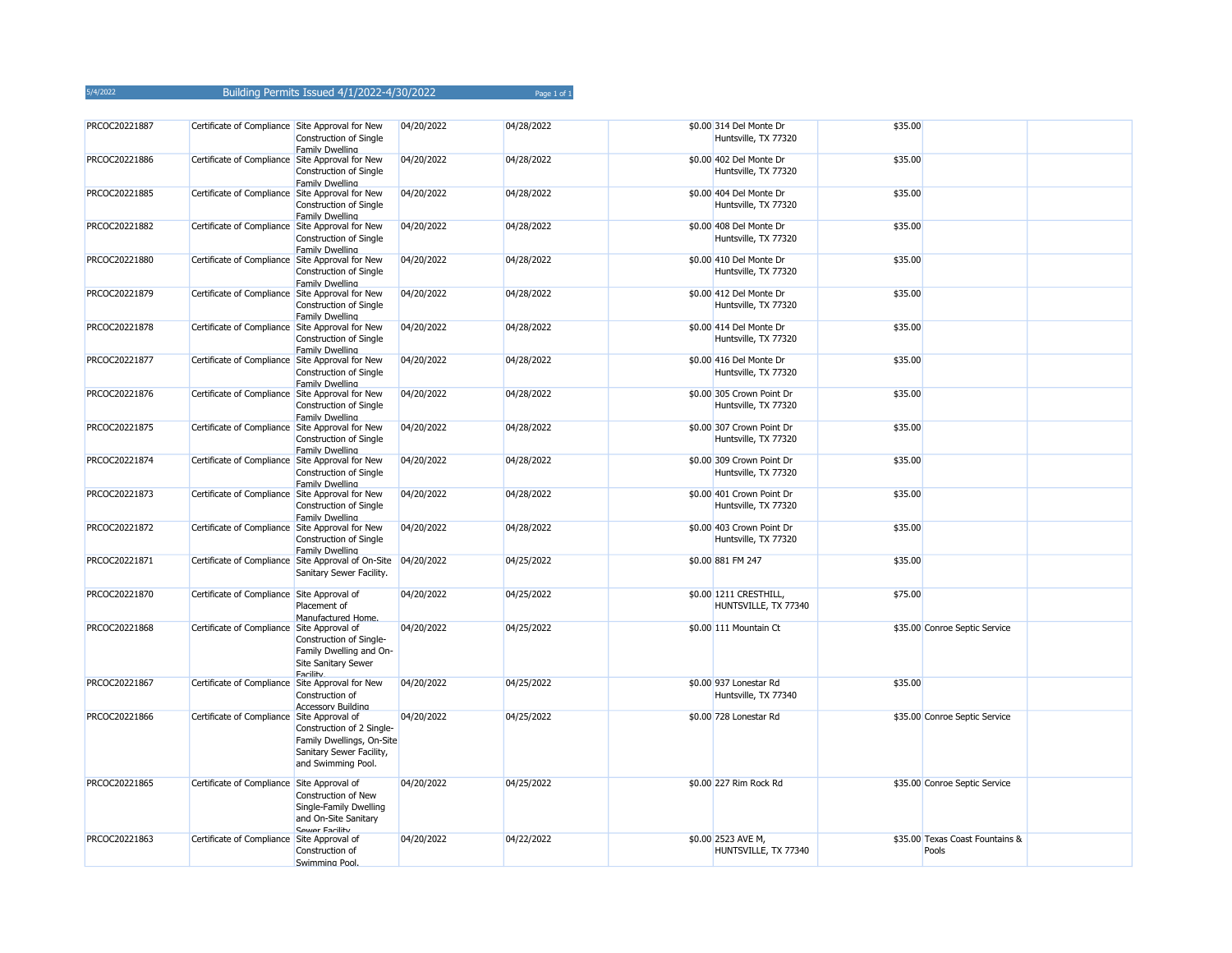| PRCOC20221887 | Certificate of Compliance Site Approval for New | <b>Construction of Single</b><br>Family Dwelling                                                         | 04/20/2022 | 04/28/2022 | \$0.00 314 Del Monte Dr<br>Huntsville, TX 77320   | \$35.00 |                                          |  |
|---------------|-------------------------------------------------|----------------------------------------------------------------------------------------------------------|------------|------------|---------------------------------------------------|---------|------------------------------------------|--|
| PRCOC20221886 | Certificate of Compliance Site Approval for New | <b>Construction of Single</b><br>Family Dwelling                                                         | 04/20/2022 | 04/28/2022 | \$0.00 402 Del Monte Dr<br>Huntsville, TX 77320   | \$35.00 |                                          |  |
| PRCOC20221885 | Certificate of Compliance Site Approval for New | <b>Construction of Single</b><br>Family Dwelling                                                         | 04/20/2022 | 04/28/2022 | \$0.00 404 Del Monte Dr<br>Huntsville, TX 77320   | \$35.00 |                                          |  |
| PRCOC20221882 | Certificate of Compliance Site Approval for New | <b>Construction of Single</b><br>Family Dwelling                                                         | 04/20/2022 | 04/28/2022 | \$0.00 408 Del Monte Dr<br>Huntsville, TX 77320   | \$35.00 |                                          |  |
| PRCOC20221880 | Certificate of Compliance Site Approval for New | <b>Construction of Single</b><br>Family Dwelling                                                         | 04/20/2022 | 04/28/2022 | \$0.00 410 Del Monte Dr<br>Huntsville, TX 77320   | \$35.00 |                                          |  |
| PRCOC20221879 | Certificate of Compliance Site Approval for New | <b>Construction of Single</b><br>Family Dwelling                                                         | 04/20/2022 | 04/28/2022 | \$0.00 412 Del Monte Dr<br>Huntsville, TX 77320   | \$35.00 |                                          |  |
| PRCOC20221878 | Certificate of Compliance Site Approval for New | Construction of Single<br>Family Dwelling                                                                | 04/20/2022 | 04/28/2022 | \$0.00 414 Del Monte Dr<br>Huntsville, TX 77320   | \$35.00 |                                          |  |
| PRCOC20221877 | Certificate of Compliance Site Approval for New | Construction of Single<br>Family Dwelling                                                                | 04/20/2022 | 04/28/2022 | \$0.00 416 Del Monte Dr<br>Huntsville, TX 77320   | \$35.00 |                                          |  |
| PRCOC20221876 | Certificate of Compliance Site Approval for New | <b>Construction of Single</b><br>Family Dwelling                                                         | 04/20/2022 | 04/28/2022 | \$0.00 305 Crown Point Dr<br>Huntsville, TX 77320 | \$35.00 |                                          |  |
| PRCOC20221875 | Certificate of Compliance Site Approval for New | <b>Construction of Single</b><br>Family Dwelling                                                         | 04/20/2022 | 04/28/2022 | \$0.00 307 Crown Point Dr<br>Huntsville, TX 77320 | \$35.00 |                                          |  |
| PRCOC20221874 | Certificate of Compliance Site Approval for New | <b>Construction of Single</b><br>Family Dwelling                                                         | 04/20/2022 | 04/28/2022 | \$0.00 309 Crown Point Dr<br>Huntsville, TX 77320 | \$35.00 |                                          |  |
| PRCOC20221873 | Certificate of Compliance Site Approval for New | <b>Construction of Single</b><br>Family Dwelling                                                         | 04/20/2022 | 04/28/2022 | \$0.00 401 Crown Point Dr<br>Huntsville, TX 77320 | \$35.00 |                                          |  |
| PRCOC20221872 | Certificate of Compliance Site Approval for New | Construction of Single<br><b>Family Dwelling</b>                                                         | 04/20/2022 | 04/28/2022 | \$0.00 403 Crown Point Dr<br>Huntsville, TX 77320 | \$35.00 |                                          |  |
| PRCOC20221871 |                                                 | Certificate of Compliance Site Approval of On-Site<br>Sanitary Sewer Facility.                           | 04/20/2022 | 04/25/2022 | \$0.00 881 FM 247                                 | \$35.00 |                                          |  |
| PRCOC20221870 | Certificate of Compliance Site Approval of      | Placement of<br>Manufactured Home.                                                                       | 04/20/2022 | 04/25/2022 | \$0.00 1211 CRESTHILL,<br>HUNTSVILLE, TX 77340    | \$75.00 |                                          |  |
| PRCOC20221868 | Certificate of Compliance Site Approval of      | Construction of Single-<br>Family Dwelling and On-<br><b>Site Sanitary Sewer</b><br>Facility             | 04/20/2022 | 04/25/2022 | \$0.00 111 Mountain Ct                            |         | \$35.00 Conroe Septic Service            |  |
| PRCOC20221867 | Certificate of Compliance Site Approval for New | Construction of<br><b>Accessory Building</b>                                                             | 04/20/2022 | 04/25/2022 | \$0.00 937 Lonestar Rd<br>Huntsville, TX 77340    | \$35.00 |                                          |  |
| PRCOC20221866 | Certificate of Compliance Site Approval of      | Construction of 2 Single-<br>Family Dwellings, On-Site<br>Sanitary Sewer Facility,<br>and Swimming Pool. | 04/20/2022 | 04/25/2022 | \$0.00 728 Lonestar Rd                            |         | \$35.00 Conroe Septic Service            |  |
| PRCOC20221865 | Certificate of Compliance Site Approval of      | Construction of New<br>Single-Family Dwelling<br>and On-Site Sanitary<br><b>Sewer Facility</b>           | 04/20/2022 | 04/25/2022 | \$0.00 227 Rim Rock Rd                            |         | \$35.00 Conroe Septic Service            |  |
| PRCOC20221863 | Certificate of Compliance Site Approval of      | Construction of<br>Swimming Pool.                                                                        | 04/20/2022 | 04/22/2022 | \$0.00 2523 AVE M,<br>HUNTSVILLE, TX 77340        |         | \$35.00 Texas Coast Fountains &<br>Pools |  |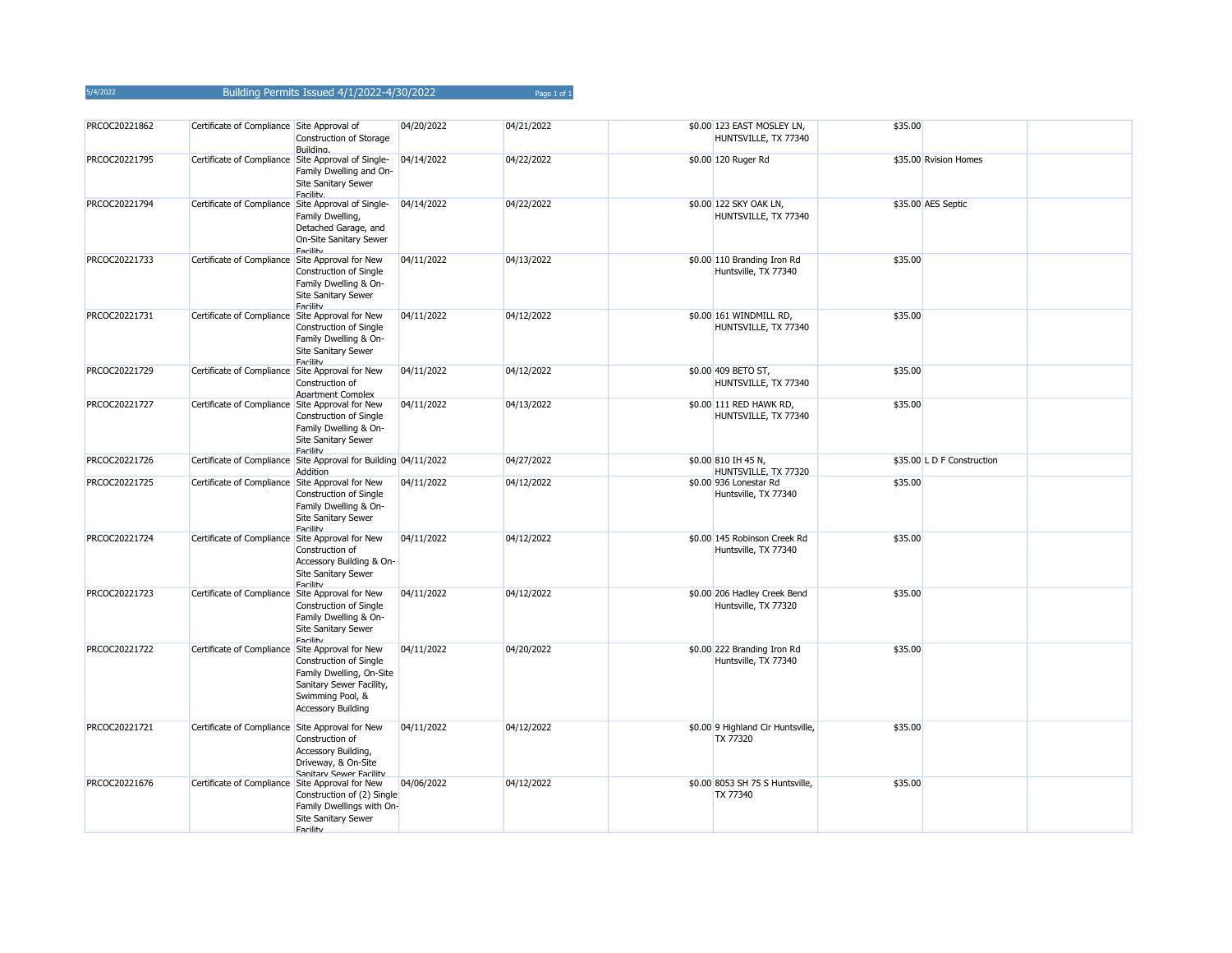| PRCOC20221862 | Certificate of Compliance Site Approval of         | Construction of Storage<br>Building.                                                                                                  | 04/20/2022 | 04/21/2022 | \$0.00 123 EAST MOSLEY LN,<br>HUNTSVILLE, TX 77340   | \$35.00                    |  |
|---------------|----------------------------------------------------|---------------------------------------------------------------------------------------------------------------------------------------|------------|------------|------------------------------------------------------|----------------------------|--|
| PRCOC20221795 | Certificate of Compliance Site Approval of Single- | Family Dwelling and On-<br><b>Site Sanitary Sewer</b><br><b>Facility</b>                                                              | 04/14/2022 | 04/22/2022 | \$0.00 120 Ruger Rd                                  | \$35.00 Rvision Homes      |  |
| PRCOC20221794 |                                                    | Certificate of Compliance Site Approval of Single-<br>Family Dwelling,<br>Detached Garage, and<br>On-Site Sanitary Sewer<br>Facility. | 04/14/2022 | 04/22/2022 | \$0.00 122 SKY OAK LN,<br>HUNTSVILLE, TX 77340       | \$35.00 AES Septic         |  |
| PRCOC20221733 | Certificate of Compliance Site Approval for New    | Construction of Single<br>Family Dwelling & On-<br><b>Site Sanitary Sewer</b><br>Facility                                             | 04/11/2022 | 04/13/2022 | \$0.00 110 Branding Iron Rd<br>Huntsville, TX 77340  | \$35.00                    |  |
| PRCOC20221731 | Certificate of Compliance Site Approval for New    | Construction of Single<br>Family Dwelling & On-<br><b>Site Sanitary Sewer</b><br>Facility                                             | 04/11/2022 | 04/12/2022 | \$0.00 161 WINDMILL RD,<br>HUNTSVILLE, TX 77340      | \$35.00                    |  |
| PRCOC20221729 | Certificate of Compliance Site Approval for New    | Construction of<br><b>Apartment Complex</b>                                                                                           | 04/11/2022 | 04/12/2022 | \$0.00 409 BETO ST,<br>HUNTSVILLE, TX 77340          | \$35.00                    |  |
| PRCOC20221727 | Certificate of Compliance Site Approval for New    | Construction of Single<br>Family Dwelling & On-<br><b>Site Sanitary Sewer</b><br><b>Facility</b>                                      | 04/11/2022 | 04/13/2022 | \$0.00 111 RED HAWK RD,<br>HUNTSVILLE, TX 77340      | \$35.00                    |  |
| PRCOC20221726 |                                                    | Certificate of Compliance Site Approval for Building 04/11/2022<br>Addition                                                           |            | 04/27/2022 | \$0.00 810 IH 45 N,<br>HUNTSVILLE, TX 77320          | \$35.00 L D F Construction |  |
| PRCOC20221725 | Certificate of Compliance Site Approval for New    | Construction of Single<br>Family Dwelling & On-<br><b>Site Sanitary Sewer</b><br>Facility                                             | 04/11/2022 | 04/12/2022 | \$0.00 936 Lonestar Rd<br>Huntsville, TX 77340       | \$35.00                    |  |
| PRCOC20221724 | Certificate of Compliance Site Approval for New    | Construction of<br>Accessory Building & On-<br><b>Site Sanitary Sewer</b><br>Facility                                                 | 04/11/2022 | 04/12/2022 | \$0.00 145 Robinson Creek Rd<br>Huntsville, TX 77340 | \$35.00                    |  |
| PRCOC20221723 | Certificate of Compliance Site Approval for New    | Construction of Single<br>Family Dwelling & On-<br><b>Site Sanitary Sewer</b><br>Facility                                             | 04/11/2022 | 04/12/2022 | \$0.00 206 Hadley Creek Bend<br>Huntsville, TX 77320 | \$35.00                    |  |
| PRCOC20221722 | Certificate of Compliance Site Approval for New    | Construction of Single<br>Family Dwelling, On-Site<br>Sanitary Sewer Facility,<br>Swimming Pool, &<br><b>Accessory Building</b>       | 04/11/2022 | 04/20/2022 | \$0.00 222 Branding Iron Rd<br>Huntsville, TX 77340  | \$35.00                    |  |
| PRCOC20221721 | Certificate of Compliance Site Approval for New    | Construction of<br>Accessory Building,<br>Driveway, & On-Site<br><b>Sanitary Sewer Facility</b>                                       | 04/11/2022 | 04/12/2022 | \$0.00 9 Highland Cir Huntsville,<br>TX 77320        | \$35.00                    |  |
| PRCOC20221676 | Certificate of Compliance Site Approval for New    | Construction of (2) Single<br>Family Dwellings with On-<br><b>Site Sanitary Sewer</b><br>Facility                                     | 04/06/2022 | 04/12/2022 | \$0.00 8053 SH 75 S Huntsville,<br>TX 77340          | \$35.00                    |  |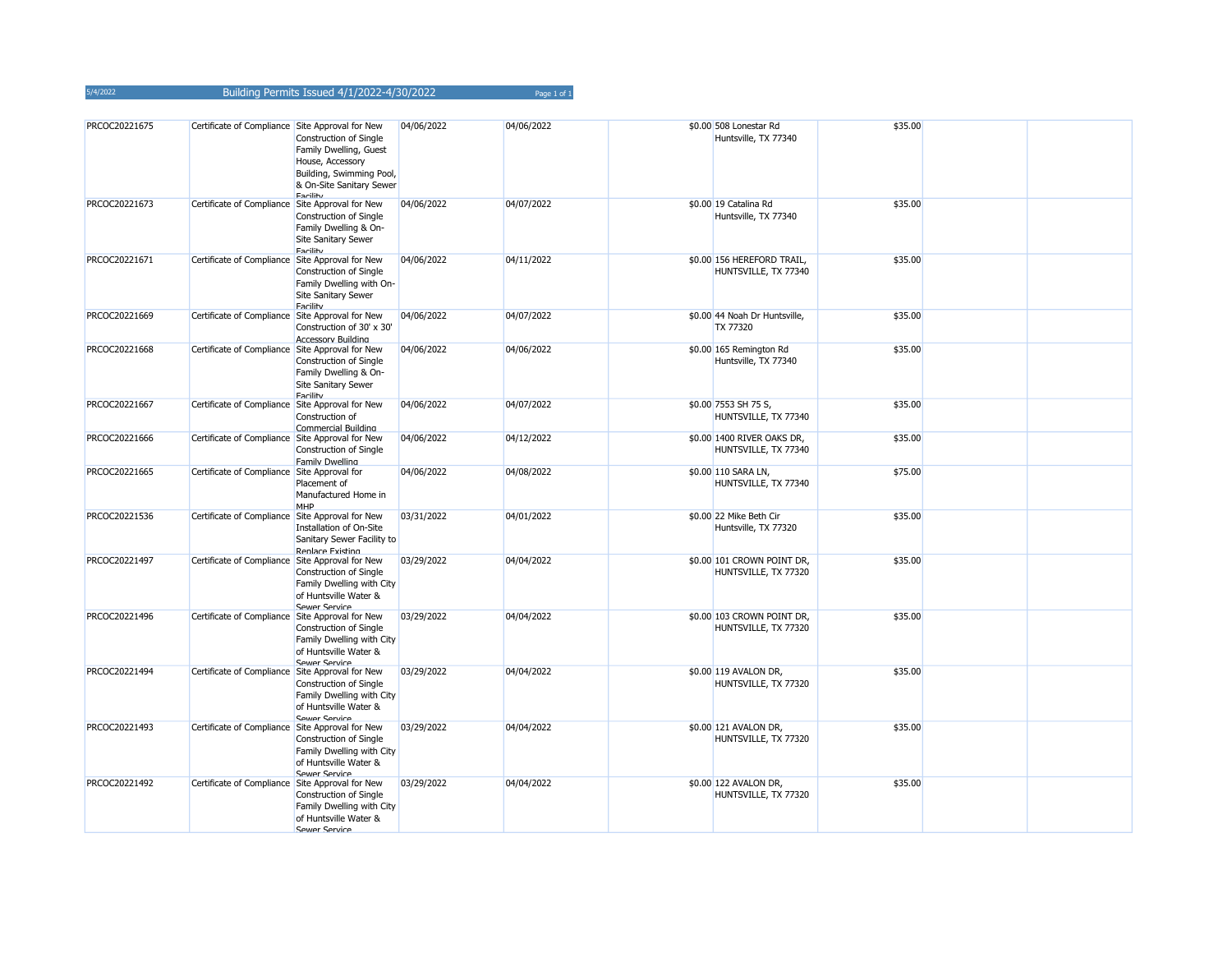| PRCOC20221675 | Certificate of Compliance Site Approval for New | Construction of Single<br>Family Dwelling, Guest<br>House, Accessory<br>Building, Swimming Pool,<br>& On-Site Sanitary Sewer<br><b>Facility</b> | 04/06/2022 | 04/06/2022 | \$0.00 508 Lonestar Rd<br>Huntsville, TX 77340     | \$35.00 |  |
|---------------|-------------------------------------------------|-------------------------------------------------------------------------------------------------------------------------------------------------|------------|------------|----------------------------------------------------|---------|--|
| PRCOC20221673 | Certificate of Compliance Site Approval for New | Construction of Single<br>Family Dwelling & On-<br><b>Site Sanitary Sewer</b><br>Facility                                                       | 04/06/2022 | 04/07/2022 | \$0.00 19 Catalina Rd<br>Huntsville, TX 77340      | \$35.00 |  |
| PRCOC20221671 | Certificate of Compliance Site Approval for New | <b>Construction of Single</b><br>Family Dwelling with On-<br><b>Site Sanitary Sewer</b><br>Facility                                             | 04/06/2022 | 04/11/2022 | \$0.00 156 HEREFORD TRAIL,<br>HUNTSVILLE, TX 77340 | \$35.00 |  |
| PRCOC20221669 | Certificate of Compliance Site Approval for New | Construction of 30' x 30'<br><b>Accessory Building</b>                                                                                          | 04/06/2022 | 04/07/2022 | \$0.00 44 Noah Dr Huntsville,<br><b>TX 77320</b>   | \$35.00 |  |
| PRCOC20221668 | Certificate of Compliance Site Approval for New | Construction of Single<br>Family Dwelling & On-<br><b>Site Sanitary Sewer</b><br>Facility                                                       | 04/06/2022 | 04/06/2022 | \$0.00 165 Remington Rd<br>Huntsville, TX 77340    | \$35.00 |  |
| PRCOC20221667 | Certificate of Compliance Site Approval for New | Construction of<br>Commercial Building                                                                                                          | 04/06/2022 | 04/07/2022 | \$0.00 7553 SH 75 S,<br>HUNTSVILLE, TX 77340       | \$35.00 |  |
| PRCOC20221666 | Certificate of Compliance Site Approval for New | Construction of Single<br>Family Dwelling                                                                                                       | 04/06/2022 | 04/12/2022 | \$0.00 1400 RIVER OAKS DR,<br>HUNTSVILLE, TX 77340 | \$35.00 |  |
| PRCOC20221665 | Certificate of Compliance Site Approval for     | Placement of<br>Manufactured Home in<br><b>MHP</b>                                                                                              | 04/06/2022 | 04/08/2022 | \$0.00 110 SARA LN,<br>HUNTSVILLE, TX 77340        | \$75.00 |  |
| PRCOC20221536 | Certificate of Compliance Site Approval for New | Installation of On-Site<br>Sanitary Sewer Facility to<br>Renlace Existing                                                                       | 03/31/2022 | 04/01/2022 | \$0.00 22 Mike Beth Cir<br>Huntsville, TX 77320    | \$35.00 |  |
| PRCOC20221497 | Certificate of Compliance Site Approval for New | Construction of Single<br>Family Dwelling with City<br>of Huntsville Water &<br>Sewer Service                                                   | 03/29/2022 | 04/04/2022 | \$0.00 101 CROWN POINT DR,<br>HUNTSVILLE, TX 77320 | \$35.00 |  |
| PRCOC20221496 | Certificate of Compliance Site Approval for New | Construction of Single<br>Family Dwelling with City<br>of Huntsville Water &<br>Sewer Service                                                   | 03/29/2022 | 04/04/2022 | \$0.00 103 CROWN POINT DR,<br>HUNTSVILLE, TX 77320 | \$35.00 |  |
| PRCOC20221494 | Certificate of Compliance Site Approval for New | <b>Construction of Single</b><br>Family Dwelling with City<br>of Huntsville Water &<br><b>SAWAR SARVICA</b>                                     | 03/29/2022 | 04/04/2022 | \$0.00 119 AVALON DR,<br>HUNTSVILLE, TX 77320      | \$35.00 |  |
| PRCOC20221493 | Certificate of Compliance Site Approval for New | Construction of Single<br>Family Dwelling with City<br>of Huntsville Water &<br><b>SAWAR SARVICA</b>                                            | 03/29/2022 | 04/04/2022 | \$0.00 121 AVALON DR,<br>HUNTSVILLE, TX 77320      | \$35.00 |  |
| PRCOC20221492 | Certificate of Compliance Site Approval for New | Construction of Single<br>Family Dwelling with City<br>of Huntsville Water &<br><b>Sewer Service</b>                                            | 03/29/2022 | 04/04/2022 | \$0.00 122 AVALON DR,<br>HUNTSVILLE, TX 77320      | \$35.00 |  |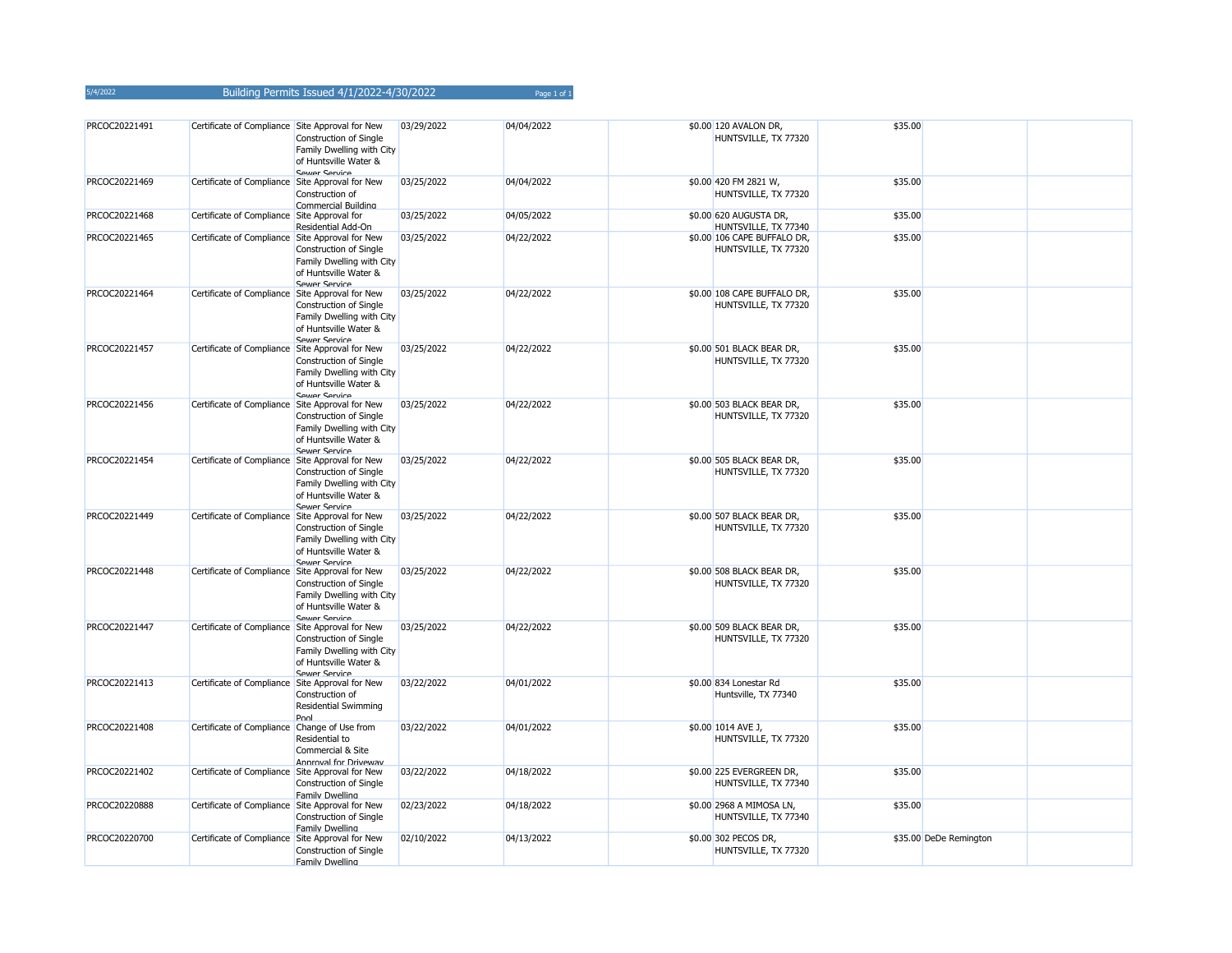| PRCOC20221491 | Certificate of Compliance Site Approval for New | <b>Construction of Single</b><br>Family Dwelling with City<br>of Huntsville Water &<br><b>SAWAR SARVICA</b> | 03/29/2022 | 04/04/2022 | \$0.00 120 AVALON DR,<br>HUNTSVILLE, TX 77320       | \$35.00 |                        |  |
|---------------|-------------------------------------------------|-------------------------------------------------------------------------------------------------------------|------------|------------|-----------------------------------------------------|---------|------------------------|--|
| PRCOC20221469 | Certificate of Compliance Site Approval for New | Construction of<br>Commercial Building                                                                      | 03/25/2022 | 04/04/2022 | \$0.00 420 FM 2821 W,<br>HUNTSVILLE, TX 77320       | \$35.00 |                        |  |
| PRCOC20221468 | Certificate of Compliance Site Approval for     | Residential Add-On                                                                                          | 03/25/2022 | 04/05/2022 | \$0.00 620 AUGUSTA DR,<br>HUNTSVILLE, TX 77340      | \$35.00 |                        |  |
| PRCOC20221465 | Certificate of Compliance Site Approval for New | <b>Construction of Single</b><br>Family Dwelling with City<br>of Huntsville Water &<br><b>SAWAR SATVICA</b> | 03/25/2022 | 04/22/2022 | \$0.00 106 CAPE BUFFALO DR,<br>HUNTSVILLE, TX 77320 | \$35.00 |                        |  |
| PRCOC20221464 | Certificate of Compliance Site Approval for New | Construction of Single<br>Family Dwelling with City<br>of Huntsville Water &<br><b>SAWAR SARVICA</b>        | 03/25/2022 | 04/22/2022 | \$0.00 108 CAPE BUFFALO DR,<br>HUNTSVILLE, TX 77320 | \$35.00 |                        |  |
| PRCOC20221457 | Certificate of Compliance Site Approval for New | Construction of Single<br>Family Dwelling with City<br>of Huntsville Water &<br>Sewer Service               | 03/25/2022 | 04/22/2022 | \$0.00 501 BLACK BEAR DR,<br>HUNTSVILLE, TX 77320   | \$35.00 |                        |  |
| PRCOC20221456 | Certificate of Compliance Site Approval for New | Construction of Single<br>Family Dwelling with City<br>of Huntsville Water &<br><b>SAWAR SArvice</b>        | 03/25/2022 | 04/22/2022 | \$0.00 503 BLACK BEAR DR.<br>HUNTSVILLE, TX 77320   | \$35.00 |                        |  |
| PRCOC20221454 | Certificate of Compliance Site Approval for New | Construction of Single<br>Family Dwelling with City<br>of Huntsville Water &<br>Sewer Service               | 03/25/2022 | 04/22/2022 | \$0.00 505 BLACK BEAR DR,<br>HUNTSVILLE, TX 77320   | \$35.00 |                        |  |
| PRCOC20221449 | Certificate of Compliance Site Approval for New | <b>Construction of Single</b><br>Family Dwelling with City<br>of Huntsville Water &<br><b>Sewer Service</b> | 03/25/2022 | 04/22/2022 | \$0.00 507 BLACK BEAR DR,<br>HUNTSVILLE, TX 77320   | \$35.00 |                        |  |
| PRCOC20221448 | Certificate of Compliance Site Approval for New | Construction of Single<br>Family Dwelling with City<br>of Huntsville Water &<br><b>SAWAR SARVICA</b>        | 03/25/2022 | 04/22/2022 | \$0.00 508 BLACK BEAR DR,<br>HUNTSVILLE, TX 77320   | \$35.00 |                        |  |
| PRCOC20221447 | Certificate of Compliance Site Approval for New | Construction of Single<br>Family Dwelling with City<br>of Huntsville Water &<br><b>Sewer Service</b>        | 03/25/2022 | 04/22/2022 | \$0.00 509 BLACK BEAR DR,<br>HUNTSVILLE, TX 77320   | \$35.00 |                        |  |
| PRCOC20221413 | Certificate of Compliance Site Approval for New | Construction of<br><b>Residential Swimming</b><br>Pool                                                      | 03/22/2022 | 04/01/2022 | \$0.00 834 Lonestar Rd<br>Huntsville, TX 77340      | \$35.00 |                        |  |
| PRCOC20221408 | Certificate of Compliance Change of Use from    | Residential to<br>Commercial & Site<br>Annroval for Driveway                                                | 03/22/2022 | 04/01/2022 | \$0.00 1014 AVE J,<br>HUNTSVILLE, TX 77320          | \$35.00 |                        |  |
| PRCOC20221402 | Certificate of Compliance Site Approval for New | <b>Construction of Single</b><br>Family Dwelling                                                            | 03/22/2022 | 04/18/2022 | \$0.00 225 EVERGREEN DR,<br>HUNTSVILLE, TX 77340    | \$35.00 |                        |  |
| PRCOC20220888 | Certificate of Compliance Site Approval for New | Construction of Single<br>Family Dwelling                                                                   | 02/23/2022 | 04/18/2022 | \$0.00 2968 A MIMOSA LN,<br>HUNTSVILLE, TX 77340    | \$35.00 |                        |  |
| PRCOC20220700 | Certificate of Compliance Site Approval for New | Construction of Single<br><b>Family Dwelling</b>                                                            | 02/10/2022 | 04/13/2022 | \$0.00 302 PECOS DR,<br>HUNTSVILLE, TX 77320        |         | \$35.00 DeDe Remington |  |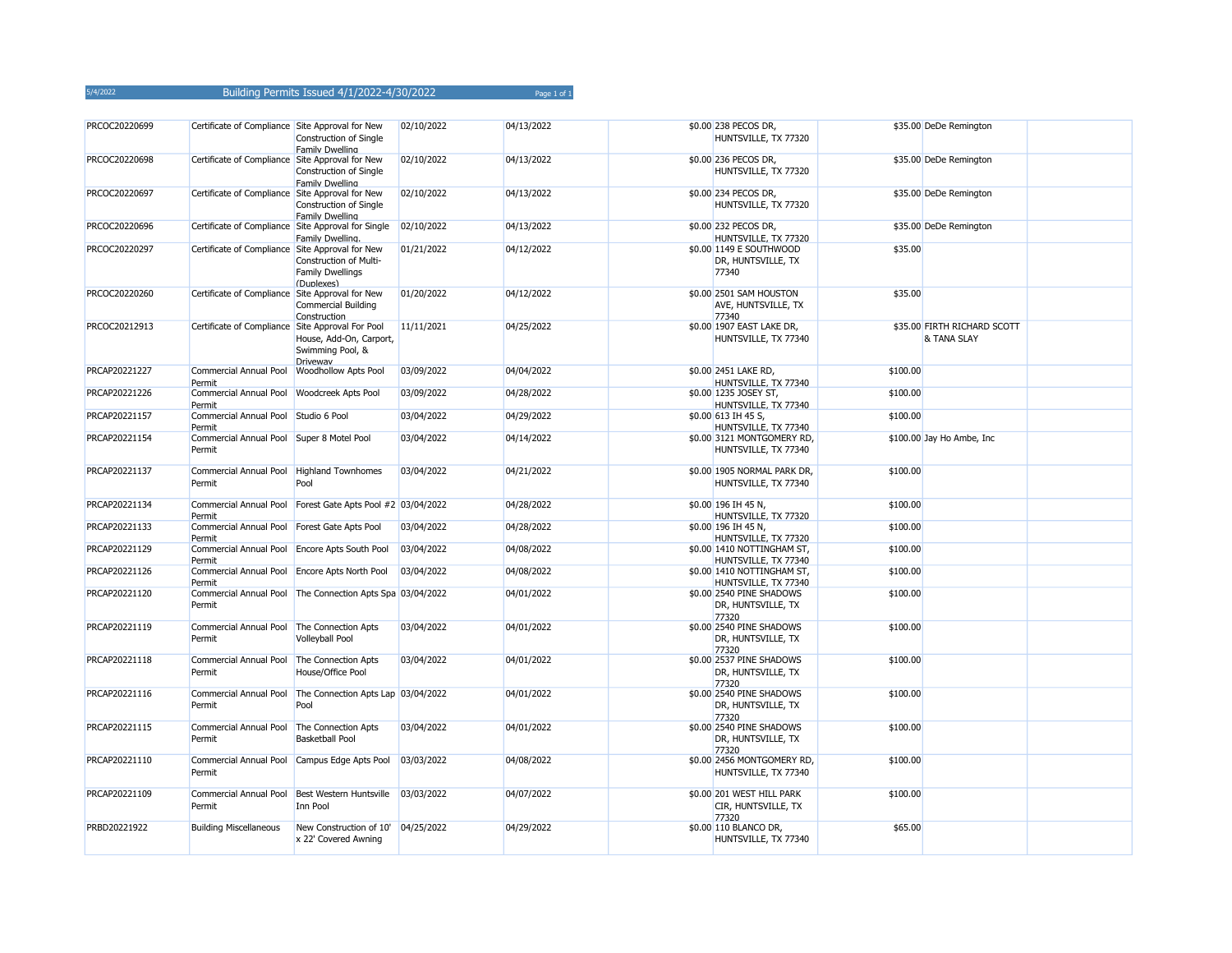| PRCOC20220699 | Certificate of Compliance Site Approval for New         | <b>Construction of Single</b><br>Family Dwelling                       | 02/10/2022 | 04/13/2022 | \$0.00 238 PECOS DR,<br>HUNTSVILLE, TX 77320              |          | \$35.00 DeDe Remington                     |  |
|---------------|---------------------------------------------------------|------------------------------------------------------------------------|------------|------------|-----------------------------------------------------------|----------|--------------------------------------------|--|
| PRCOC20220698 | Certificate of Compliance Site Approval for New         | <b>Construction of Single</b><br><b>Family Dwelling</b>                | 02/10/2022 | 04/13/2022 | \$0.00 236 PECOS DR,<br>HUNTSVILLE, TX 77320              |          | \$35.00 DeDe Remington                     |  |
| PRCOC20220697 | Certificate of Compliance Site Approval for New         | <b>Construction of Single</b><br>Family Dwelling                       | 02/10/2022 | 04/13/2022 | \$0.00 234 PECOS DR,<br>HUNTSVILLE, TX 77320              |          | \$35.00 DeDe Remington                     |  |
| PRCOC20220696 |                                                         | Certificate of Compliance Site Approval for Single<br>Family Dwelling. | 02/10/2022 | 04/13/2022 | \$0.00 232 PECOS DR,<br>HUNTSVILLE, TX 77320              |          | \$35.00 DeDe Remington                     |  |
| PRCOC20220297 | Certificate of Compliance Site Approval for New         | Construction of Multi-<br><b>Family Dwellings</b><br>(Dunlexes)        | 01/21/2022 | 04/12/2022 | \$0.00 1149 E SOUTHWOOD<br>DR, HUNTSVILLE, TX<br>77340    | \$35.00  |                                            |  |
| PRCOC20220260 | Certificate of Compliance Site Approval for New         | <b>Commercial Building</b><br>Construction                             | 01/20/2022 | 04/12/2022 | \$0.00 2501 SAM HOUSTON<br>AVE, HUNTSVILLE, TX<br>77340   | \$35.00  |                                            |  |
| PRCOC20212913 | Certificate of Compliance Site Approval For Pool        | House, Add-On, Carport,<br>Swimming Pool, &<br>Driveway                | 11/11/2021 | 04/25/2022 | \$0.00 1907 EAST LAKE DR,<br>HUNTSVILLE, TX 77340         |          | \$35.00 FIRTH RICHARD SCOTT<br>& TANA SLAY |  |
| PRCAP20221227 | Commercial Annual Pool<br>Permit                        | <b>Woodhollow Apts Pool</b>                                            | 03/09/2022 | 04/04/2022 | \$0.00 2451 LAKE RD,<br>HUNTSVILLE, TX 77340              | \$100.00 |                                            |  |
| PRCAP20221226 | Commercial Annual Pool<br>Permit                        | Woodcreek Apts Pool                                                    | 03/09/2022 | 04/28/2022 | \$0.00 1235 JOSEY ST,<br>HUNTSVILLE, TX 77340             | \$100.00 |                                            |  |
| PRCAP20221157 | Commercial Annual Pool<br>Permit                        | Studio 6 Pool                                                          | 03/04/2022 | 04/29/2022 | \$0.00 613 IH 45 S,<br>HUNTSVILLE, TX 77340               | \$100.00 |                                            |  |
| PRCAP20221154 | Commercial Annual Pool Super 8 Motel Pool<br>Permit     |                                                                        | 03/04/2022 | 04/14/2022 | \$0.00 3121 MONTGOMERY RD,<br>HUNTSVILLE, TX 77340        |          | \$100.00 Jay Ho Ambe, Inc                  |  |
| PRCAP20221137 | <b>Commercial Annual Pool</b><br>Permit                 | <b>Highland Townhomes</b><br>Pool                                      | 03/04/2022 | 04/21/2022 | \$0.00 1905 NORMAL PARK DR,<br>HUNTSVILLE, TX 77340       | \$100.00 |                                            |  |
| PRCAP20221134 | Permit                                                  | Commercial Annual Pool Forest Gate Apts Pool #2 03/04/2022             |            | 04/28/2022 | \$0.00 196 IH 45 N,<br>HUNTSVILLE, TX 77320               | \$100.00 |                                            |  |
| PRCAP20221133 | Commercial Annual Pool Forest Gate Apts Pool<br>Permit  |                                                                        | 03/04/2022 | 04/28/2022 | \$0.00 196 IH 45 N,<br>HUNTSVILLE, TX 77320               | \$100.00 |                                            |  |
| PRCAP20221129 | Commercial Annual Pool Encore Apts South Pool<br>Permit |                                                                        | 03/04/2022 | 04/08/2022 | \$0.00 1410 NOTTINGHAM ST,<br>HUNTSVILLE, TX 77340        | \$100.00 |                                            |  |
| PRCAP20221126 | Commercial Annual Pool Encore Apts North Pool<br>Permit |                                                                        | 03/04/2022 | 04/08/2022 | \$0.00 1410 NOTTINGHAM ST,<br>HUNTSVILLE, TX 77340        | \$100.00 |                                            |  |
| PRCAP20221120 | Permit                                                  | Commercial Annual Pool The Connection Apts Spa 03/04/2022              |            | 04/01/2022 | \$0.00 2540 PINE SHADOWS<br>DR, HUNTSVILLE, TX<br>77320   | \$100.00 |                                            |  |
| PRCAP20221119 | Commercial Annual Pool The Connection Apts<br>Permit    | <b>Volleyball Pool</b>                                                 | 03/04/2022 | 04/01/2022 | \$0.00 2540 PINE SHADOWS<br>DR, HUNTSVILLE, TX<br>77320   | \$100.00 |                                            |  |
| PRCAP20221118 | Commercial Annual Pool<br>Permit                        | The Connection Apts<br>House/Office Pool                               | 03/04/2022 | 04/01/2022 | \$0.00 2537 PINE SHADOWS<br>DR, HUNTSVILLE, TX<br>77320   | \$100.00 |                                            |  |
| PRCAP20221116 | <b>Commercial Annual Pool</b><br>Permit                 | The Connection Apts Lap 03/04/2022<br>Pool                             |            | 04/01/2022 | \$0.00 2540 PINE SHADOWS<br>DR, HUNTSVILLE, TX<br>77320   | \$100.00 |                                            |  |
| PRCAP20221115 | Commercial Annual Pool<br>Permit                        | The Connection Apts<br><b>Basketball Pool</b>                          | 03/04/2022 | 04/01/2022 | \$0.00 2540 PINE SHADOWS<br>DR, HUNTSVILLE, TX<br>77320   | \$100.00 |                                            |  |
| PRCAP20221110 | Commercial Annual Pool<br>Permit                        | Campus Edge Apts Pool                                                  | 03/03/2022 | 04/08/2022 | \$0.00 2456 MONTGOMERY RD,<br>HUNTSVILLE, TX 77340        | \$100.00 |                                            |  |
| PRCAP20221109 | Commercial Annual Pool<br>Permit                        | Best Western Huntsville<br>Inn Pool                                    | 03/03/2022 | 04/07/2022 | \$0.00 201 WEST HILL PARK<br>CIR, HUNTSVILLE, TX<br>77320 | \$100.00 |                                            |  |
| PRBD20221922  | <b>Building Miscellaneous</b>                           | New Construction of 10'<br>x 22' Covered Awning                        | 04/25/2022 | 04/29/2022 | \$0.00 110 BLANCO DR,<br>HUNTSVILLE, TX 77340             | \$65.00  |                                            |  |
|               |                                                         |                                                                        |            |            |                                                           |          |                                            |  |